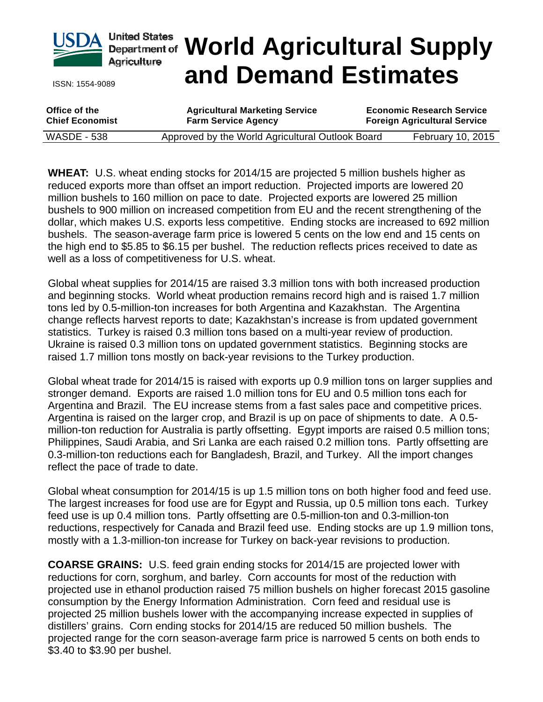

ISSN: 1554-9089

# **World Agricultural Supply and Demand Estimates**

**Office of the Chief Economist Agricultural Marketing Service Farm Service Agency Economic Research Service Foreign Agricultural Service** WASDE - 538 Approved by the World Agricultural Outlook Board February 10, 2015

**WHEAT:** U.S. wheat ending stocks for 2014/15 are projected 5 million bushels higher as reduced exports more than offset an import reduction. Projected imports are lowered 20 million bushels to 160 million on pace to date. Projected exports are lowered 25 million bushels to 900 million on increased competition from EU and the recent strengthening of the dollar, which makes U.S. exports less competitive. Ending stocks are increased to 692 million bushels. The season-average farm price is lowered 5 cents on the low end and 15 cents on the high end to \$5.85 to \$6.15 per bushel. The reduction reflects prices received to date as well as a loss of competitiveness for U.S. wheat.

Global wheat supplies for 2014/15 are raised 3.3 million tons with both increased production and beginning stocks. World wheat production remains record high and is raised 1.7 million tons led by 0.5-million-ton increases for both Argentina and Kazakhstan. The Argentina change reflects harvest reports to date; Kazakhstan's increase is from updated government statistics. Turkey is raised 0.3 million tons based on a multi-year review of production. Ukraine is raised 0.3 million tons on updated government statistics. Beginning stocks are raised 1.7 million tons mostly on back-year revisions to the Turkey production.

Global wheat trade for 2014/15 is raised with exports up 0.9 million tons on larger supplies and stronger demand. Exports are raised 1.0 million tons for EU and 0.5 million tons each for Argentina and Brazil. The EU increase stems from a fast sales pace and competitive prices. Argentina is raised on the larger crop, and Brazil is up on pace of shipments to date. A 0.5 million-ton reduction for Australia is partly offsetting. Egypt imports are raised 0.5 million tons; Philippines, Saudi Arabia, and Sri Lanka are each raised 0.2 million tons. Partly offsetting are 0.3-million-ton reductions each for Bangladesh, Brazil, and Turkey. All the import changes reflect the pace of trade to date.

Global wheat consumption for 2014/15 is up 1.5 million tons on both higher food and feed use. The largest increases for food use are for Egypt and Russia, up 0.5 million tons each. Turkey feed use is up 0.4 million tons. Partly offsetting are 0.5-million-ton and 0.3-million-ton reductions, respectively for Canada and Brazil feed use. Ending stocks are up 1.9 million tons, mostly with a 1.3-million-ton increase for Turkey on back-year revisions to production.

**COARSE GRAINS:** U.S. feed grain ending stocks for 2014/15 are projected lower with reductions for corn, sorghum, and barley. Corn accounts for most of the reduction with projected use in ethanol production raised 75 million bushels on higher forecast 2015 gasoline consumption by the Energy Information Administration. Corn feed and residual use is projected 25 million bushels lower with the accompanying increase expected in supplies of distillers' grains. Corn ending stocks for 2014/15 are reduced 50 million bushels. The projected range for the corn season-average farm price is narrowed 5 cents on both ends to \$3.40 to \$3.90 per bushel.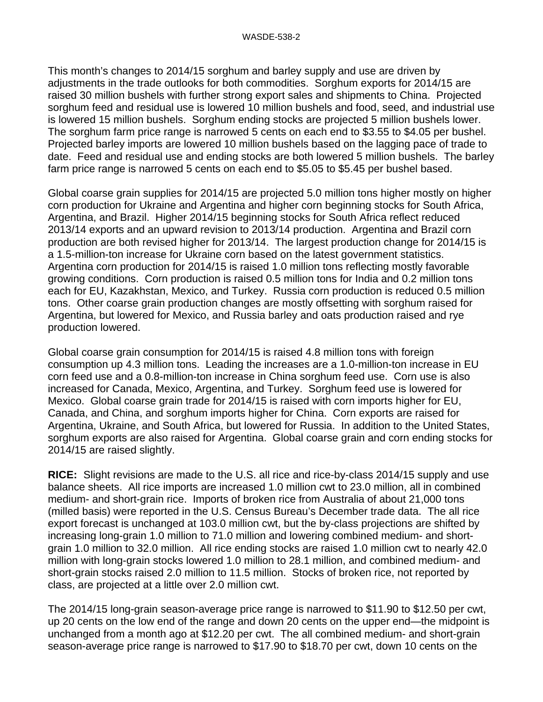This month's changes to 2014/15 sorghum and barley supply and use are driven by adjustments in the trade outlooks for both commodities. Sorghum exports for 2014/15 are raised 30 million bushels with further strong export sales and shipments to China. Projected sorghum feed and residual use is lowered 10 million bushels and food, seed, and industrial use is lowered 15 million bushels. Sorghum ending stocks are projected 5 million bushels lower. The sorghum farm price range is narrowed 5 cents on each end to \$3.55 to \$4.05 per bushel. Projected barley imports are lowered 10 million bushels based on the lagging pace of trade to date. Feed and residual use and ending stocks are both lowered 5 million bushels. The barley farm price range is narrowed 5 cents on each end to \$5.05 to \$5.45 per bushel based.

Global coarse grain supplies for 2014/15 are projected 5.0 million tons higher mostly on higher corn production for Ukraine and Argentina and higher corn beginning stocks for South Africa, Argentina, and Brazil. Higher 2014/15 beginning stocks for South Africa reflect reduced 2013/14 exports and an upward revision to 2013/14 production. Argentina and Brazil corn production are both revised higher for 2013/14. The largest production change for 2014/15 is a 1.5-million-ton increase for Ukraine corn based on the latest government statistics. Argentina corn production for 2014/15 is raised 1.0 million tons reflecting mostly favorable growing conditions. Corn production is raised 0.5 million tons for India and 0.2 million tons each for EU, Kazakhstan, Mexico, and Turkey. Russia corn production is reduced 0.5 million tons. Other coarse grain production changes are mostly offsetting with sorghum raised for Argentina, but lowered for Mexico, and Russia barley and oats production raised and rye production lowered.

Global coarse grain consumption for 2014/15 is raised 4.8 million tons with foreign consumption up 4.3 million tons. Leading the increases are a 1.0-million-ton increase in EU corn feed use and a 0.8-million-ton increase in China sorghum feed use. Corn use is also increased for Canada, Mexico, Argentina, and Turkey. Sorghum feed use is lowered for Mexico. Global coarse grain trade for 2014/15 is raised with corn imports higher for EU, Canada, and China, and sorghum imports higher for China. Corn exports are raised for Argentina, Ukraine, and South Africa, but lowered for Russia. In addition to the United States, sorghum exports are also raised for Argentina. Global coarse grain and corn ending stocks for 2014/15 are raised slightly.

**RICE:** Slight revisions are made to the U.S. all rice and rice-by-class 2014/15 supply and use balance sheets. All rice imports are increased 1.0 million cwt to 23.0 million, all in combined medium- and short-grain rice. Imports of broken rice from Australia of about 21,000 tons (milled basis) were reported in the U.S. Census Bureau's December trade data. The all rice export forecast is unchanged at 103.0 million cwt, but the by-class projections are shifted by increasing long-grain 1.0 million to 71.0 million and lowering combined medium- and shortgrain 1.0 million to 32.0 million. All rice ending stocks are raised 1.0 million cwt to nearly 42.0 million with long-grain stocks lowered 1.0 million to 28.1 million, and combined medium- and short-grain stocks raised 2.0 million to 11.5 million. Stocks of broken rice, not reported by class, are projected at a little over 2.0 million cwt.

The 2014/15 long-grain season-average price range is narrowed to \$11.90 to \$12.50 per cwt, up 20 cents on the low end of the range and down 20 cents on the upper end—the midpoint is unchanged from a month ago at \$12.20 per cwt. The all combined medium- and short-grain season-average price range is narrowed to \$17.90 to \$18.70 per cwt, down 10 cents on the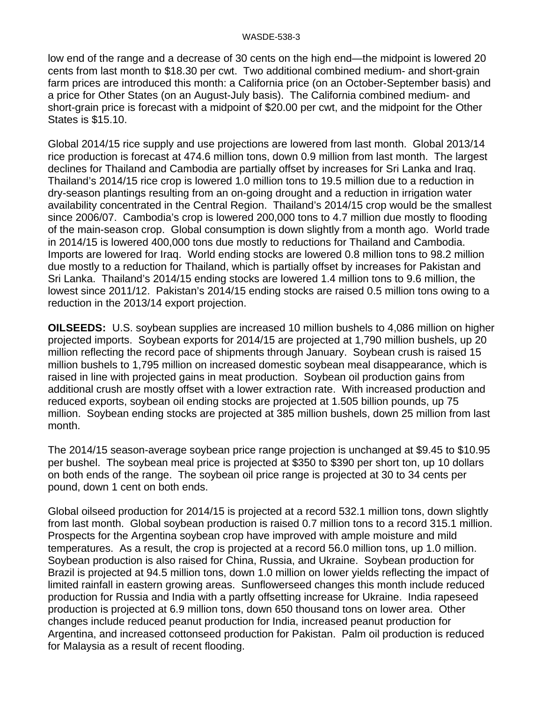low end of the range and a decrease of 30 cents on the high end—the midpoint is lowered 20 cents from last month to \$18.30 per cwt. Two additional combined medium- and short-grain farm prices are introduced this month: a California price (on an October-September basis) and a price for Other States (on an August-July basis). The California combined medium- and short-grain price is forecast with a midpoint of \$20.00 per cwt, and the midpoint for the Other States is \$15.10.

Global 2014/15 rice supply and use projections are lowered from last month. Global 2013/14 rice production is forecast at 474.6 million tons, down 0.9 million from last month. The largest declines for Thailand and Cambodia are partially offset by increases for Sri Lanka and Iraq. Thailand's 2014/15 rice crop is lowered 1.0 million tons to 19.5 million due to a reduction in dry-season plantings resulting from an on-going drought and a reduction in irrigation water availability concentrated in the Central Region. Thailand's 2014/15 crop would be the smallest since 2006/07. Cambodia's crop is lowered 200,000 tons to 4.7 million due mostly to flooding of the main-season crop. Global consumption is down slightly from a month ago. World trade in 2014/15 is lowered 400,000 tons due mostly to reductions for Thailand and Cambodia. Imports are lowered for Iraq. World ending stocks are lowered 0.8 million tons to 98.2 million due mostly to a reduction for Thailand, which is partially offset by increases for Pakistan and Sri Lanka. Thailand's 2014/15 ending stocks are lowered 1.4 million tons to 9.6 million, the lowest since 2011/12. Pakistan's 2014/15 ending stocks are raised 0.5 million tons owing to a reduction in the 2013/14 export projection.

**OILSEEDS:** U.S. soybean supplies are increased 10 million bushels to 4,086 million on higher projected imports. Soybean exports for 2014/15 are projected at 1,790 million bushels, up 20 million reflecting the record pace of shipments through January. Soybean crush is raised 15 million bushels to 1,795 million on increased domestic soybean meal disappearance, which is raised in line with projected gains in meat production. Soybean oil production gains from additional crush are mostly offset with a lower extraction rate. With increased production and reduced exports, soybean oil ending stocks are projected at 1.505 billion pounds, up 75 million. Soybean ending stocks are projected at 385 million bushels, down 25 million from last month.

The 2014/15 season-average soybean price range projection is unchanged at \$9.45 to \$10.95 per bushel. The soybean meal price is projected at \$350 to \$390 per short ton, up 10 dollars on both ends of the range. The soybean oil price range is projected at 30 to 34 cents per pound, down 1 cent on both ends.

Global oilseed production for 2014/15 is projected at a record 532.1 million tons, down slightly from last month. Global soybean production is raised 0.7 million tons to a record 315.1 million. Prospects for the Argentina soybean crop have improved with ample moisture and mild temperatures. As a result, the crop is projected at a record 56.0 million tons, up 1.0 million. Soybean production is also raised for China, Russia, and Ukraine. Soybean production for Brazil is projected at 94.5 million tons, down 1.0 million on lower yields reflecting the impact of limited rainfall in eastern growing areas. Sunflowerseed changes this month include reduced production for Russia and India with a partly offsetting increase for Ukraine. India rapeseed production is projected at 6.9 million tons, down 650 thousand tons on lower area. Other changes include reduced peanut production for India, increased peanut production for Argentina, and increased cottonseed production for Pakistan. Palm oil production is reduced for Malaysia as a result of recent flooding.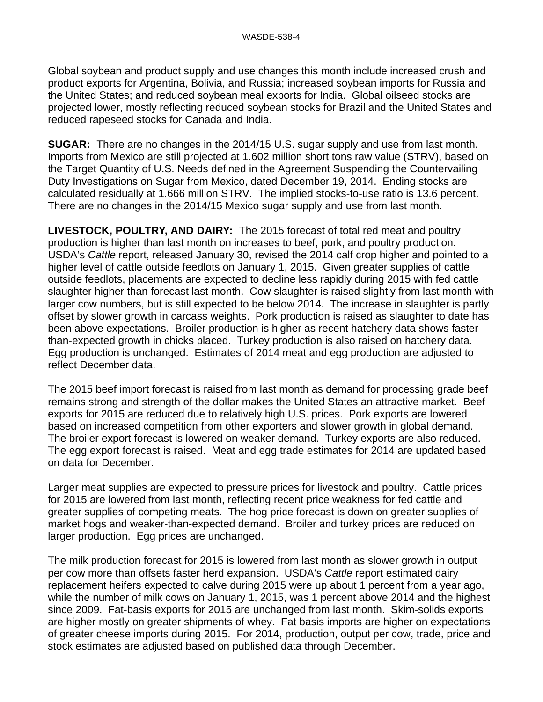Global soybean and product supply and use changes this month include increased crush and product exports for Argentina, Bolivia, and Russia; increased soybean imports for Russia and the United States; and reduced soybean meal exports for India. Global oilseed stocks are projected lower, mostly reflecting reduced soybean stocks for Brazil and the United States and reduced rapeseed stocks for Canada and India.

**SUGAR:** There are no changes in the 2014/15 U.S. sugar supply and use from last month. Imports from Mexico are still projected at 1.602 million short tons raw value (STRV), based on the Target Quantity of U.S. Needs defined in the Agreement Suspending the Countervailing Duty Investigations on Sugar from Mexico, dated December 19, 2014. Ending stocks are calculated residually at 1.666 million STRV. The implied stocks-to-use ratio is 13.6 percent. There are no changes in the 2014/15 Mexico sugar supply and use from last month.

**LIVESTOCK, POULTRY, AND DAIRY:** The 2015 forecast of total red meat and poultry production is higher than last month on increases to beef, pork, and poultry production. USDA's *Cattle* report, released January 30, revised the 2014 calf crop higher and pointed to a higher level of cattle outside feedlots on January 1, 2015. Given greater supplies of cattle outside feedlots, placements are expected to decline less rapidly during 2015 with fed cattle slaughter higher than forecast last month. Cow slaughter is raised slightly from last month with larger cow numbers, but is still expected to be below 2014. The increase in slaughter is partly offset by slower growth in carcass weights. Pork production is raised as slaughter to date has been above expectations. Broiler production is higher as recent hatchery data shows fasterthan-expected growth in chicks placed. Turkey production is also raised on hatchery data. Egg production is unchanged. Estimates of 2014 meat and egg production are adjusted to reflect December data.

The 2015 beef import forecast is raised from last month as demand for processing grade beef remains strong and strength of the dollar makes the United States an attractive market. Beef exports for 2015 are reduced due to relatively high U.S. prices. Pork exports are lowered based on increased competition from other exporters and slower growth in global demand. The broiler export forecast is lowered on weaker demand. Turkey exports are also reduced. The egg export forecast is raised. Meat and egg trade estimates for 2014 are updated based on data for December.

Larger meat supplies are expected to pressure prices for livestock and poultry. Cattle prices for 2015 are lowered from last month, reflecting recent price weakness for fed cattle and greater supplies of competing meats. The hog price forecast is down on greater supplies of market hogs and weaker-than-expected demand. Broiler and turkey prices are reduced on larger production. Egg prices are unchanged.

The milk production forecast for 2015 is lowered from last month as slower growth in output per cow more than offsets faster herd expansion. USDA's *Cattle* report estimated dairy replacement heifers expected to calve during 2015 were up about 1 percent from a year ago, while the number of milk cows on January 1, 2015, was 1 percent above 2014 and the highest since 2009. Fat-basis exports for 2015 are unchanged from last month. Skim-solids exports are higher mostly on greater shipments of whey. Fat basis imports are higher on expectations of greater cheese imports during 2015. For 2014, production, output per cow, trade, price and stock estimates are adjusted based on published data through December.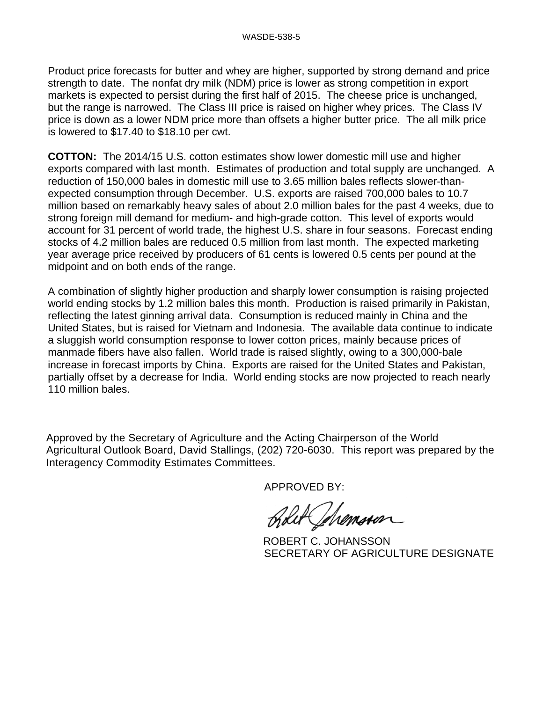Product price forecasts for butter and whey are higher, supported by strong demand and price strength to date. The nonfat dry milk (NDM) price is lower as strong competition in export markets is expected to persist during the first half of 2015. The cheese price is unchanged, but the range is narrowed. The Class III price is raised on higher whey prices. The Class IV price is down as a lower NDM price more than offsets a higher butter price. The all milk price is lowered to \$17.40 to \$18.10 per cwt.

**COTTON:** The 2014/15 U.S. cotton estimates show lower domestic mill use and higher exports compared with last month. Estimates of production and total supply are unchanged. A reduction of 150,000 bales in domestic mill use to 3.65 million bales reflects slower-thanexpected consumption through December. U.S. exports are raised 700,000 bales to 10.7 million based on remarkably heavy sales of about 2.0 million bales for the past 4 weeks, due to strong foreign mill demand for medium- and high-grade cotton. This level of exports would account for 31 percent of world trade, the highest U.S. share in four seasons. Forecast ending stocks of 4.2 million bales are reduced 0.5 million from last month. The expected marketing year average price received by producers of 61 cents is lowered 0.5 cents per pound at the midpoint and on both ends of the range.

A combination of slightly higher production and sharply lower consumption is raising projected world ending stocks by 1.2 million bales this month. Production is raised primarily in Pakistan, reflecting the latest ginning arrival data. Consumption is reduced mainly in China and the United States, but is raised for Vietnam and Indonesia. The available data continue to indicate a sluggish world consumption response to lower cotton prices, mainly because prices of manmade fibers have also fallen. World trade is raised slightly, owing to a 300,000-bale increase in forecast imports by China. Exports are raised for the United States and Pakistan, partially offset by a decrease for India. World ending stocks are now projected to reach nearly 110 million bales.

Approved by the Secretary of Agriculture and the Acting Chairperson of the World Agricultural Outlook Board, David Stallings, (202) 720-6030. This report was prepared by the Interagency Commodity Estimates Committees.

APPROVED BY:

Lut Chemosen

 ROBERT C. JOHANSSON SECRETARY OF AGRICULTURE DESIGNATE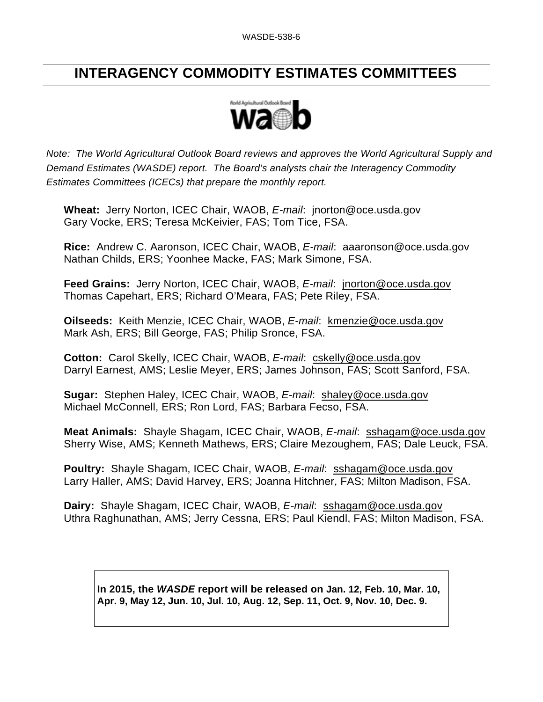## **INTERAGENCY COMMODITY ESTIMATES COMMITTEES**



*Note: The World Agricultural Outlook Board reviews and approves the World Agricultural Supply and Demand Estimates (WASDE) report. The Board's analysts chair the Interagency Commodity Estimates Committees (ICECs) that prepare the monthly report.* 

**Wheat:** Jerry Norton, ICEC Chair, WAOB, *E-mail*: jnorton@oce.usda.gov Gary Vocke, ERS; Teresa McKeivier, FAS; Tom Tice, FSA.

**Rice:** Andrew C. Aaronson, ICEC Chair, WAOB, *E-mail*: aaaronson@oce.usda.gov Nathan Childs, ERS; Yoonhee Macke, FAS; Mark Simone, FSA.

**Feed Grains:** Jerry Norton, ICEC Chair, WAOB, *E-mail*: jnorton@oce.usda.gov Thomas Capehart, ERS; Richard O'Meara, FAS; Pete Riley, FSA.

**Oilseeds:** Keith Menzie, ICEC Chair, WAOB, *E-mail*: kmenzie@oce.usda.gov Mark Ash, ERS; Bill George, FAS; Philip Sronce, FSA.

**Cotton:** Carol Skelly, ICEC Chair, WAOB, *E-mail*: cskelly@oce.usda.gov Darryl Earnest, AMS; Leslie Meyer, ERS; James Johnson, FAS; Scott Sanford, FSA.

**Sugar:** Stephen Haley, ICEC Chair, WAOB, *E-mail*: shaley@oce.usda.gov Michael McConnell, ERS; Ron Lord, FAS; Barbara Fecso, FSA.

**Meat Animals:** Shayle Shagam, ICEC Chair, WAOB, *E-mail*: sshagam@oce.usda.gov Sherry Wise, AMS; Kenneth Mathews, ERS; Claire Mezoughem, FAS; Dale Leuck, FSA.

**Poultry:** Shayle Shagam, ICEC Chair, WAOB, *E-mail*: sshagam@oce.usda.gov Larry Haller, AMS; David Harvey, ERS; Joanna Hitchner, FAS; Milton Madison, FSA.

**Dairy:** Shayle Shagam, ICEC Chair, WAOB, *E-mail*: sshagam@oce.usda.gov Uthra Raghunathan, AMS; Jerry Cessna, ERS; Paul Kiendl, FAS; Milton Madison, FSA.

**In 2015, the** *WASDE* **report will be released on Jan. 12, Feb. 10, Mar. 10, Apr. 9, May 12, Jun. 10, Jul. 10, Aug. 12, Sep. 11, Oct. 9, Nov. 10, Dec. 9.**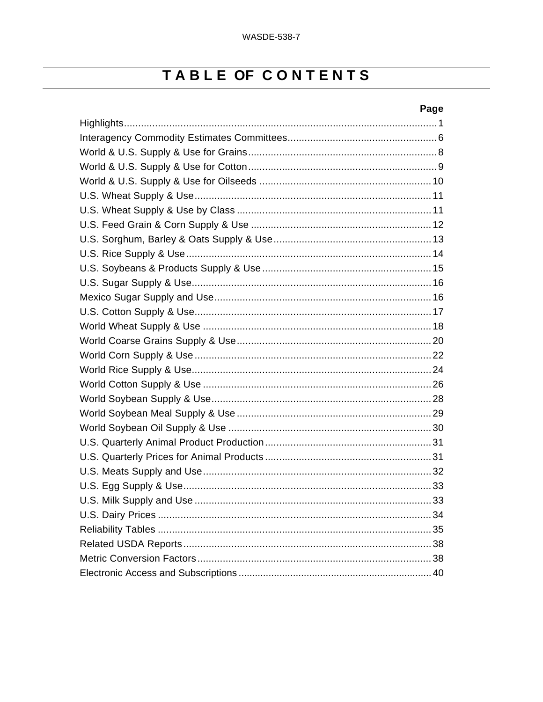## TABLE OF CONTENTS

#### Page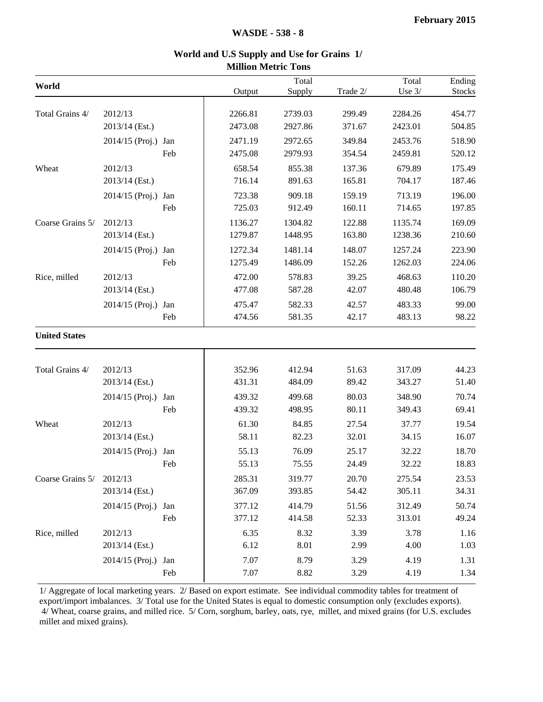| World                |                     |     |         | Total   |          | Total    | Ending |
|----------------------|---------------------|-----|---------|---------|----------|----------|--------|
|                      |                     |     | Output  | Supply  | Trade 2/ | Use $3/$ | Stocks |
|                      |                     |     |         |         |          |          |        |
| Total Grains 4/      | 2012/13             |     | 2266.81 | 2739.03 | 299.49   | 2284.26  | 454.77 |
|                      | 2013/14 (Est.)      |     | 2473.08 | 2927.86 | 371.67   | 2423.01  | 504.85 |
|                      | 2014/15 (Proj.) Jan |     | 2471.19 | 2972.65 | 349.84   | 2453.76  | 518.90 |
|                      |                     | Feb | 2475.08 | 2979.93 | 354.54   | 2459.81  | 520.12 |
| Wheat                | 2012/13             |     | 658.54  | 855.38  | 137.36   | 679.89   | 175.49 |
|                      | 2013/14 (Est.)      |     | 716.14  | 891.63  | 165.81   | 704.17   | 187.46 |
|                      | 2014/15 (Proj.) Jan |     | 723.38  | 909.18  | 159.19   | 713.19   | 196.00 |
|                      |                     | Feb | 725.03  | 912.49  | 160.11   | 714.65   | 197.85 |
| Coarse Grains 5/     | 2012/13             |     | 1136.27 | 1304.82 | 122.88   | 1135.74  | 169.09 |
|                      | 2013/14 (Est.)      |     | 1279.87 | 1448.95 | 163.80   | 1238.36  | 210.60 |
|                      | 2014/15 (Proj.) Jan |     | 1272.34 | 1481.14 | 148.07   | 1257.24  | 223.90 |
|                      |                     | Feb | 1275.49 | 1486.09 | 152.26   | 1262.03  | 224.06 |
| Rice, milled         | 2012/13             |     | 472.00  | 578.83  | 39.25    | 468.63   | 110.20 |
|                      | 2013/14 (Est.)      |     | 477.08  | 587.28  | 42.07    | 480.48   | 106.79 |
|                      | 2014/15 (Proj.) Jan |     | 475.47  | 582.33  | 42.57    | 483.33   | 99.00  |
|                      |                     | Feb | 474.56  | 581.35  | 42.17    | 483.13   | 98.22  |
| <b>United States</b> |                     |     |         |         |          |          |        |
| Total Grains 4/      | 2012/13             |     | 352.96  | 412.94  | 51.63    | 317.09   | 44.23  |
|                      | 2013/14 (Est.)      |     | 431.31  | 484.09  | 89.42    | 343.27   | 51.40  |
|                      | 2014/15 (Proj.)     | Jan | 439.32  | 499.68  | 80.03    | 348.90   | 70.74  |
|                      |                     | Feb | 439.32  | 498.95  | 80.11    | 349.43   | 69.41  |
| Wheat                | 2012/13             |     | 61.30   | 84.85   | 27.54    | 37.77    | 19.54  |
|                      | 2013/14 (Est.)      |     | 58.11   | 82.23   | 32.01    | 34.15    | 16.07  |
|                      | 2014/15 (Proj.)     | Jan | 55.13   | 76.09   | 25.17    | 32.22    | 18.70  |
|                      |                     | Feb | 55.13   | 75.55   | 24.49    | 32.22    | 18.83  |
| Coarse Grains 5/     | 2012/13             |     | 285.31  | 319.77  | 20.70    | 275.54   | 23.53  |
|                      | 2013/14 (Est.)      |     | 367.09  | 393.85  | 54.42    | 305.11   | 34.31  |
|                      | 2014/15 (Proj.) Jan |     | 377.12  | 414.79  | 51.56    | 312.49   | 50.74  |
|                      |                     | Feb | 377.12  | 414.58  | 52.33    | 313.01   | 49.24  |
| Rice, milled         | 2012/13             |     | 6.35    | 8.32    | 3.39     | 3.78     | 1.16   |
|                      | 2013/14 (Est.)      |     | 6.12    | 8.01    | 2.99     | 4.00     | 1.03   |
|                      | 2014/15 (Proj.)     | Jan | 7.07    | 8.79    | 3.29     | 4.19     | 1.31   |
|                      |                     | Feb | 7.07    | 8.82    | 3.29     | 4.19     | 1.34   |
|                      |                     |     |         |         |          |          |        |

#### **World and U.S Supply and Use for Grains 1/ Million Metric Tons**

1/ Aggregate of local marketing years. 2/ Based on export estimate. See individual commodity tables for treatment of export/import imbalances. 3/ Total use for the United States is equal to domestic consumption only (excludes exports). 4/ Wheat, coarse grains, and milled rice. 5/ Corn, sorghum, barley, oats, rye, millet, and mixed grains (for U.S. excludes millet and mixed grains).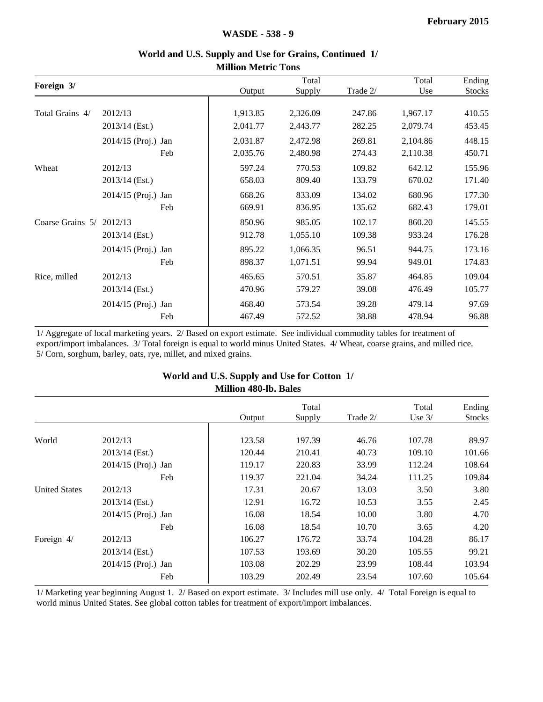|                  |                     |     | <b>MUNIQUE IMENTIC TONS</b> |          |          |          |               |
|------------------|---------------------|-----|-----------------------------|----------|----------|----------|---------------|
|                  |                     |     |                             | Total    |          | Total    | Ending        |
| Foreign 3/       |                     |     | Output                      | Supply   | Trade 2/ | Use      | <b>Stocks</b> |
| Total Grains 4/  | 2012/13             |     | 1,913.85                    | 2,326.09 | 247.86   | 1,967.17 | 410.55        |
|                  | 2013/14 (Est.)      |     | 2,041.77                    | 2,443.77 | 282.25   | 2,079.74 | 453.45        |
|                  | 2014/15 (Proj.) Jan |     | 2,031.87                    | 2,472.98 | 269.81   | 2,104.86 | 448.15        |
|                  |                     | Feb | 2,035.76                    | 2,480.98 | 274.43   | 2,110.38 | 450.71        |
| Wheat            | 2012/13             |     | 597.24                      | 770.53   | 109.82   | 642.12   | 155.96        |
|                  | 2013/14 (Est.)      |     | 658.03                      | 809.40   | 133.79   | 670.02   | 171.40        |
|                  | 2014/15 (Proj.) Jan |     | 668.26                      | 833.09   | 134.02   | 680.96   | 177.30        |
|                  |                     | Feb | 669.91                      | 836.95   | 135.62   | 682.43   | 179.01        |
| Coarse Grains 5/ | 2012/13             |     | 850.96                      | 985.05   | 102.17   | 860.20   | 145.55        |
|                  | 2013/14 (Est.)      |     | 912.78                      | 1,055.10 | 109.38   | 933.24   | 176.28        |
|                  | 2014/15 (Proj.) Jan |     | 895.22                      | 1,066.35 | 96.51    | 944.75   | 173.16        |
|                  |                     | Feb | 898.37                      | 1,071.51 | 99.94    | 949.01   | 174.83        |
| Rice, milled     | 2012/13             |     | 465.65                      | 570.51   | 35.87    | 464.85   | 109.04        |
|                  | 2013/14 (Est.)      |     | 470.96                      | 579.27   | 39.08    | 476.49   | 105.77        |
|                  | 2014/15 (Proj.) Jan |     | 468.40                      | 573.54   | 39.28    | 479.14   | 97.69         |
|                  |                     | Feb | 467.49                      | 572.52   | 38.88    | 478.94   | 96.88         |

#### **World and U.S. Supply and Use for Grains, Continued 1/ Million Metric Tons**

1/ Aggregate of local marketing years. 2/ Based on export estimate. See individual commodity tables for treatment of export/import imbalances. 3/ Total foreign is equal to world minus United States. 4/ Wheat, coarse grains, and milled rice. 5/ Corn, sorghum, barley, oats, rye, millet, and mixed grains.

|                      |                       | whindu <del>T</del> ov-ID. Daics |        |          |          |               |
|----------------------|-----------------------|----------------------------------|--------|----------|----------|---------------|
|                      |                       |                                  | Total  |          | Total    | Ending        |
|                      |                       | Output                           | Supply | Trade 2/ | Use $3/$ | <b>Stocks</b> |
| World                | 2012/13               | 123.58                           | 197.39 | 46.76    | 107.78   | 89.97         |
|                      | $2013/14$ (Est.)      | 120.44                           | 210.41 | 40.73    | 109.10   | 101.66        |
|                      | 2014/15 (Proj.) Jan   | 119.17                           | 220.83 | 33.99    | 112.24   | 108.64        |
|                      | Feb                   | 119.37                           | 221.04 | 34.24    | 111.25   | 109.84        |
| <b>United States</b> | 2012/13               | 17.31                            | 20.67  | 13.03    | 3.50     | 3.80          |
|                      | $2013/14$ (Est.)      | 12.91                            | 16.72  | 10.53    | 3.55     | 2.45          |
|                      | 2014/15 (Proj.) Jan   | 16.08                            | 18.54  | 10.00    | 3.80     | 4.70          |
|                      | Feb                   | 16.08                            | 18.54  | 10.70    | 3.65     | 4.20          |
| Foreign 4/           | 2012/13               | 106.27                           | 176.72 | 33.74    | 104.28   | 86.17         |
|                      | $2013/14$ (Est.)      | 107.53                           | 193.69 | 30.20    | 105.55   | 99.21         |
|                      | $2014/15$ (Proj.) Jan | 103.08                           | 202.29 | 23.99    | 108.44   | 103.94        |
|                      | Feb                   | 103.29                           | 202.49 | 23.54    | 107.60   | 105.64        |
|                      |                       |                                  |        |          |          |               |

#### **World and U.S. Supply and Use for Cotton 1/ Million 480-lb. Bales**

1/ Marketing year beginning August 1. 2/ Based on export estimate. 3/ Includes mill use only. 4/ Total Foreign is equal to world minus United States. See global cotton tables for treatment of export/import imbalances.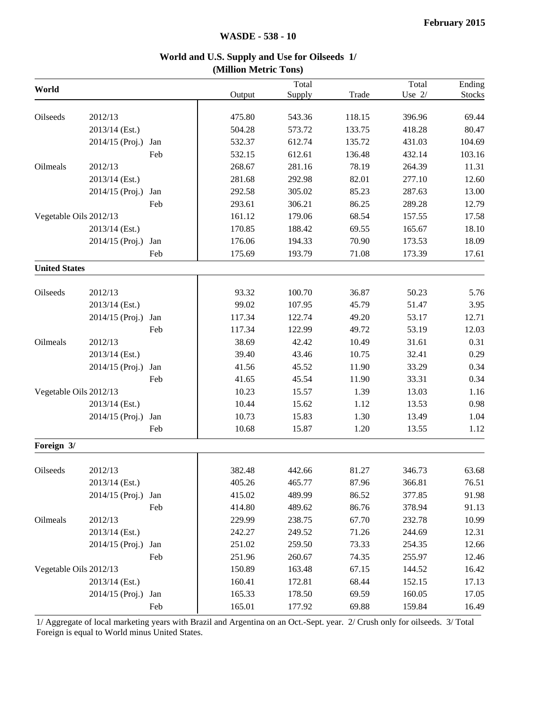#### **World and U.S. Supply and Use for Oilseeds 1/ (Million Metric Tons)**

| World                  |                 |     |        | Total  |        | Total    | $\overline{\text{E}}$ nding |
|------------------------|-----------------|-----|--------|--------|--------|----------|-----------------------------|
|                        |                 |     | Output | Supply | Trade  | Use $2/$ | <b>Stocks</b>               |
| Oilseeds               | 2012/13         |     | 475.80 | 543.36 | 118.15 | 396.96   | 69.44                       |
|                        | 2013/14 (Est.)  |     | 504.28 | 573.72 | 133.75 | 418.28   | 80.47                       |
|                        | 2014/15 (Proj.) | Jan | 532.37 | 612.74 | 135.72 | 431.03   | 104.69                      |
|                        |                 | Feb | 532.15 | 612.61 | 136.48 | 432.14   | 103.16                      |
| Oilmeals               | 2012/13         |     | 268.67 | 281.16 | 78.19  | 264.39   | 11.31                       |
|                        | 2013/14 (Est.)  |     | 281.68 | 292.98 | 82.01  | 277.10   | 12.60                       |
|                        | 2014/15 (Proj.) | Jan | 292.58 | 305.02 | 85.23  | 287.63   | 13.00                       |
|                        |                 | Feb | 293.61 | 306.21 | 86.25  | 289.28   | 12.79                       |
|                        |                 |     | 161.12 | 179.06 | 68.54  |          |                             |
| Vegetable Oils 2012/13 |                 |     |        | 188.42 |        | 157.55   | 17.58                       |
|                        | 2013/14 (Est.)  |     | 170.85 |        | 69.55  | 165.67   | 18.10                       |
|                        | 2014/15 (Proj.) | Jan | 176.06 | 194.33 | 70.90  | 173.53   | 18.09                       |
|                        |                 | Feb | 175.69 | 193.79 | 71.08  | 173.39   | 17.61                       |
| <b>United States</b>   |                 |     |        |        |        |          |                             |
| Oilseeds               | 2012/13         |     | 93.32  | 100.70 | 36.87  | 50.23    | 5.76                        |
|                        | 2013/14 (Est.)  |     | 99.02  | 107.95 | 45.79  | 51.47    | 3.95                        |
|                        | 2014/15 (Proj.) | Jan | 117.34 | 122.74 | 49.20  | 53.17    | 12.71                       |
|                        |                 | Feb | 117.34 | 122.99 | 49.72  | 53.19    | 12.03                       |
| Oilmeals               | 2012/13         |     | 38.69  | 42.42  | 10.49  | 31.61    | 0.31                        |
|                        | 2013/14 (Est.)  |     | 39.40  | 43.46  | 10.75  | 32.41    | 0.29                        |
|                        | 2014/15 (Proj.) | Jan | 41.56  | 45.52  | 11.90  | 33.29    | 0.34                        |
|                        |                 | Feb | 41.65  | 45.54  | 11.90  | 33.31    | 0.34                        |
| Vegetable Oils 2012/13 |                 |     | 10.23  | 15.57  | 1.39   | 13.03    | 1.16                        |
|                        | 2013/14 (Est.)  |     | 10.44  | 15.62  | 1.12   | 13.53    | 0.98                        |
|                        | 2014/15 (Proj.) | Jan | 10.73  | 15.83  | 1.30   | 13.49    | 1.04                        |
|                        |                 | Feb | 10.68  | 15.87  | 1.20   | 13.55    | 1.12                        |
|                        |                 |     |        |        |        |          |                             |
| Foreign 3/             |                 |     |        |        |        |          |                             |
| Oilseeds               | 2012/13         |     | 382.48 | 442.66 | 81.27  | 346.73   | 63.68                       |
|                        | 2013/14 (Est.)  |     | 405.26 | 465.77 | 87.96  | 366.81   | 76.51                       |
|                        | 2014/15 (Proj.) | Jan | 415.02 | 489.99 | 86.52  | 377.85   | 91.98                       |
|                        |                 | Feb | 414.80 | 489.62 | 86.76  | 378.94   | 91.13                       |
| Oilmeals               | 2012/13         |     | 229.99 | 238.75 | 67.70  | 232.78   | 10.99                       |
|                        | 2013/14 (Est.)  |     | 242.27 | 249.52 | 71.26  | 244.69   | 12.31                       |
|                        | 2014/15 (Proj.) | Jan | 251.02 | 259.50 | 73.33  | 254.35   | 12.66                       |
|                        |                 | Feb | 251.96 | 260.67 | 74.35  | 255.97   | 12.46                       |
| Vegetable Oils 2012/13 |                 |     | 150.89 | 163.48 | 67.15  | 144.52   | 16.42                       |
|                        | 2013/14 (Est.)  |     | 160.41 | 172.81 | 68.44  | 152.15   | 17.13                       |
|                        | 2014/15 (Proj.) | Jan | 165.33 | 178.50 | 69.59  | 160.05   | 17.05                       |
|                        |                 |     |        |        |        |          |                             |
|                        |                 | Feb | 165.01 | 177.92 | 69.88  | 159.84   | 16.49                       |

1/ Aggregate of local marketing years with Brazil and Argentina on an Oct.-Sept. year. 2/ Crush only for oilseeds. 3/ Total Foreign is equal to World minus United States.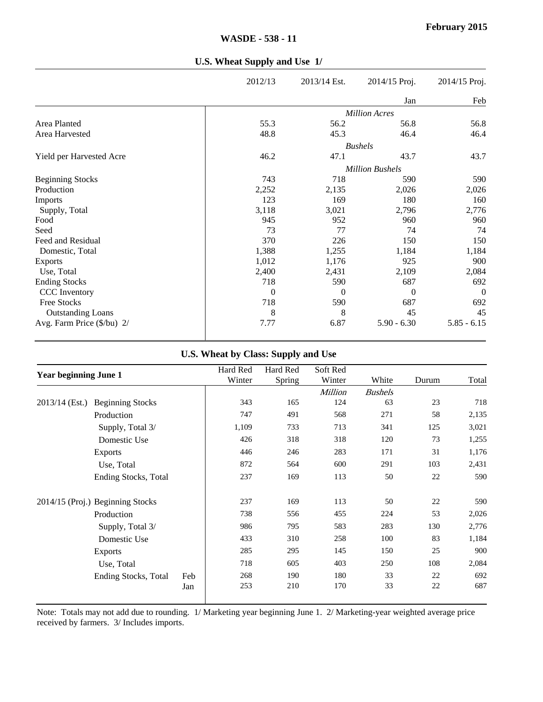|                            | 2012/13  | 2013/14 Est. | 2014/15 Proj.          | 2014/15 Proj.  |
|----------------------------|----------|--------------|------------------------|----------------|
|                            |          |              | Jan                    | Feb            |
|                            |          |              | <b>Million Acres</b>   |                |
| Area Planted               | 55.3     | 56.2         | 56.8                   | 56.8           |
| Area Harvested             | 48.8     | 45.3         | 46.4                   | 46.4           |
|                            |          |              | <b>Bushels</b>         |                |
| Yield per Harvested Acre   | 46.2     | 47.1         | 43.7                   | 43.7           |
|                            |          |              | <b>Million Bushels</b> |                |
| <b>Beginning Stocks</b>    | 743      | 718          | 590                    | 590            |
| Production                 | 2,252    | 2,135        | 2,026                  | 2,026          |
| <b>Imports</b>             | 123      | 169          | 180                    | 160            |
| Supply, Total              | 3,118    | 3,021        | 2,796                  | 2,776          |
| Food                       | 945      | 952          | 960                    | 960            |
| Seed                       | 73       | 77           | 74                     | 74             |
| Feed and Residual          | 370      | 226          | 150                    | 150            |
| Domestic, Total            | 1,388    | 1,255        | 1,184                  | 1,184          |
| <b>Exports</b>             | 1,012    | 1,176        | 925                    | 900            |
| Use, Total                 | 2,400    | 2,431        | 2,109                  | 2,084          |
| <b>Ending Stocks</b>       | 718      | 590          | 687                    | 692            |
| <b>CCC</b> Inventory       | $\theta$ | $\theta$     | $\theta$               | $\overline{0}$ |
| Free Stocks                | 718      | 590          | 687                    | 692            |
| <b>Outstanding Loans</b>   | 8        | 8            | 45                     | 45             |
| Avg. Farm Price (\$/bu) 2/ | 7.77     | 6.87         | $5.90 - 6.30$          | $5.85 - 6.15$  |

#### **U.S. Wheat Supply and Use 1/**

## **U.S. Wheat by Class: Supply and Use**

| <b>Year beginning June 1</b>                |     | Hard Red<br>Winter | Hard Red<br>Spring | Soft Red<br>Winter | White          | Durum | Total |
|---------------------------------------------|-----|--------------------|--------------------|--------------------|----------------|-------|-------|
|                                             |     |                    |                    | Million            | <b>Bushels</b> |       |       |
| $2013/14$ (Est.)<br><b>Beginning Stocks</b> |     | 343                | 165                | 124                | 63             | 23    | 718   |
| Production                                  |     | 747                | 491                | 568                | 271            | 58    | 2,135 |
| Supply, Total 3/                            |     | 1,109              | 733                | 713                | 341            | 125   | 3,021 |
| Domestic Use                                |     | 426                | 318                | 318                | 120            | 73    | 1,255 |
| <b>Exports</b>                              |     | 446                | 246                | 283                | 171            | 31    | 1,176 |
| Use, Total                                  |     | 872                | 564                | 600                | 291            | 103   | 2,431 |
| Ending Stocks, Total                        |     | 237                | 169                | 113                | 50             | 22    | 590   |
| 2014/15 (Proj.) Beginning Stocks            |     | 237                | 169                | 113                | 50             | 22    | 590   |
| Production                                  |     | 738                | 556                | 455                | 224            | 53    | 2,026 |
| Supply, Total 3/                            |     | 986                | 795                | 583                | 283            | 130   | 2,776 |
| Domestic Use                                |     | 433                | 310                | 258                | 100            | 83    | 1,184 |
| <b>Exports</b>                              |     | 285                | 295                | 145                | 150            | 25    | 900   |
| Use, Total                                  |     | 718                | 605                | 403                | 250            | 108   | 2,084 |
| Ending Stocks, Total                        | Feb | 268                | 190                | 180                | 33             | 22    | 692   |
|                                             | Jan | 253                | 210                | 170                | 33             | 22    | 687   |

 Note: Totals may not add due to rounding. 1/ Marketing year beginning June 1. 2/ Marketing-year weighted average price received by farmers. 3/ Includes imports.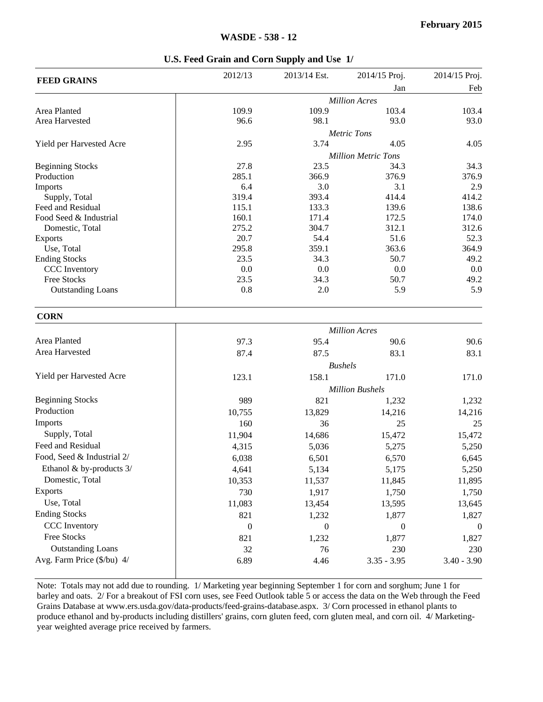|                          | 2012/13 | 2013/14 Est. | 2014/15 Proj.              | 2014/15 Proj.   |
|--------------------------|---------|--------------|----------------------------|-----------------|
| <b>FEED GRAINS</b>       |         |              | Jan                        | Feb             |
|                          |         |              | <b>Million Acres</b>       |                 |
| Area Planted             | 109.9   | 109.9        | 103.4                      | 103.4           |
| Area Harvested           | 96.6    | 98.1         | 93.0                       | 93.0            |
|                          |         |              | <b>Metric Tons</b>         |                 |
| Yield per Harvested Acre | 2.95    | 3.74         | 4.05                       | 4.05            |
|                          |         |              | <b>Million Metric Tons</b> |                 |
| <b>Beginning Stocks</b>  | 27.8    | 23.5         | 34.3                       | 34.3            |
| Production               | 285.1   | 366.9        | 376.9                      | 376.9           |
| Imports                  | 6.4     | 3.0          | 3.1                        | 2.9             |
| Supply, Total            | 319.4   | 393.4        | 414.4                      | 414.2           |
| Feed and Residual        | 115.1   | 133.3        | 139.6                      | 138.6           |
| Food Seed & Industrial   | 160.1   | 171.4        | 172.5                      | 174.0           |
| Domestic, Total          | 275.2   | 304.7        | 312.1                      | 312.6           |
| <b>Exports</b>           | 20.7    | 54.4         | 51.6                       | 52.3            |
| Use, Total               | 295.8   | 359.1        | 363.6                      | 364.9           |
| <b>Ending Stocks</b>     | 23.5    | 34.3         | 50.7                       | 49.2            |
| <b>CCC</b> Inventory     | 0.0     | 0.0          | 0.0                        | 0.0             |
| Free Stocks              | 23.5    | 34.3         | 50.7                       | 49.2            |
| <b>Outstanding Loans</b> | 0.8     | 2.0          | 5.9                        | 5.9             |
| <b>CORN</b>              |         |              |                            |                 |
|                          |         |              | <b>Million Acres</b>       |                 |
| Area Planted             | 072     | $05\lambda$  | $\Omega$ $\sim$            | 00 <sub>6</sub> |

| <b>CORN</b>                |                      |                |                        |               |  |  |
|----------------------------|----------------------|----------------|------------------------|---------------|--|--|
|                            | <b>Million Acres</b> |                |                        |               |  |  |
| Area Planted               | 97.3                 | 95.4           | 90.6                   | 90.6          |  |  |
| Area Harvested             | 87.4                 | 87.5           | 83.1                   | 83.1          |  |  |
|                            |                      | <b>Bushels</b> |                        |               |  |  |
| Yield per Harvested Acre   | 123.1                | 158.1          | 171.0                  | 171.0         |  |  |
|                            |                      |                | <b>Million Bushels</b> |               |  |  |
| <b>Beginning Stocks</b>    | 989                  | 821            | 1,232                  | 1,232         |  |  |
| Production                 | 10,755               | 13,829         | 14,216                 | 14,216        |  |  |
| <b>Imports</b>             | 160                  | 36             | 25                     | 25            |  |  |
| Supply, Total              | 11,904               | 14,686         | 15,472                 | 15,472        |  |  |
| Feed and Residual          | 4,315                | 5,036          | 5,275                  | 5,250         |  |  |
| Food, Seed & Industrial 2/ | 6,038                | 6,501          | 6,570                  | 6,645         |  |  |
| Ethanol & by-products 3/   | 4,641                | 5,134          | 5,175                  | 5,250         |  |  |
| Domestic, Total            | 10,353               | 11,537         | 11,845                 | 11,895        |  |  |
| <b>Exports</b>             | 730                  | 1,917          | 1,750                  | 1,750         |  |  |
| Use, Total                 | 11,083               | 13,454         | 13,595                 | 13,645        |  |  |
| <b>Ending Stocks</b>       | 821                  | 1,232          | 1,877                  | 1,827         |  |  |
| CCC Inventory              | $\Omega$             | $\theta$       | $\theta$               | $\Omega$      |  |  |
| Free Stocks                | 821                  | 1,232          | 1,877                  | 1,827         |  |  |
| <b>Outstanding Loans</b>   | 32                   | 76             | 230                    | 230           |  |  |
| Avg. Farm Price (\$/bu) 4/ | 6.89                 | 4.46           | $3.35 - 3.95$          | $3.40 - 3.90$ |  |  |

Note: Totals may not add due to rounding. 1/ Marketing year beginning September 1 for corn and sorghum; June 1 for barley and oats. 2/ For a breakout of FSI corn uses, see Feed Outlook table 5 or access the data on the Web through the Feed Grains Database at www.ers.usda.gov/data-products/feed-grains-database.aspx. 3/ Corn processed in ethanol plants to produce ethanol and by-products including distillers' grains, corn gluten feed, corn gluten meal, and corn oil. 4/ Marketingyear weighted average price received by farmers.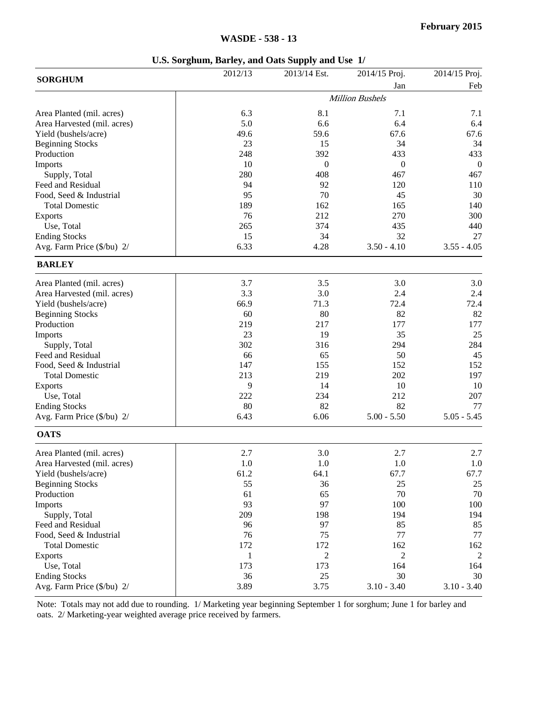| Feb<br>Jan<br><b>Million Bushels</b><br>6.3<br>8.1<br>7.1<br>Area Planted (mil. acres)<br>7.1<br>5.0<br>6.4<br>Area Harvested (mil. acres)<br>6.6<br>49.6<br>59.6<br>67.6<br>67.6<br>Yield (bushels/acre)<br>23<br>34<br>34<br><b>Beginning Stocks</b><br>15<br>Production<br>248<br>392<br>433<br>433<br>10<br>Imports<br>$\theta$<br>$\theta$<br>$\boldsymbol{0}$<br>280<br>408<br>Supply, Total<br>467<br>467<br>Feed and Residual<br>94<br>92<br>120<br>110<br>70<br>95<br>30<br>Food, Seed & Industrial<br>45<br>189<br>162<br>140<br><b>Total Domestic</b><br>165<br>76<br>212<br>270<br>300<br>Exports<br>265<br>374<br>440<br>Use, Total<br>435<br>34<br><b>Ending Stocks</b><br>15<br>32<br>27<br>6.33<br>4.28<br>Avg. Farm Price (\$/bu) 2/<br>$3.50 - 4.10$<br>$3.55 - 4.05$<br><b>BARLEY</b><br>3.7<br>3.5<br>3.0<br>Area Planted (mil. acres)<br>3.3<br>3.0<br>2.4<br>Area Harvested (mil. acres)<br>2.4<br>66.9<br>71.3<br>72.4<br>72.4<br>Yield (bushels/acre)<br>60<br>80<br>82<br>82<br>219<br>217<br>177<br>177<br>23<br>19<br>35<br>25<br>302<br>284<br>Supply, Total<br>316<br>294<br>66<br>65<br>50<br>45<br>147<br>155<br>152<br>152<br><b>Total Domestic</b><br>213<br>219<br>202<br>197<br>9<br>14<br>10<br>10<br><b>Exports</b><br>222<br>212<br>207<br>Use, Total<br>234<br>80<br>82<br>82<br><b>Ending Stocks</b><br>77<br>6.43<br>6.06<br>$5.00 - 5.50$<br>$5.05 - 5.45$<br>Avg. Farm Price (\$/bu) 2/<br><b>OATS</b><br>2.7<br>3.0<br>2.7<br>2.7<br>1.0<br>$1.0\,$<br>1.0<br>Area Harvested (mil. acres)<br>1.0<br>61.2<br>64.1<br>67.7<br>67.7<br>Yield (bushels/acre)<br>55<br>36<br><b>Beginning Stocks</b><br>25<br>25<br>65<br>Production<br>61<br>70<br>70<br>93<br>97<br>Imports<br>100<br>100<br>Supply, Total<br>209<br>198<br>194<br>194<br>Feed and Residual<br>96<br>97<br>85<br>85<br>Food, Seed & Industrial<br>76<br>75<br>77<br>77<br>172<br>172<br><b>Total Domestic</b><br>162<br>162<br>$\overline{c}$<br>2<br>1<br>2<br><b>Exports</b><br>173<br>Use, Total<br>173<br>164<br>164<br><b>Ending Stocks</b><br>36<br>25<br>30<br>30<br>3.89<br>3.75<br>$3.10 - 3.40$<br>$3.10 - 3.40$<br>Avg. Farm Price (\$/bu) 2/ |                           | 2012/13 | 2013/14 Est. | 2014/15 Proj. | 2014/15 Proj. |
|-------------------------------------------------------------------------------------------------------------------------------------------------------------------------------------------------------------------------------------------------------------------------------------------------------------------------------------------------------------------------------------------------------------------------------------------------------------------------------------------------------------------------------------------------------------------------------------------------------------------------------------------------------------------------------------------------------------------------------------------------------------------------------------------------------------------------------------------------------------------------------------------------------------------------------------------------------------------------------------------------------------------------------------------------------------------------------------------------------------------------------------------------------------------------------------------------------------------------------------------------------------------------------------------------------------------------------------------------------------------------------------------------------------------------------------------------------------------------------------------------------------------------------------------------------------------------------------------------------------------------------------------------------------------------------------------------------------------------------------------------------------------------------------------------------------------------------------------------------------------------------------------------------------------------------------------------------------------------------------------------------------------------------------------------------------------------------------------------------------------------------------------------------------------|---------------------------|---------|--------------|---------------|---------------|
|                                                                                                                                                                                                                                                                                                                                                                                                                                                                                                                                                                                                                                                                                                                                                                                                                                                                                                                                                                                                                                                                                                                                                                                                                                                                                                                                                                                                                                                                                                                                                                                                                                                                                                                                                                                                                                                                                                                                                                                                                                                                                                                                                                   | <b>SORGHUM</b>            |         |              |               |               |
|                                                                                                                                                                                                                                                                                                                                                                                                                                                                                                                                                                                                                                                                                                                                                                                                                                                                                                                                                                                                                                                                                                                                                                                                                                                                                                                                                                                                                                                                                                                                                                                                                                                                                                                                                                                                                                                                                                                                                                                                                                                                                                                                                                   |                           |         |              |               |               |
|                                                                                                                                                                                                                                                                                                                                                                                                                                                                                                                                                                                                                                                                                                                                                                                                                                                                                                                                                                                                                                                                                                                                                                                                                                                                                                                                                                                                                                                                                                                                                                                                                                                                                                                                                                                                                                                                                                                                                                                                                                                                                                                                                                   |                           |         |              |               |               |
|                                                                                                                                                                                                                                                                                                                                                                                                                                                                                                                                                                                                                                                                                                                                                                                                                                                                                                                                                                                                                                                                                                                                                                                                                                                                                                                                                                                                                                                                                                                                                                                                                                                                                                                                                                                                                                                                                                                                                                                                                                                                                                                                                                   |                           |         |              |               | 6.4           |
|                                                                                                                                                                                                                                                                                                                                                                                                                                                                                                                                                                                                                                                                                                                                                                                                                                                                                                                                                                                                                                                                                                                                                                                                                                                                                                                                                                                                                                                                                                                                                                                                                                                                                                                                                                                                                                                                                                                                                                                                                                                                                                                                                                   |                           |         |              |               |               |
|                                                                                                                                                                                                                                                                                                                                                                                                                                                                                                                                                                                                                                                                                                                                                                                                                                                                                                                                                                                                                                                                                                                                                                                                                                                                                                                                                                                                                                                                                                                                                                                                                                                                                                                                                                                                                                                                                                                                                                                                                                                                                                                                                                   |                           |         |              |               |               |
|                                                                                                                                                                                                                                                                                                                                                                                                                                                                                                                                                                                                                                                                                                                                                                                                                                                                                                                                                                                                                                                                                                                                                                                                                                                                                                                                                                                                                                                                                                                                                                                                                                                                                                                                                                                                                                                                                                                                                                                                                                                                                                                                                                   |                           |         |              |               |               |
|                                                                                                                                                                                                                                                                                                                                                                                                                                                                                                                                                                                                                                                                                                                                                                                                                                                                                                                                                                                                                                                                                                                                                                                                                                                                                                                                                                                                                                                                                                                                                                                                                                                                                                                                                                                                                                                                                                                                                                                                                                                                                                                                                                   |                           |         |              |               |               |
|                                                                                                                                                                                                                                                                                                                                                                                                                                                                                                                                                                                                                                                                                                                                                                                                                                                                                                                                                                                                                                                                                                                                                                                                                                                                                                                                                                                                                                                                                                                                                                                                                                                                                                                                                                                                                                                                                                                                                                                                                                                                                                                                                                   |                           |         |              |               |               |
|                                                                                                                                                                                                                                                                                                                                                                                                                                                                                                                                                                                                                                                                                                                                                                                                                                                                                                                                                                                                                                                                                                                                                                                                                                                                                                                                                                                                                                                                                                                                                                                                                                                                                                                                                                                                                                                                                                                                                                                                                                                                                                                                                                   |                           |         |              |               |               |
|                                                                                                                                                                                                                                                                                                                                                                                                                                                                                                                                                                                                                                                                                                                                                                                                                                                                                                                                                                                                                                                                                                                                                                                                                                                                                                                                                                                                                                                                                                                                                                                                                                                                                                                                                                                                                                                                                                                                                                                                                                                                                                                                                                   |                           |         |              |               |               |
|                                                                                                                                                                                                                                                                                                                                                                                                                                                                                                                                                                                                                                                                                                                                                                                                                                                                                                                                                                                                                                                                                                                                                                                                                                                                                                                                                                                                                                                                                                                                                                                                                                                                                                                                                                                                                                                                                                                                                                                                                                                                                                                                                                   |                           |         |              |               |               |
|                                                                                                                                                                                                                                                                                                                                                                                                                                                                                                                                                                                                                                                                                                                                                                                                                                                                                                                                                                                                                                                                                                                                                                                                                                                                                                                                                                                                                                                                                                                                                                                                                                                                                                                                                                                                                                                                                                                                                                                                                                                                                                                                                                   |                           |         |              |               |               |
|                                                                                                                                                                                                                                                                                                                                                                                                                                                                                                                                                                                                                                                                                                                                                                                                                                                                                                                                                                                                                                                                                                                                                                                                                                                                                                                                                                                                                                                                                                                                                                                                                                                                                                                                                                                                                                                                                                                                                                                                                                                                                                                                                                   |                           |         |              |               |               |
|                                                                                                                                                                                                                                                                                                                                                                                                                                                                                                                                                                                                                                                                                                                                                                                                                                                                                                                                                                                                                                                                                                                                                                                                                                                                                                                                                                                                                                                                                                                                                                                                                                                                                                                                                                                                                                                                                                                                                                                                                                                                                                                                                                   |                           |         |              |               |               |
|                                                                                                                                                                                                                                                                                                                                                                                                                                                                                                                                                                                                                                                                                                                                                                                                                                                                                                                                                                                                                                                                                                                                                                                                                                                                                                                                                                                                                                                                                                                                                                                                                                                                                                                                                                                                                                                                                                                                                                                                                                                                                                                                                                   |                           |         |              |               |               |
|                                                                                                                                                                                                                                                                                                                                                                                                                                                                                                                                                                                                                                                                                                                                                                                                                                                                                                                                                                                                                                                                                                                                                                                                                                                                                                                                                                                                                                                                                                                                                                                                                                                                                                                                                                                                                                                                                                                                                                                                                                                                                                                                                                   |                           |         |              |               |               |
|                                                                                                                                                                                                                                                                                                                                                                                                                                                                                                                                                                                                                                                                                                                                                                                                                                                                                                                                                                                                                                                                                                                                                                                                                                                                                                                                                                                                                                                                                                                                                                                                                                                                                                                                                                                                                                                                                                                                                                                                                                                                                                                                                                   |                           |         |              |               |               |
|                                                                                                                                                                                                                                                                                                                                                                                                                                                                                                                                                                                                                                                                                                                                                                                                                                                                                                                                                                                                                                                                                                                                                                                                                                                                                                                                                                                                                                                                                                                                                                                                                                                                                                                                                                                                                                                                                                                                                                                                                                                                                                                                                                   |                           |         |              |               | 3.0           |
|                                                                                                                                                                                                                                                                                                                                                                                                                                                                                                                                                                                                                                                                                                                                                                                                                                                                                                                                                                                                                                                                                                                                                                                                                                                                                                                                                                                                                                                                                                                                                                                                                                                                                                                                                                                                                                                                                                                                                                                                                                                                                                                                                                   |                           |         |              |               |               |
|                                                                                                                                                                                                                                                                                                                                                                                                                                                                                                                                                                                                                                                                                                                                                                                                                                                                                                                                                                                                                                                                                                                                                                                                                                                                                                                                                                                                                                                                                                                                                                                                                                                                                                                                                                                                                                                                                                                                                                                                                                                                                                                                                                   |                           |         |              |               |               |
|                                                                                                                                                                                                                                                                                                                                                                                                                                                                                                                                                                                                                                                                                                                                                                                                                                                                                                                                                                                                                                                                                                                                                                                                                                                                                                                                                                                                                                                                                                                                                                                                                                                                                                                                                                                                                                                                                                                                                                                                                                                                                                                                                                   | <b>Beginning Stocks</b>   |         |              |               |               |
|                                                                                                                                                                                                                                                                                                                                                                                                                                                                                                                                                                                                                                                                                                                                                                                                                                                                                                                                                                                                                                                                                                                                                                                                                                                                                                                                                                                                                                                                                                                                                                                                                                                                                                                                                                                                                                                                                                                                                                                                                                                                                                                                                                   | Production                |         |              |               |               |
|                                                                                                                                                                                                                                                                                                                                                                                                                                                                                                                                                                                                                                                                                                                                                                                                                                                                                                                                                                                                                                                                                                                                                                                                                                                                                                                                                                                                                                                                                                                                                                                                                                                                                                                                                                                                                                                                                                                                                                                                                                                                                                                                                                   | Imports                   |         |              |               |               |
|                                                                                                                                                                                                                                                                                                                                                                                                                                                                                                                                                                                                                                                                                                                                                                                                                                                                                                                                                                                                                                                                                                                                                                                                                                                                                                                                                                                                                                                                                                                                                                                                                                                                                                                                                                                                                                                                                                                                                                                                                                                                                                                                                                   |                           |         |              |               |               |
|                                                                                                                                                                                                                                                                                                                                                                                                                                                                                                                                                                                                                                                                                                                                                                                                                                                                                                                                                                                                                                                                                                                                                                                                                                                                                                                                                                                                                                                                                                                                                                                                                                                                                                                                                                                                                                                                                                                                                                                                                                                                                                                                                                   | Feed and Residual         |         |              |               |               |
|                                                                                                                                                                                                                                                                                                                                                                                                                                                                                                                                                                                                                                                                                                                                                                                                                                                                                                                                                                                                                                                                                                                                                                                                                                                                                                                                                                                                                                                                                                                                                                                                                                                                                                                                                                                                                                                                                                                                                                                                                                                                                                                                                                   | Food, Seed & Industrial   |         |              |               |               |
|                                                                                                                                                                                                                                                                                                                                                                                                                                                                                                                                                                                                                                                                                                                                                                                                                                                                                                                                                                                                                                                                                                                                                                                                                                                                                                                                                                                                                                                                                                                                                                                                                                                                                                                                                                                                                                                                                                                                                                                                                                                                                                                                                                   |                           |         |              |               |               |
|                                                                                                                                                                                                                                                                                                                                                                                                                                                                                                                                                                                                                                                                                                                                                                                                                                                                                                                                                                                                                                                                                                                                                                                                                                                                                                                                                                                                                                                                                                                                                                                                                                                                                                                                                                                                                                                                                                                                                                                                                                                                                                                                                                   |                           |         |              |               |               |
|                                                                                                                                                                                                                                                                                                                                                                                                                                                                                                                                                                                                                                                                                                                                                                                                                                                                                                                                                                                                                                                                                                                                                                                                                                                                                                                                                                                                                                                                                                                                                                                                                                                                                                                                                                                                                                                                                                                                                                                                                                                                                                                                                                   |                           |         |              |               |               |
|                                                                                                                                                                                                                                                                                                                                                                                                                                                                                                                                                                                                                                                                                                                                                                                                                                                                                                                                                                                                                                                                                                                                                                                                                                                                                                                                                                                                                                                                                                                                                                                                                                                                                                                                                                                                                                                                                                                                                                                                                                                                                                                                                                   |                           |         |              |               |               |
|                                                                                                                                                                                                                                                                                                                                                                                                                                                                                                                                                                                                                                                                                                                                                                                                                                                                                                                                                                                                                                                                                                                                                                                                                                                                                                                                                                                                                                                                                                                                                                                                                                                                                                                                                                                                                                                                                                                                                                                                                                                                                                                                                                   |                           |         |              |               |               |
|                                                                                                                                                                                                                                                                                                                                                                                                                                                                                                                                                                                                                                                                                                                                                                                                                                                                                                                                                                                                                                                                                                                                                                                                                                                                                                                                                                                                                                                                                                                                                                                                                                                                                                                                                                                                                                                                                                                                                                                                                                                                                                                                                                   |                           |         |              |               |               |
|                                                                                                                                                                                                                                                                                                                                                                                                                                                                                                                                                                                                                                                                                                                                                                                                                                                                                                                                                                                                                                                                                                                                                                                                                                                                                                                                                                                                                                                                                                                                                                                                                                                                                                                                                                                                                                                                                                                                                                                                                                                                                                                                                                   | Area Planted (mil. acres) |         |              |               |               |
|                                                                                                                                                                                                                                                                                                                                                                                                                                                                                                                                                                                                                                                                                                                                                                                                                                                                                                                                                                                                                                                                                                                                                                                                                                                                                                                                                                                                                                                                                                                                                                                                                                                                                                                                                                                                                                                                                                                                                                                                                                                                                                                                                                   |                           |         |              |               |               |
|                                                                                                                                                                                                                                                                                                                                                                                                                                                                                                                                                                                                                                                                                                                                                                                                                                                                                                                                                                                                                                                                                                                                                                                                                                                                                                                                                                                                                                                                                                                                                                                                                                                                                                                                                                                                                                                                                                                                                                                                                                                                                                                                                                   |                           |         |              |               |               |
|                                                                                                                                                                                                                                                                                                                                                                                                                                                                                                                                                                                                                                                                                                                                                                                                                                                                                                                                                                                                                                                                                                                                                                                                                                                                                                                                                                                                                                                                                                                                                                                                                                                                                                                                                                                                                                                                                                                                                                                                                                                                                                                                                                   |                           |         |              |               |               |
|                                                                                                                                                                                                                                                                                                                                                                                                                                                                                                                                                                                                                                                                                                                                                                                                                                                                                                                                                                                                                                                                                                                                                                                                                                                                                                                                                                                                                                                                                                                                                                                                                                                                                                                                                                                                                                                                                                                                                                                                                                                                                                                                                                   |                           |         |              |               |               |
|                                                                                                                                                                                                                                                                                                                                                                                                                                                                                                                                                                                                                                                                                                                                                                                                                                                                                                                                                                                                                                                                                                                                                                                                                                                                                                                                                                                                                                                                                                                                                                                                                                                                                                                                                                                                                                                                                                                                                                                                                                                                                                                                                                   |                           |         |              |               |               |
|                                                                                                                                                                                                                                                                                                                                                                                                                                                                                                                                                                                                                                                                                                                                                                                                                                                                                                                                                                                                                                                                                                                                                                                                                                                                                                                                                                                                                                                                                                                                                                                                                                                                                                                                                                                                                                                                                                                                                                                                                                                                                                                                                                   |                           |         |              |               |               |
|                                                                                                                                                                                                                                                                                                                                                                                                                                                                                                                                                                                                                                                                                                                                                                                                                                                                                                                                                                                                                                                                                                                                                                                                                                                                                                                                                                                                                                                                                                                                                                                                                                                                                                                                                                                                                                                                                                                                                                                                                                                                                                                                                                   |                           |         |              |               |               |
|                                                                                                                                                                                                                                                                                                                                                                                                                                                                                                                                                                                                                                                                                                                                                                                                                                                                                                                                                                                                                                                                                                                                                                                                                                                                                                                                                                                                                                                                                                                                                                                                                                                                                                                                                                                                                                                                                                                                                                                                                                                                                                                                                                   |                           |         |              |               |               |
|                                                                                                                                                                                                                                                                                                                                                                                                                                                                                                                                                                                                                                                                                                                                                                                                                                                                                                                                                                                                                                                                                                                                                                                                                                                                                                                                                                                                                                                                                                                                                                                                                                                                                                                                                                                                                                                                                                                                                                                                                                                                                                                                                                   |                           |         |              |               |               |
|                                                                                                                                                                                                                                                                                                                                                                                                                                                                                                                                                                                                                                                                                                                                                                                                                                                                                                                                                                                                                                                                                                                                                                                                                                                                                                                                                                                                                                                                                                                                                                                                                                                                                                                                                                                                                                                                                                                                                                                                                                                                                                                                                                   |                           |         |              |               |               |
|                                                                                                                                                                                                                                                                                                                                                                                                                                                                                                                                                                                                                                                                                                                                                                                                                                                                                                                                                                                                                                                                                                                                                                                                                                                                                                                                                                                                                                                                                                                                                                                                                                                                                                                                                                                                                                                                                                                                                                                                                                                                                                                                                                   |                           |         |              |               |               |
|                                                                                                                                                                                                                                                                                                                                                                                                                                                                                                                                                                                                                                                                                                                                                                                                                                                                                                                                                                                                                                                                                                                                                                                                                                                                                                                                                                                                                                                                                                                                                                                                                                                                                                                                                                                                                                                                                                                                                                                                                                                                                                                                                                   |                           |         |              |               |               |
|                                                                                                                                                                                                                                                                                                                                                                                                                                                                                                                                                                                                                                                                                                                                                                                                                                                                                                                                                                                                                                                                                                                                                                                                                                                                                                                                                                                                                                                                                                                                                                                                                                                                                                                                                                                                                                                                                                                                                                                                                                                                                                                                                                   |                           |         |              |               |               |

Note: Totals may not add due to rounding. 1/ Marketing year beginning September 1 for sorghum; June 1 for barley and oats. 2/ Marketing-year weighted average price received by farmers.

Filler Filler Filler Filler Filler Filler Filler Filler Filler Filler Filler Filler Filler Filler Filler Fille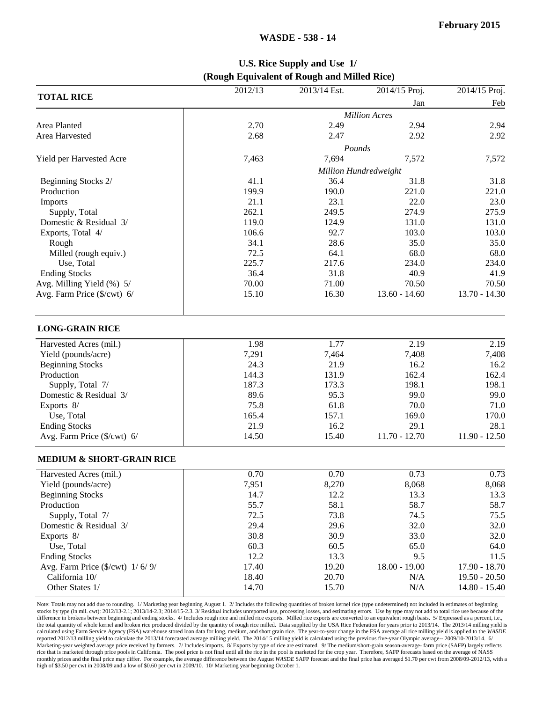#### **TOTAL RICE** 2012/13 2012/13 2013/14 Est. 2014/15 Proj. 2014/15 Proj. Jan Feb *Million Acres* Area Planted 2.70 2.49 2.94 2.94 Area Harvested 2.68 2.47 2.92 2.92 2.92 *Pounds* Yield per Harvested Acre 1,572 7,572 7,572 7,572 7,572 7,572 *Million Hundredweight* Beginning Stocks 2/ 31.8 31.8 31.8 31.8 31.8 Production 199.9 190.0 221.0 221.0 221.0 Imports 21.1 23.1 22.0 23.0 Supply, Total 275.9 274.9 275.9 275.9 275.9 275.9 275.9 275.9 2020 Domestic & Residual 3/ 119.0 124.9 131.0 131.0 131.0 Exports, Total 4/ 105.0 103.0 103.0 103.0 103.0 103.0 Rough 34.1 28.6 35.0 35.0 Milled (rough equiv.) **72.5** 64.1 68.0 68.0 68.0 Use, Total 234.0 234.0 234.0 234.0 234.0 234.0 234.0 234.0 234.0 234.0 234.0 234.0 234.0 234.0 234.0 234.0 234.0 234.0 234.0 234.0 234.0 234.0 234.0 234.0 234.0 234.0 234.0 234.0 234.0 234.0 234.0 234.0 234.0 234.0 234.0 2 Ending Stocks 36.4 31.8 40.9 41.9 Avg. Milling Yield (%) 5/ 70.00 70.00 71.00 70.50 70.50 70.50 Avg. Farm Price (\$/cwt) 6/ 15.10 16.30 13.60 - 14.60 13.70 - 14.30  $\overline{\phantom{a}}$ **LONG-GRAIN RICE** Harvested Acres (mil.) 1.98 1.77 2.19 2.19 2.19 Yield (pounds/acre) 7,291 7,464 7,408 7,408 Beginning Stocks 24.3 21.9 16.2 16.2 Production 144.3 131.9 162.4 162.4 162.4 Supply, Total 7/ 187.3 173.3 198.1 198.1 198.1 Domestic & Residual 3/ 89.6 95.3 99.0 99.0 99.0 Exports 8/ 75.8 61.8 70.0 71.0 Use, Total 170.0 170.0 165.4 157.1 169.0 170.0 Ending Stocks 21.9 28.1 28.1 28.1 28.1 28.1 Avg. Farm Price (\$/cwt) 6/ 14.50 15.40 11.70 - 12.70 11.90 - 12.50 Filler Filler Filler Filler Filler Filler Filler Filler Filler Filler Filler Filler Filler Filler Filler Fille **MEDIUM & SHORT-GRAIN RICE** Harvested Acres (mil.) **0.70** 0.70 0.73 0.73 0.73 0.73 Yield (pounds/acre) 7,951 8,270 8,068 8,068 Beginning Stocks 13.3 13.3 13.3 13.3 13.3 Production 55.7 58.7 58.7 58.7 58.7 58.7 58.7 Supply, Total 7/ 75.5 72.5 73.8 74.5 75.5 Domestic & Residual 3/ 29.4 29.6 32.0 32.0 32.0 Exports 8/ 30.8 30.9 33.0 32.0 Use, Total 60.3 66.5 65.0 64.0 Ending Stocks 12.2 13.3 9.5 11.5 Avg. Farm Price (\$/cwt) 1/ 6/ 9/ 17.40 19.20 18.00 - 18.00 - 17.90 - 18.70 California 10/ 18.40 20.70 N/A 19.50 - 20.50 Other States 1/ 14.70 15.70 N/A 14.80 - 15.40 Filler Filler Filler Filler Filler Filler Filler Filler Filler Filler Filler Filler Filler Filler Filler Fille Note: Totals may not add due to rounding. 1/ Marketing year beginning August 1. 2/ Includes the following quantities of broken kernel rice (type undetermined) not included in estimates of beginning

**U.S. Rice Supply and Use 1/ (Rough Equivalent of Rough and Milled Rice)**

stocks by type (in mil. cwt): 2012/13-2.1; 2013/14-2.3; 2014/15-2.3. 3/ Residual includes unreported use, processing losses, and estimating errors. Use by type may not add to total rice use because of the difference in brokens between beginning and ending stocks. 4/ Includes rough rice and milled rice exports. Milled rice exports are converted to an equivalent rough basis. 5/ Expressed as a percent, i.e., the total quantity of whole kernel and broken rice produced divided by the quantity of rough rice milled. Data supplied by the USA Rice Federation for years prior to 2013/14. The 2013/14 milling yield is calculated using Farm Service Agency (FSA) warehouse stored loan data for long, medium, and short grain rice. The year-to-year change in the FSA average all rice milling yield is applied to the *WASDE* reported 2012/13 milling yield to calculate the 2013/14 forecasted average milling yield. The 2014/15 milling yield is calculated using the previous five-year Olympic average-- 2009/10-2013/14. 6/ Marketing-year weighted average price received by farmers. 7/ Includes imports. 8/ Exports by type of rice are estimated. 9/ The medium/short-grain season-average- farm price (SAFP) largely reflects rice that is marketed through price pools in California. The pool price is not final until all the rice in the pool is marketed for the crop year. Therefore, SAFP forecasts based on the average of NASS monthly prices and the final price may differ. For example, the average difference between the August *WASDE* SAFP forecast and the final price has averaged \$1.70 per cwt from 2008/09-2012/13, with a high of \$3.50 per cwt in 2008/09 and a low of \$0.60 per cwt in 2009/10. 10/ Marketing year beginning October 1.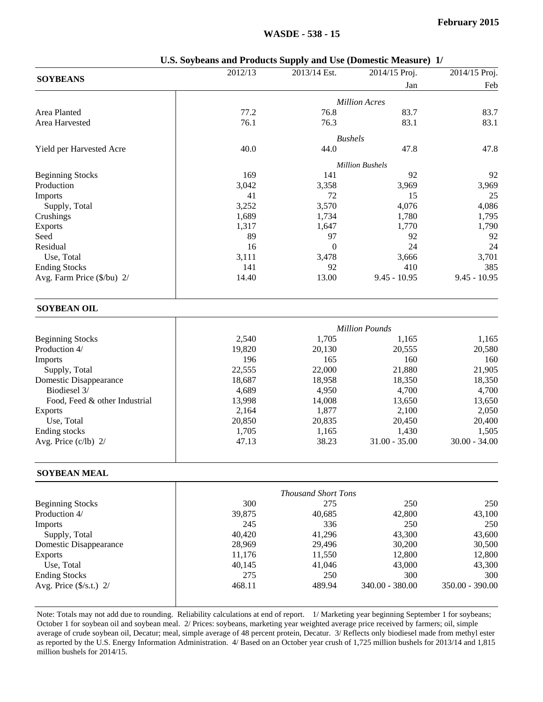|                                                                                                                                         | 2012/13 | 2013/14 Est.               | 2014/15 Proj.          | 2014/15 Proj.   |
|-----------------------------------------------------------------------------------------------------------------------------------------|---------|----------------------------|------------------------|-----------------|
| <b>SOYBEANS</b>                                                                                                                         |         |                            | Jan                    | Feb             |
|                                                                                                                                         |         |                            | <b>Million Acres</b>   |                 |
| Area Planted                                                                                                                            | 77.2    | 76.8                       | 83.7                   | 83.7            |
| Area Harvested                                                                                                                          | 76.1    | 76.3                       | 83.1                   | 83.1            |
|                                                                                                                                         |         |                            |                        |                 |
|                                                                                                                                         |         |                            | <b>Bushels</b>         |                 |
| Yield per Harvested Acre                                                                                                                | 40.0    | 44.0                       | 47.8                   | 47.8            |
|                                                                                                                                         |         |                            | <b>Million Bushels</b> |                 |
| <b>Beginning Stocks</b>                                                                                                                 | 169     | 141                        | 92                     | 92              |
| Production                                                                                                                              | 3,042   | 3,358                      | 3,969                  | 3,969           |
| Imports                                                                                                                                 | 41      | 72                         | 15                     | 25              |
| Supply, Total                                                                                                                           | 3,252   | 3,570                      | 4,076                  | 4,086           |
| Crushings                                                                                                                               | 1,689   | 1,734                      | 1,780                  | 1,795           |
| <b>Exports</b>                                                                                                                          | 1,317   | 1,647                      | 1,770                  | 1,790           |
| Seed                                                                                                                                    | 89      | 97                         | 92                     | 92              |
| Residual                                                                                                                                | 16      | $\mathbf{0}$               | 24                     | 24              |
| Use, Total                                                                                                                              | 3,111   | 3,478                      | 3,666                  | 3,701           |
| <b>Ending Stocks</b>                                                                                                                    | 141     | 92                         | 410                    | 385             |
| Avg. Farm Price (\$/bu) 2/                                                                                                              | 14.40   | 13.00                      | $9.45 - 10.95$         | $9.45 - 10.95$  |
| <b>SOYBEAN OIL</b>                                                                                                                      |         |                            |                        |                 |
|                                                                                                                                         |         |                            | <b>Million Pounds</b>  |                 |
| <b>Beginning Stocks</b>                                                                                                                 | 2,540   | 1,705                      | 1,165                  | 1,165           |
| Production 4/                                                                                                                           | 19,820  | 20,130                     | 20,555                 | 20,580          |
| Imports                                                                                                                                 | 196     | 165                        | 160                    | 160             |
| Supply, Total                                                                                                                           | 22,555  | 22,000                     | 21,880                 | 21,905          |
| Domestic Disappearance                                                                                                                  | 18,687  | 18,958                     | 18,350                 | 18,350          |
| Biodiesel 3/                                                                                                                            | 4,689   | 4,950                      | 4,700                  | 4,700           |
| Food, Feed & other Industrial                                                                                                           | 13,998  | 14,008                     | 13,650                 | 13,650          |
| <b>Exports</b>                                                                                                                          | 2,164   | 1,877                      | 2,100                  | 2,050           |
| Use, Total                                                                                                                              | 20,850  | 20,835                     | 20,450                 | 20,400          |
| Ending stocks                                                                                                                           | 1,705   | 1,165                      | 1,430                  | 1,505           |
| Avg. Price $(c/lb)$ 2/                                                                                                                  | 47.13   | 38.23                      | $31.00 - 35.00$        | $30.00 - 34.00$ |
| <b>SOYBEAN MEAL</b>                                                                                                                     |         |                            |                        |                 |
|                                                                                                                                         |         | <b>Thousand Short Tons</b> |                        |                 |
| <b>Beginning Stocks</b>                                                                                                                 | 300     | 275                        | 250                    | 250             |
| Production 4/                                                                                                                           | 39,875  | 40,685                     | 42,800                 | 43,100          |
| <b>Imports</b>                                                                                                                          | 245     | 336                        | 250                    | 250             |
| Supply, Total                                                                                                                           | 40,420  | 41,296                     | 43,300                 | 43,600          |
| Domestic Disappearance                                                                                                                  | 28,969  | 29,496                     | 30,200                 | 30,500          |
| <b>Exports</b>                                                                                                                          | 11,176  | 11,550                     | 12,800                 | 12,800          |
| Use, Total                                                                                                                              | 40,145  | 41,046                     | 43,000                 | 43,300          |
| <b>Ending Stocks</b>                                                                                                                    | 275     | 250                        | 300                    | 300             |
| Avg. Price (\$/s.t.) 2/                                                                                                                 | 468.11  | 489.94                     | 340.00 - 380.00        | 350.00 - 390.00 |
| Note: Totals may not add due to rounding. Reliability calculations at end of report 1/Marketing year beginning September 1 for soybeans |         |                            |                        |                 |

**U.S. Soybeans and Products Supply and Use (Domestic Measure) 1/**

Note: Totals may not add due to rounding. Reliability calculations at end of report. 1/ Marketing year beginning September 1 for soybeans; October 1 for soybean oil and soybean meal. 2/ Prices: soybeans, marketing year weighted average price received by farmers; oil, simple average of crude soybean oil, Decatur; meal, simple average of 48 percent protein, Decatur. 3/ Reflects only biodiesel made from methyl ester as reported by the U.S. Energy Information Administration. 4/ Based on an October year crush of 1,725 million bushels for 2013/14 and 1,815 million bushels for 2014/15.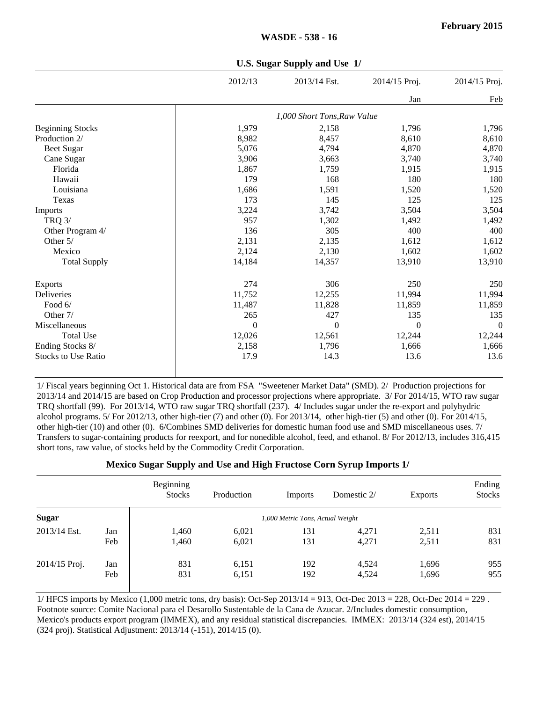|                            | 2012/13      | 2013/14 Est.                | 2014/15 Proj. | 2014/15 Proj. |
|----------------------------|--------------|-----------------------------|---------------|---------------|
|                            |              |                             | Jan           | Feb           |
|                            |              | 1,000 Short Tons, Raw Value |               |               |
| <b>Beginning Stocks</b>    | 1,979        | 2,158                       | 1,796         | 1,796         |
| Production 2/              | 8,982        | 8,457                       | 8,610         | 8,610         |
| <b>Beet Sugar</b>          | 5,076        | 4,794                       | 4,870         | 4,870         |
| Cane Sugar                 | 3,906        | 3,663                       | 3,740         | 3,740         |
| Florida                    | 1,867        | 1,759                       | 1,915         | 1,915         |
| Hawaii                     | 179          | 168                         | 180           | 180           |
| Louisiana                  | 1,686        | 1,591                       | 1,520         | 1,520         |
| Texas                      | 173          | 145                         | 125           | 125           |
| Imports                    | 3,224        | 3,742                       | 3,504         | 3,504         |
| <b>TRQ 3/</b>              | 957          | 1,302                       | 1,492         | 1,492         |
| Other Program 4/           | 136          | 305                         | 400           | 400           |
| Other 5/                   | 2,131        | 2,135                       | 1,612         | 1,612         |
| Mexico                     | 2,124        | 2,130                       | 1,602         | 1,602         |
| <b>Total Supply</b>        | 14,184       | 14,357                      | 13,910        | 13,910        |
| <b>Exports</b>             | 274          | 306                         | 250           | 250           |
| Deliveries                 | 11,752       | 12,255                      | 11,994        | 11,994        |
| Food 6/                    | 11,487       | 11,828                      | 11,859        | 11,859        |
| Other 7/                   | 265          | 427                         | 135           | 135           |
| Miscellaneous              | $\mathbf{0}$ | $\overline{0}$              | $\theta$      | $\mathbf{0}$  |
| <b>Total Use</b>           | 12,026       | 12,561                      | 12,244        | 12,244        |
| Ending Stocks 8/           | 2,158        | 1,796                       | 1,666         | 1,666         |
| <b>Stocks to Use Ratio</b> | 17.9         | 14.3                        | 13.6          | 13.6          |

**U.S. Sugar Supply and Use 1/**

1/ Fiscal years beginning Oct 1. Historical data are from FSA "Sweetener Market Data" (SMD). 2/ Production projections for 2013/14 and 2014/15 are based on Crop Production and processor projections where appropriate. 3/ For 2014/15, WTO raw sugar TRQ shortfall (99). For 2013/14, WTO raw sugar TRQ shortfall (237). 4/ Includes sugar under the re-export and polyhydric alcohol programs. 5/ For 2012/13, other high-tier (7) and other (0). For 2013/14, other high-tier (5) and other (0). For 2014/15, other high-tier (10) and other (0). 6/Combines SMD deliveries for domestic human food use and SMD miscellaneous uses. 7/ Transfers to sugar-containing products for reexport, and for nonedible alcohol, feed, and ethanol. 8/ For 2012/13, includes 316,415 short tons, raw value, of stocks held by the Commodity Credit Corporation.

**Mexico Sugar Supply and Use and High Fructose Corn Syrup Imports 1/**

|               |     | Beginning<br><b>Stocks</b> | Production | Imports                          | Domestic 2/ | <b>Exports</b> | Ending<br><b>Stocks</b> |
|---------------|-----|----------------------------|------------|----------------------------------|-------------|----------------|-------------------------|
| <b>Sugar</b>  |     |                            |            | 1,000 Metric Tons, Actual Weight |             |                |                         |
| 2013/14 Est.  | Jan | 1,460                      | 6,021      | 131                              | 4.271       | 2,511          | 831                     |
|               | Feb | 1,460                      | 6,021      | 131                              | 4,271       | 2,511          | 831                     |
| 2014/15 Proj. | Jan | 831                        | 6,151      | 192                              | 4,524       | 1,696          | 955                     |
|               | Feb | 831                        | 6,151      | 192                              | 4,524       | 1,696          | 955                     |

1/ HFCS imports by Mexico (1,000 metric tons, dry basis): Oct-Sep 2013/14 = 913, Oct-Dec 2013 = 228, Oct-Dec 2014 = 229 . Footnote source: Comite Nacional para el Desarollo Sustentable de la Cana de Azucar. 2/Includes domestic consumption, Mexico's products export program (IMMEX), and any residual statistical discrepancies. IMMEX: 2013/14 (324 est), 2014/15 (324 proj). Statistical Adjustment: 2013/14 (-151), 2014/15 (0).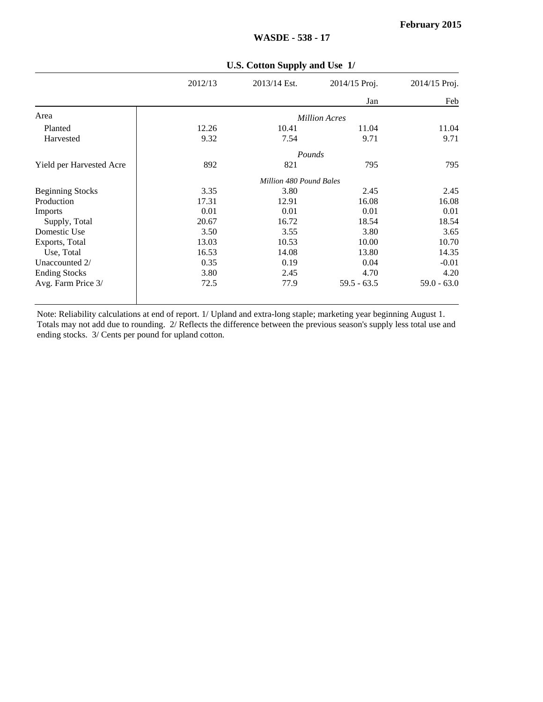|                          | $\mathbf{c}$ Cotton Dupply and $\mathbf{c}$ |                         |                      |               |  |  |  |  |
|--------------------------|---------------------------------------------|-------------------------|----------------------|---------------|--|--|--|--|
|                          | 2012/13                                     | 2013/14 Est.            | 2014/15 Proj.        | 2014/15 Proj. |  |  |  |  |
|                          |                                             |                         | Jan                  | Feb           |  |  |  |  |
| Area                     |                                             |                         | <b>Million Acres</b> |               |  |  |  |  |
| Planted                  | 12.26                                       | 10.41                   | 11.04                | 11.04         |  |  |  |  |
| Harvested                | 9.32                                        | 7.54                    | 9.71                 | 9.71          |  |  |  |  |
|                          |                                             | Pounds                  |                      |               |  |  |  |  |
| Yield per Harvested Acre | 892                                         | 821                     | 795                  | 795           |  |  |  |  |
|                          |                                             | Million 480 Pound Bales |                      |               |  |  |  |  |
| <b>Beginning Stocks</b>  | 3.35                                        | 3.80                    | 2.45                 | 2.45          |  |  |  |  |
| Production               | 17.31                                       | 12.91                   | 16.08                | 16.08         |  |  |  |  |
| Imports                  | 0.01                                        | 0.01                    | 0.01                 | 0.01          |  |  |  |  |
| Supply, Total            | 20.67                                       | 16.72                   | 18.54                | 18.54         |  |  |  |  |
| Domestic Use             | 3.50                                        | 3.55                    | 3.80                 | 3.65          |  |  |  |  |
| Exports, Total           | 13.03                                       | 10.53                   | 10.00                | 10.70         |  |  |  |  |
| Use, Total               | 16.53                                       | 14.08                   | 13.80                | 14.35         |  |  |  |  |
| Unaccounted 2/           | 0.35                                        | 0.19                    | 0.04                 | $-0.01$       |  |  |  |  |
| <b>Ending Stocks</b>     | 3.80                                        | 2.45                    | 4.70                 | 4.20          |  |  |  |  |
| Avg. Farm Price 3/       | 72.5                                        | 77.9                    | $59.5 - 63.5$        | $59.0 - 63.0$ |  |  |  |  |
|                          |                                             |                         |                      |               |  |  |  |  |

#### **U.S. Cotton Supply and Use 1/**

**WASDE - 538 - 17**

Note: Reliability calculations at end of report. 1/ Upland and extra-long staple; marketing year beginning August 1. Totals may not add due to rounding. 2/ Reflects the difference between the previous season's supply less total use and ending stocks. 3/ Cents per pound for upland cotton.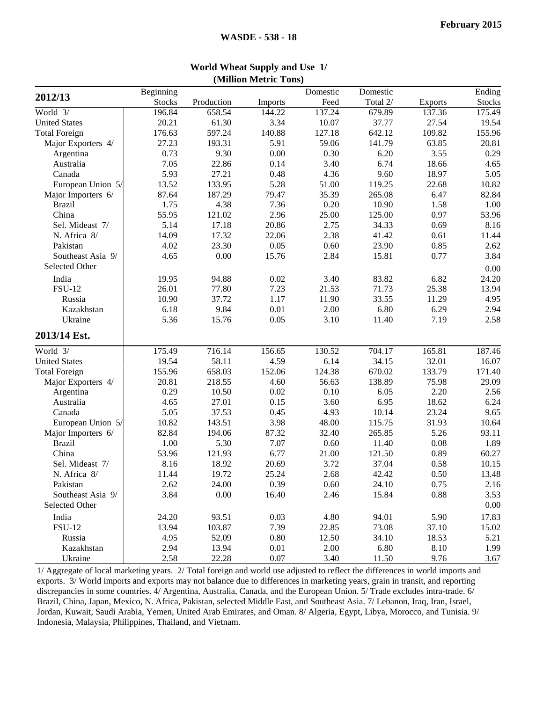|       | Domestic                                                                                                                                                                                                                                                                         | Domestic                                                                                                                                                                                                                                                                         |                                                                                                                                                                                                                                                                                                              | Ending                                                                                                                                                                                                                                                                               |
|-------|----------------------------------------------------------------------------------------------------------------------------------------------------------------------------------------------------------------------------------------------------------------------------------|----------------------------------------------------------------------------------------------------------------------------------------------------------------------------------------------------------------------------------------------------------------------------------|--------------------------------------------------------------------------------------------------------------------------------------------------------------------------------------------------------------------------------------------------------------------------------------------------------------|--------------------------------------------------------------------------------------------------------------------------------------------------------------------------------------------------------------------------------------------------------------------------------------|
|       |                                                                                                                                                                                                                                                                                  |                                                                                                                                                                                                                                                                                  |                                                                                                                                                                                                                                                                                                              |                                                                                                                                                                                                                                                                                      |
|       |                                                                                                                                                                                                                                                                                  |                                                                                                                                                                                                                                                                                  |                                                                                                                                                                                                                                                                                                              | <b>Stocks</b>                                                                                                                                                                                                                                                                        |
|       |                                                                                                                                                                                                                                                                                  |                                                                                                                                                                                                                                                                                  |                                                                                                                                                                                                                                                                                                              | 175.49                                                                                                                                                                                                                                                                               |
|       |                                                                                                                                                                                                                                                                                  |                                                                                                                                                                                                                                                                                  |                                                                                                                                                                                                                                                                                                              | 19.54                                                                                                                                                                                                                                                                                |
|       |                                                                                                                                                                                                                                                                                  |                                                                                                                                                                                                                                                                                  |                                                                                                                                                                                                                                                                                                              | 155.96                                                                                                                                                                                                                                                                               |
|       |                                                                                                                                                                                                                                                                                  |                                                                                                                                                                                                                                                                                  |                                                                                                                                                                                                                                                                                                              | 20.81                                                                                                                                                                                                                                                                                |
|       |                                                                                                                                                                                                                                                                                  |                                                                                                                                                                                                                                                                                  |                                                                                                                                                                                                                                                                                                              | 0.29                                                                                                                                                                                                                                                                                 |
|       |                                                                                                                                                                                                                                                                                  |                                                                                                                                                                                                                                                                                  |                                                                                                                                                                                                                                                                                                              | 4.65                                                                                                                                                                                                                                                                                 |
|       |                                                                                                                                                                                                                                                                                  |                                                                                                                                                                                                                                                                                  |                                                                                                                                                                                                                                                                                                              | 5.05                                                                                                                                                                                                                                                                                 |
|       |                                                                                                                                                                                                                                                                                  |                                                                                                                                                                                                                                                                                  |                                                                                                                                                                                                                                                                                                              | 10.82                                                                                                                                                                                                                                                                                |
|       |                                                                                                                                                                                                                                                                                  |                                                                                                                                                                                                                                                                                  |                                                                                                                                                                                                                                                                                                              | 82.84                                                                                                                                                                                                                                                                                |
|       |                                                                                                                                                                                                                                                                                  |                                                                                                                                                                                                                                                                                  |                                                                                                                                                                                                                                                                                                              | 1.00                                                                                                                                                                                                                                                                                 |
|       |                                                                                                                                                                                                                                                                                  |                                                                                                                                                                                                                                                                                  | 0.97                                                                                                                                                                                                                                                                                                         | 53.96                                                                                                                                                                                                                                                                                |
| 20.86 | 2.75                                                                                                                                                                                                                                                                             | 34.33                                                                                                                                                                                                                                                                            | 0.69                                                                                                                                                                                                                                                                                                         | 8.16                                                                                                                                                                                                                                                                                 |
| 22.06 | 2.38                                                                                                                                                                                                                                                                             | 41.42                                                                                                                                                                                                                                                                            | 0.61                                                                                                                                                                                                                                                                                                         | 11.44                                                                                                                                                                                                                                                                                |
| 0.05  | 0.60                                                                                                                                                                                                                                                                             | 23.90                                                                                                                                                                                                                                                                            | 0.85                                                                                                                                                                                                                                                                                                         | 2.62                                                                                                                                                                                                                                                                                 |
| 15.76 | 2.84                                                                                                                                                                                                                                                                             | 15.81                                                                                                                                                                                                                                                                            | 0.77                                                                                                                                                                                                                                                                                                         | 3.84                                                                                                                                                                                                                                                                                 |
|       |                                                                                                                                                                                                                                                                                  |                                                                                                                                                                                                                                                                                  |                                                                                                                                                                                                                                                                                                              | 0.00                                                                                                                                                                                                                                                                                 |
|       |                                                                                                                                                                                                                                                                                  |                                                                                                                                                                                                                                                                                  |                                                                                                                                                                                                                                                                                                              | 24.20                                                                                                                                                                                                                                                                                |
|       |                                                                                                                                                                                                                                                                                  |                                                                                                                                                                                                                                                                                  |                                                                                                                                                                                                                                                                                                              | 13.94                                                                                                                                                                                                                                                                                |
|       |                                                                                                                                                                                                                                                                                  |                                                                                                                                                                                                                                                                                  |                                                                                                                                                                                                                                                                                                              | 4.95                                                                                                                                                                                                                                                                                 |
|       |                                                                                                                                                                                                                                                                                  |                                                                                                                                                                                                                                                                                  |                                                                                                                                                                                                                                                                                                              | 2.94                                                                                                                                                                                                                                                                                 |
|       |                                                                                                                                                                                                                                                                                  |                                                                                                                                                                                                                                                                                  |                                                                                                                                                                                                                                                                                                              | 2.58                                                                                                                                                                                                                                                                                 |
|       |                                                                                                                                                                                                                                                                                  |                                                                                                                                                                                                                                                                                  |                                                                                                                                                                                                                                                                                                              |                                                                                                                                                                                                                                                                                      |
|       |                                                                                                                                                                                                                                                                                  |                                                                                                                                                                                                                                                                                  |                                                                                                                                                                                                                                                                                                              |                                                                                                                                                                                                                                                                                      |
|       |                                                                                                                                                                                                                                                                                  |                                                                                                                                                                                                                                                                                  |                                                                                                                                                                                                                                                                                                              | 187.46                                                                                                                                                                                                                                                                               |
|       |                                                                                                                                                                                                                                                                                  |                                                                                                                                                                                                                                                                                  |                                                                                                                                                                                                                                                                                                              | 16.07                                                                                                                                                                                                                                                                                |
|       |                                                                                                                                                                                                                                                                                  |                                                                                                                                                                                                                                                                                  |                                                                                                                                                                                                                                                                                                              | 171.40                                                                                                                                                                                                                                                                               |
|       |                                                                                                                                                                                                                                                                                  |                                                                                                                                                                                                                                                                                  |                                                                                                                                                                                                                                                                                                              | 29.09                                                                                                                                                                                                                                                                                |
|       |                                                                                                                                                                                                                                                                                  |                                                                                                                                                                                                                                                                                  |                                                                                                                                                                                                                                                                                                              | 2.56                                                                                                                                                                                                                                                                                 |
|       |                                                                                                                                                                                                                                                                                  |                                                                                                                                                                                                                                                                                  |                                                                                                                                                                                                                                                                                                              | 6.24                                                                                                                                                                                                                                                                                 |
|       |                                                                                                                                                                                                                                                                                  |                                                                                                                                                                                                                                                                                  |                                                                                                                                                                                                                                                                                                              | 9.65                                                                                                                                                                                                                                                                                 |
|       |                                                                                                                                                                                                                                                                                  |                                                                                                                                                                                                                                                                                  |                                                                                                                                                                                                                                                                                                              | 10.64                                                                                                                                                                                                                                                                                |
|       |                                                                                                                                                                                                                                                                                  |                                                                                                                                                                                                                                                                                  |                                                                                                                                                                                                                                                                                                              | 93.11                                                                                                                                                                                                                                                                                |
|       |                                                                                                                                                                                                                                                                                  |                                                                                                                                                                                                                                                                                  |                                                                                                                                                                                                                                                                                                              | 1.89                                                                                                                                                                                                                                                                                 |
| 6.77  | 21.00                                                                                                                                                                                                                                                                            | 121.50                                                                                                                                                                                                                                                                           | 0.89                                                                                                                                                                                                                                                                                                         | 60.27                                                                                                                                                                                                                                                                                |
| 20.69 | 3.72                                                                                                                                                                                                                                                                             | 37.04                                                                                                                                                                                                                                                                            | 0.58                                                                                                                                                                                                                                                                                                         | 10.15                                                                                                                                                                                                                                                                                |
| 25.24 | 2.68                                                                                                                                                                                                                                                                             | 42.42                                                                                                                                                                                                                                                                            | 0.50                                                                                                                                                                                                                                                                                                         | 13.48                                                                                                                                                                                                                                                                                |
| 0.39  | 0.60                                                                                                                                                                                                                                                                             |                                                                                                                                                                                                                                                                                  | 0.75                                                                                                                                                                                                                                                                                                         | 2.16                                                                                                                                                                                                                                                                                 |
| 16.40 | 2.46                                                                                                                                                                                                                                                                             | 15.84                                                                                                                                                                                                                                                                            | 0.88                                                                                                                                                                                                                                                                                                         | 3.53                                                                                                                                                                                                                                                                                 |
|       |                                                                                                                                                                                                                                                                                  |                                                                                                                                                                                                                                                                                  |                                                                                                                                                                                                                                                                                                              | 0.00                                                                                                                                                                                                                                                                                 |
|       |                                                                                                                                                                                                                                                                                  |                                                                                                                                                                                                                                                                                  |                                                                                                                                                                                                                                                                                                              | 17.83                                                                                                                                                                                                                                                                                |
|       |                                                                                                                                                                                                                                                                                  |                                                                                                                                                                                                                                                                                  |                                                                                                                                                                                                                                                                                                              | 15.02                                                                                                                                                                                                                                                                                |
|       |                                                                                                                                                                                                                                                                                  |                                                                                                                                                                                                                                                                                  |                                                                                                                                                                                                                                                                                                              | 5.21                                                                                                                                                                                                                                                                                 |
|       |                                                                                                                                                                                                                                                                                  |                                                                                                                                                                                                                                                                                  |                                                                                                                                                                                                                                                                                                              | 1.99                                                                                                                                                                                                                                                                                 |
|       |                                                                                                                                                                                                                                                                                  |                                                                                                                                                                                                                                                                                  |                                                                                                                                                                                                                                                                                                              | 3.67                                                                                                                                                                                                                                                                                 |
|       | <b>Imports</b><br>144.22<br>3.34<br>140.88<br>5.91<br>0.00<br>0.14<br>0.48<br>5.28<br>79.47<br>7.36<br>2.96<br>0.02<br>7.23<br>1.17<br>0.01<br>0.05<br>156.65<br>4.59<br>152.06<br>4.60<br>0.02<br>0.15<br>0.45<br>3.98<br>87.32<br>7.07<br>0.03<br>7.39<br>0.80<br>0.01<br>0.07 | Feed<br>137.24<br>10.07<br>127.18<br>59.06<br>0.30<br>3.40<br>4.36<br>51.00<br>35.39<br>0.20<br>25.00<br>3.40<br>21.53<br>11.90<br>2.00<br>3.10<br>130.52<br>6.14<br>124.38<br>56.63<br>0.10<br>3.60<br>4.93<br>48.00<br>32.40<br>0.60<br>4.80<br>22.85<br>12.50<br>2.00<br>3.40 | Total 2/<br>679.89<br>37.77<br>642.12<br>141.79<br>6.20<br>6.74<br>9.60<br>119.25<br>265.08<br>10.90<br>125.00<br>83.82<br>71.73<br>33.55<br>6.80<br>11.40<br>704.17<br>34.15<br>670.02<br>138.89<br>6.05<br>6.95<br>10.14<br>115.75<br>265.85<br>11.40<br>24.10<br>94.01<br>73.08<br>34.10<br>6.80<br>11.50 | <b>Exports</b><br>137.36<br>27.54<br>109.82<br>63.85<br>3.55<br>18.66<br>18.97<br>22.68<br>6.47<br>1.58<br>6.82<br>25.38<br>11.29<br>6.29<br>7.19<br>165.81<br>32.01<br>133.79<br>75.98<br>2.20<br>18.62<br>23.24<br>31.93<br>5.26<br>0.08<br>5.90<br>37.10<br>18.53<br>8.10<br>9.76 |

#### **World Wheat Supply and Use 1/ (Million Metric Tons)**

1/ Aggregate of local marketing years. 2/ Total foreign and world use adjusted to reflect the differences in world imports and exports. 3/ World imports and exports may not balance due to differences in marketing years, grain in transit, and reporting discrepancies in some countries. 4/ Argentina, Australia, Canada, and the European Union. 5/ Trade excludes intra-trade. 6/ Brazil, China, Japan, Mexico, N. Africa, Pakistan, selected Middle East, and Southeast Asia. 7/ Lebanon, Iraq, Iran, Israel, Jordan, Kuwait, Saudi Arabia, Yemen, United Arab Emirates, and Oman. 8/ Algeria, Egypt, Libya, Morocco, and Tunisia. 9/ Indonesia, Malaysia, Philippines, Thailand, and Vietnam.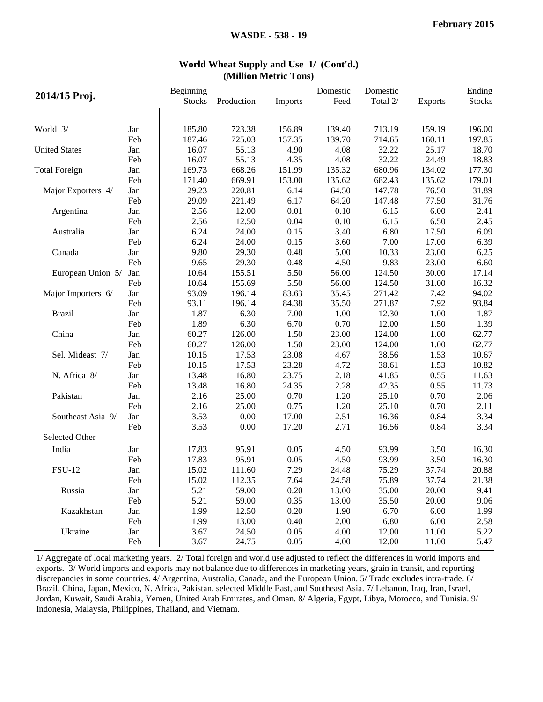| 2014/15 Proj.        |     | Beginning     |            |          | Domestic | Domestic |                | Ending        |
|----------------------|-----|---------------|------------|----------|----------|----------|----------------|---------------|
|                      |     | <b>Stocks</b> | Production | Imports  | Feed     | Total 2/ | <b>Exports</b> | <b>Stocks</b> |
|                      |     |               |            |          |          |          |                |               |
| World 3/             | Jan | 185.80        | 723.38     | 156.89   | 139.40   | 713.19   | 159.19         | 196.00        |
|                      | Feb | 187.46        | 725.03     | 157.35   | 139.70   | 714.65   | 160.11         | 197.85        |
| <b>United States</b> | Jan | 16.07         | 55.13      | 4.90     | 4.08     | 32.22    | 25.17          | 18.70         |
|                      | Feb | 16.07         | 55.13      | 4.35     | 4.08     | 32.22    | 24.49          | 18.83         |
| <b>Total Foreign</b> | Jan | 169.73        | 668.26     | 151.99   | 135.32   | 680.96   | 134.02         | 177.30        |
|                      | Feb | 171.40        | 669.91     | 153.00   | 135.62   | 682.43   | 135.62         | 179.01        |
| Major Exporters 4/   | Jan | 29.23         | 220.81     | 6.14     | 64.50    | 147.78   | 76.50          | 31.89         |
|                      | Feb | 29.09         | 221.49     | 6.17     | 64.20    | 147.48   | 77.50          | 31.76         |
| Argentina            | Jan | 2.56          | 12.00      | 0.01     | 0.10     | 6.15     | 6.00           | 2.41          |
|                      | Feb | 2.56          | 12.50      | 0.04     | 0.10     | 6.15     | 6.50           | 2.45          |
| Australia            | Jan | 6.24          | 24.00      | 0.15     | 3.40     | 6.80     | 17.50          | 6.09          |
|                      | Feb | 6.24          | 24.00      | 0.15     | 3.60     | 7.00     | 17.00          | 6.39          |
| Canada               | Jan | 9.80          | 29.30      | 0.48     | 5.00     | 10.33    | 23.00          | 6.25          |
|                      | Feb | 9.65          | 29.30      | 0.48     | 4.50     | 9.83     | 23.00          | 6.60          |
| European Union 5/    | Jan | 10.64         | 155.51     | 5.50     | 56.00    | 124.50   | 30.00          | 17.14         |
|                      | Feb | 10.64         | 155.69     | 5.50     | 56.00    | 124.50   | 31.00          | 16.32         |
| Major Importers 6/   | Jan | 93.09         | 196.14     | 83.63    | 35.45    | 271.42   | 7.42           | 94.02         |
|                      | Feb | 93.11         | 196.14     | 84.38    | 35.50    | 271.87   | 7.92           | 93.84         |
| <b>Brazil</b>        | Jan | 1.87          | 6.30       | 7.00     | 1.00     | 12.30    | 1.00           | 1.87          |
|                      | Feb | 1.89          | 6.30       | 6.70     | 0.70     | 12.00    | 1.50           | 1.39          |
| China                | Jan | 60.27         | 126.00     | 1.50     | 23.00    | 124.00   | 1.00           | 62.77         |
|                      | Feb | 60.27         | 126.00     | 1.50     | 23.00    | 124.00   | 1.00           | 62.77         |
| Sel. Mideast 7/      | Jan | 10.15         | 17.53      | 23.08    | 4.67     | 38.56    | 1.53           | 10.67         |
|                      | Feb | 10.15         | 17.53      | 23.28    | 4.72     | 38.61    | 1.53           | 10.82         |
| N. Africa 8/         | Jan | 13.48         | 16.80      | 23.75    | 2.18     | 41.85    | 0.55           | 11.63         |
|                      | Feb | 13.48         | 16.80      | 24.35    | 2.28     | 42.35    | 0.55           | 11.73         |
| Pakistan             | Jan | 2.16          | 25.00      | 0.70     | 1.20     | 25.10    | 0.70           | 2.06          |
|                      | Feb | 2.16          | 25.00      | 0.75     | 1.20     | 25.10    | 0.70           | 2.11          |
| Southeast Asia 9/    | Jan | 3.53          | 0.00       | 17.00    | 2.51     | 16.36    | 0.84           | 3.34          |
|                      | Feb | 3.53          | 0.00       | 17.20    | 2.71     | 16.56    | 0.84           | 3.34          |
| Selected Other       |     |               |            |          |          |          |                |               |
| India                | Jan | 17.83         | 95.91      | 0.05     | 4.50     | 93.99    | 3.50           | 16.30         |
|                      | Feb | 17.83         | 95.91      | 0.05     | 4.50     | 93.99    | 3.50           | 16.30         |
| <b>FSU-12</b>        | Jan | 15.02         | 111.60     | 7.29     | 24.48    | 75.29    | 37.74          | 20.88         |
|                      | Feb | 15.02         | 112.35     | 7.64     | 24.58    | 75.89    | 37.74          | 21.38         |
| Russia               | Jan | 5.21          | 59.00      | $0.20\,$ | 13.00    | 35.00    | 20.00          | 9.41          |
|                      | Feb | 5.21          | 59.00      | 0.35     | 13.00    | 35.50    | 20.00          | 9.06          |
| Kazakhstan           | Jan | 1.99          | 12.50      | 0.20     | 1.90     | 6.70     | 6.00           | 1.99          |
|                      | Feb | 1.99          | 13.00      | 0.40     | 2.00     | 6.80     | 6.00           | 2.58          |
| Ukraine              | Jan | 3.67          | 24.50      | 0.05     | 4.00     | 12.00    | 11.00          | 5.22          |
|                      | Feb | 3.67          | 24.75      | 0.05     | 4.00     | 12.00    | 11.00          | 5.47          |
|                      |     |               |            |          |          |          |                |               |

#### **World Wheat Supply and Use 1/ (Cont'd.) (Million Metric Tons)**

1/ Aggregate of local marketing years. 2/ Total foreign and world use adjusted to reflect the differences in world imports and exports. 3/ World imports and exports may not balance due to differences in marketing years, grain in transit, and reporting discrepancies in some countries. 4/ Argentina, Australia, Canada, and the European Union. 5/ Trade excludes intra-trade. 6/ Brazil, China, Japan, Mexico, N. Africa, Pakistan, selected Middle East, and Southeast Asia. 7/ Lebanon, Iraq, Iran, Israel, Jordan, Kuwait, Saudi Arabia, Yemen, United Arab Emirates, and Oman. 8/ Algeria, Egypt, Libya, Morocco, and Tunisia. 9/ Indonesia, Malaysia, Philippines, Thailand, and Vietnam.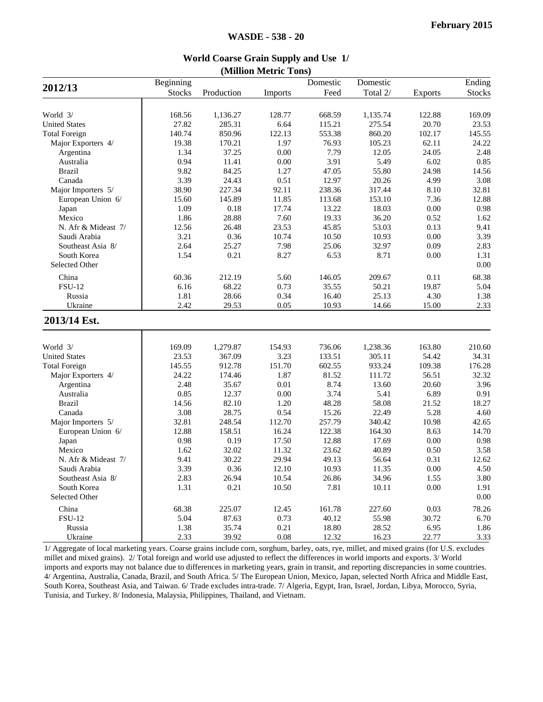|                      | Beginning     |            |                | Domestic | Domestic |                | Ending        |
|----------------------|---------------|------------|----------------|----------|----------|----------------|---------------|
| 2012/13              | <b>Stocks</b> | Production | <b>Imports</b> | Feed     | Total 2/ | <b>Exports</b> | <b>Stocks</b> |
|                      |               |            |                |          |          |                |               |
| World 3/             | 168.56        | 1,136.27   | 128.77         | 668.59   | 1,135.74 | 122.88         | 169.09        |
| <b>United States</b> | 27.82         | 285.31     | 6.64           | 115.21   | 275.54   | 20.70          | 23.53         |
| <b>Total Foreign</b> | 140.74        | 850.96     | 122.13         | 553.38   | 860.20   | 102.17         | 145.55        |
| Major Exporters 4/   | 19.38         | 170.21     | 1.97           | 76.93    | 105.23   | 62.11          | 24.22         |
| Argentina            | 1.34          | 37.25      | 0.00           | 7.79     | 12.05    | 24.05          | 2.48          |
| Australia            | 0.94          | 11.41      | 0.00           | 3.91     | 5.49     | 6.02           | 0.85          |
| <b>Brazil</b>        | 9.82          | 84.25      | 1.27           | 47.05    | 55.80    | 24.98          | 14.56         |
| Canada               | 3.39          | 24.43      | 0.51           | 12.97    | 20.26    | 4.99           | 3.08          |
| Major Importers 5/   | 38.90         | 227.34     | 92.11          | 238.36   | 317.44   | 8.10           | 32.81         |
| European Union 6/    | 15.60         | 145.89     | 11.85          | 113.68   | 153.10   | 7.36           | 12.88         |
| Japan                | 1.09          | 0.18       | 17.74          | 13.22    | 18.03    | $0.00\,$       | 0.98          |
| Mexico               | 1.86          | 28.88      | 7.60           | 19.33    | 36.20    | 0.52           | 1.62          |
| N. Afr & Mideast 7/  | 12.56         | 26.48      | 23.53          | 45.85    | 53.03    | 0.13           | 9.41          |
| Saudi Arabia         | 3.21          | 0.36       | 10.74          | 10.50    | 10.93    | 0.00           | 3.39          |
| Southeast Asia 8/    | 2.64          | 25.27      | 7.98           | 25.06    | 32.97    | 0.09           | 2.83          |
| South Korea          | 1.54          | 0.21       | 8.27           | 6.53     | 8.71     | 0.00           | 1.31          |
| Selected Other       |               |            |                |          |          |                | 0.00          |
|                      |               |            |                |          |          |                |               |
| China                | 60.36         | 212.19     | 5.60           | 146.05   | 209.67   | 0.11           | 68.38         |
| <b>FSU-12</b>        | 6.16          | 68.22      | 0.73           | 35.55    | 50.21    | 19.87          | 5.04          |
| Russia               | 1.81          | 28.66      | 0.34           | 16.40    | 25.13    | 4.30           | 1.38          |
| Ukraine              | 2.42          | 29.53      | 0.05           | 10.93    | 14.66    | 15.00          | 2.33          |
| 2013/14 Est.         |               |            |                |          |          |                |               |
| World 3/             | 169.09        | 1,279.87   | 154.93         | 736.06   | 1,238.36 | 163.80         | 210.60        |
| <b>United States</b> | 23.53         | 367.09     | 3.23           | 133.51   | 305.11   | 54.42          | 34.31         |
| <b>Total Foreign</b> | 145.55        | 912.78     | 151.70         | 602.55   | 933.24   | 109.38         | 176.28        |
| Major Exporters 4/   | 24.22         | 174.46     | 1.87           | 81.52    | 111.72   | 56.51          | 32.32         |
| Argentina            | 2.48          | 35.67      | 0.01           | 8.74     | 13.60    | 20.60          | 3.96          |
| Australia            | 0.85          | 12.37      | 0.00           | 3.74     | 5.41     | 6.89           | 0.91          |
| <b>Brazil</b>        | 14.56         | 82.10      | 1.20           | 48.28    | 58.08    | 21.52          | 18.27         |
| Canada               | 3.08          | 28.75      | 0.54           | 15.26    | 22.49    | 5.28           | 4.60          |
| Major Importers 5/   | 32.81         | 248.54     | 112.70         | 257.79   | 340.42   | 10.98          | 42.65         |
| European Union 6/    | 12.88         | 158.51     | 16.24          | 122.38   | 164.30   | 8.63           | 14.70         |
| Japan                | 0.98          | 0.19       | 17.50          | 12.88    | 17.69    | 0.00           | 0.98          |
| Mexico               | 1.62          | 32.02      | 11.32          | 23.62    | 40.89    | 0.50           | 3.58          |
| N. Afr & Mideast 7/  | 9.41          | 30.22      | 29.94          | 49.13    | 56.64    | 0.31           | 12.62         |
| Saudi Arabia         | 3.39          | 0.36       | 12.10          | 10.93    | 11.35    | 0.00           | 4.50          |
| Southeast Asia 8/    | 2.83          | 26.94      | 10.54          | 26.86    | 34.96    | 1.55           | 3.80          |
| South Korea          | 1.31          | 0.21       | 10.50          | 7.81     | 10.11    | 0.00           | 1.91          |
| Selected Other       |               |            |                |          |          |                | 0.00          |
|                      |               |            |                |          |          |                |               |
| China                | 68.38         | 225.07     | 12.45          | 161.78   | 227.60   | 0.03           | 78.26         |
| <b>FSU-12</b>        | 5.04          | 87.63      | 0.73           | 40.12    | 55.98    | 30.72          | 6.70          |
| Russia               | 1.38          | 35.74      | 0.21           | 18.80    | 28.52    | 6.95           | 1.86          |
| Ukraine              | 2.33          | 39.92      | 0.08           | 12.32    | 16.23    | 22.77          | 3.33          |

#### **World Coarse Grain Supply and Use 1/ (Million Metric Tons)**

1/ Aggregate of local marketing years. Coarse grains include corn, sorghum, barley, oats, rye, millet, and mixed grains (for U.S. excludes millet and mixed grains). 2/ Total foreign and world use adjusted to reflect the differences in world imports and exports. 3/ World imports and exports may not balance due to differences in marketing years, grain in transit, and reporting discrepancies in some countries. 4/ Argentina, Australia, Canada, Brazil, and South Africa. 5/ The European Union, Mexico, Japan, selected North Africa and Middle East, South Korea, Southeast Asia, and Taiwan. 6/ Trade excludes intra-trade. 7/ Algeria, Egypt, Iran, Israel, Jordan, Libya, Morocco, Syria, Tunisia, and Turkey. 8/ Indonesia, Malaysia, Philippines, Thailand, and Vietnam.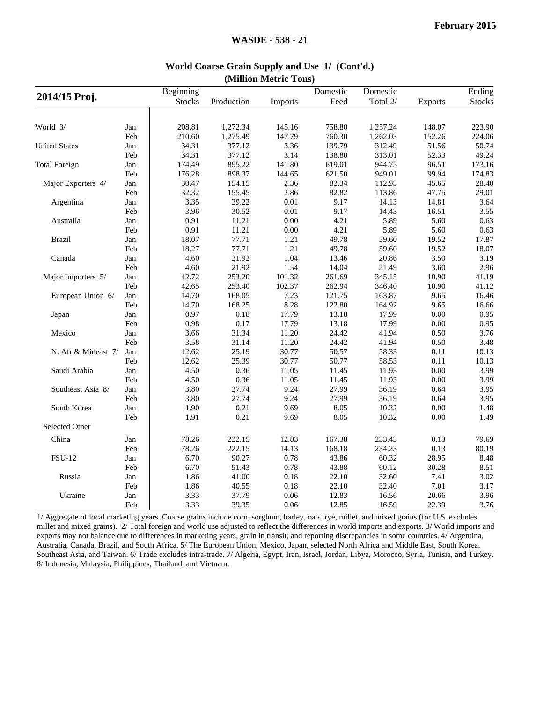|                      |     | Beginning      |            |                | Domestic       | Domestic |                | Ending        |
|----------------------|-----|----------------|------------|----------------|----------------|----------|----------------|---------------|
| 2014/15 Proj.        |     | <b>Stocks</b>  | Production | <b>Imports</b> | Feed           | Total 2/ | <b>Exports</b> | <b>Stocks</b> |
|                      |     |                |            |                |                |          |                |               |
| World 3/             | Jan | 208.81         | 1,272.34   | 145.16         | 758.80         | 1,257.24 | 148.07         | 223.90        |
|                      | Feb | 210.60         | 1,275.49   | 147.79         | 760.30         | 1,262.03 | 152.26         | 224.06        |
| <b>United States</b> | Jan | 34.31          | 377.12     | 3.36           | 139.79         | 312.49   | 51.56          | 50.74         |
|                      | Feb | 34.31          | 377.12     | 3.14           | 138.80         | 313.01   | 52.33          | 49.24         |
| <b>Total Foreign</b> |     | 174.49         | 895.22     | 141.80         |                | 944.75   | 96.51          | 173.16        |
|                      | Jan | 176.28         | 898.37     |                | 619.01         | 949.01   | 99.94          |               |
|                      | Feb |                |            | 144.65<br>2.36 | 621.50         |          |                | 174.83        |
| Major Exporters 4/   | Jan | 30.47<br>32.32 | 154.15     |                | 82.34<br>82.82 | 112.93   | 45.65          | 28.40         |
|                      | Feb |                | 155.45     | 2.86           |                | 113.86   | 47.75          | 29.01         |
| Argentina            | Jan | 3.35           | 29.22      | $0.01\,$       | 9.17           | 14.13    | 14.81          | 3.64          |
|                      | Feb | 3.96           | 30.52      | $0.01\,$       | 9.17           | 14.43    | 16.51          | 3.55          |
| Australia            | Jan | 0.91           | 11.21      | 0.00           | 4.21           | 5.89     | 5.60           | 0.63          |
|                      | Feb | 0.91           | 11.21      | 0.00           | 4.21           | 5.89     | 5.60           | 0.63          |
| Brazil               | Jan | 18.07          | 77.71      | 1.21           | 49.78          | 59.60    | 19.52          | 17.87         |
|                      | Feb | 18.27          | 77.71      | 1.21           | 49.78          | 59.60    | 19.52          | 18.07         |
| Canada               | Jan | 4.60           | 21.92      | 1.04           | 13.46          | 20.86    | 3.50           | 3.19          |
|                      | Feb | 4.60           | 21.92      | 1.54           | 14.04          | 21.49    | 3.60           | 2.96          |
| Major Importers 5/   | Jan | 42.72          | 253.20     | 101.32         | 261.69         | 345.15   | 10.90          | 41.19         |
|                      | Feb | 42.65          | 253.40     | 102.37         | 262.94         | 346.40   | 10.90          | 41.12         |
| European Union 6/    | Jan | 14.70          | 168.05     | 7.23           | 121.75         | 163.87   | 9.65           | 16.46         |
|                      | Feb | 14.70          | 168.25     | 8.28           | 122.80         | 164.92   | 9.65           | 16.66         |
| Japan                | Jan | 0.97           | 0.18       | 17.79          | 13.18          | 17.99    | $0.00\,$       | 0.95          |
|                      | Feb | 0.98           | 0.17       | 17.79          | 13.18          | 17.99    | $0.00\,$       | 0.95          |
| Mexico               | Jan | 3.66           | 31.34      | 11.20          | 24.42          | 41.94    | 0.50           | 3.76          |
|                      | Feb | 3.58           | 31.14      | 11.20          | 24.42          | 41.94    | $0.50\,$       | 3.48          |
| N. Afr & Mideast 7/  | Jan | 12.62          | 25.19      | 30.77          | 50.57          | 58.33    | 0.11           | 10.13         |
|                      | Feb | 12.62          | 25.39      | 30.77          | 50.77          | 58.53    | 0.11           | 10.13         |
| Saudi Arabia         | Jan | 4.50           | 0.36       | 11.05          | 11.45          | 11.93    | $0.00\,$       | 3.99          |
|                      | Feb | 4.50           | 0.36       | 11.05          | 11.45          | 11.93    | 0.00           | 3.99          |
| Southeast Asia 8/    | Jan | 3.80           | 27.74      | 9.24           | 27.99          | 36.19    | 0.64           | 3.95          |
|                      | Feb | 3.80           | 27.74      | 9.24           | 27.99          | 36.19    | 0.64           | 3.95          |
| South Korea          | Jan | 1.90           | 0.21       | 9.69           | 8.05           | 10.32    | 0.00           | 1.48          |
|                      | Feb | 1.91           | 0.21       | 9.69           | 8.05           | 10.32    | $0.00\,$       | 1.49          |
| Selected Other       |     |                |            |                |                |          |                |               |
| China                | Jan | 78.26          | 222.15     | 12.83          | 167.38         | 233.43   | 0.13           | 79.69         |
|                      | Feb | 78.26          | 222.15     | 14.13          | 168.18         | 234.23   | 0.13           | 80.19         |
| <b>FSU-12</b>        | Jan | 6.70           | 90.27      | 0.78           | 43.86          | 60.32    | 28.95          | 8.48          |
|                      | Feb | 6.70           | 91.43      | 0.78           | 43.88          | 60.12    | 30.28          | 8.51          |
|                      |     |                |            |                |                |          |                |               |
| Russia               | Jan | 1.86           | 41.00      | 0.18           | 22.10          | 32.60    | 7.41           | 3.02          |
|                      | Feb | 1.86           | 40.55      | 0.18           | 22.10          | 32.40    | 7.01           | 3.17          |
| Ukraine              | Jan | 3.33           | 37.79      | 0.06           | 12.83          | 16.56    | 20.66          | 3.96          |
|                      | Feb | 3.33           | 39.35      | 0.06           | 12.85          | 16.59    | 22.39          | 3.76          |

#### **World Coarse Grain Supply and Use 1/ (Cont'd.) (Million Metric Tons)**

1/ Aggregate of local marketing years. Coarse grains include corn, sorghum, barley, oats, rye, millet, and mixed grains (for U.S. excludes millet and mixed grains). 2/ Total foreign and world use adjusted to reflect the differences in world imports and exports. 3/ World imports and exports may not balance due to differences in marketing years, grain in transit, and reporting discrepancies in some countries. 4/ Argentina, Australia, Canada, Brazil, and South Africa. 5/ The European Union, Mexico, Japan, selected North Africa and Middle East, South Korea, Southeast Asia, and Taiwan. 6/ Trade excludes intra-trade. 7/ Algeria, Egypt, Iran, Israel, Jordan, Libya, Morocco, Syria, Tunisia, and Turkey. 8/ Indonesia, Malaysia, Philippines, Thailand, and Vietnam.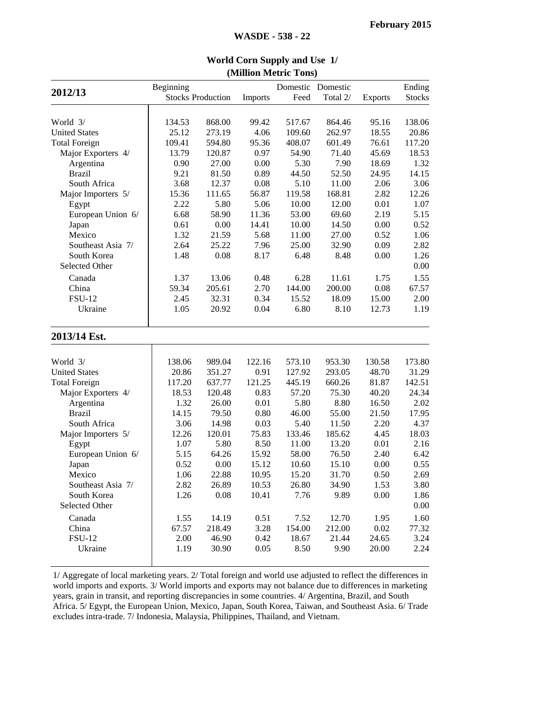|                      | Beginning |                          |         | (1)    | Domestic Domestic |                | Ending        |
|----------------------|-----------|--------------------------|---------|--------|-------------------|----------------|---------------|
| 2012/13              |           | <b>Stocks Production</b> | Imports | Feed   | Total 2/          | <b>Exports</b> | <b>Stocks</b> |
|                      |           |                          |         |        |                   |                |               |
| World 3/             | 134.53    | 868.00                   | 99.42   | 517.67 | 864.46            | 95.16          | 138.06        |
| <b>United States</b> | 25.12     | 273.19                   | 4.06    | 109.60 | 262.97            | 18.55          | 20.86         |
| <b>Total Foreign</b> | 109.41    | 594.80                   | 95.36   | 408.07 | 601.49            | 76.61          | 117.20        |
| Major Exporters 4/   | 13.79     | 120.87                   | 0.97    | 54.90  | 71.40             | 45.69          | 18.53         |
| Argentina            | 0.90      | 27.00                    | 0.00    | 5.30   | 7.90              | 18.69          | 1.32          |
| <b>Brazil</b>        | 9.21      | 81.50                    | 0.89    | 44.50  | 52.50             | 24.95          | 14.15         |
| South Africa         | 3.68      | 12.37                    | 0.08    | 5.10   | 11.00             | 2.06           | 3.06          |
| Major Importers 5/   | 15.36     | 111.65                   | 56.87   | 119.58 | 168.81            | 2.82           | 12.26         |
| Egypt                | 2.22      | 5.80                     | 5.06    | 10.00  | 12.00             | 0.01           | 1.07          |
| European Union 6/    | 6.68      | 58.90                    | 11.36   | 53.00  | 69.60             | 2.19           | 5.15          |
| Japan                | 0.61      | 0.00                     | 14.41   | 10.00  | 14.50             | 0.00           | 0.52          |
| Mexico               | 1.32      | 21.59                    | 5.68    | 11.00  | 27.00             | 0.52           | 1.06          |
| Southeast Asia 7/    | 2.64      | 25.22                    | 7.96    | 25.00  | 32.90             | 0.09           | 2.82          |
| South Korea          | 1.48      | 0.08                     | 8.17    | 6.48   | 8.48              | 0.00           | 1.26          |
| Selected Other       |           |                          |         |        |                   |                | 0.00          |
| Canada               | 1.37      | 13.06                    | 0.48    | 6.28   | 11.61             | 1.75           | 1.55          |
| China                | 59.34     | 205.61                   | 2.70    | 144.00 | 200.00            | 0.08           | 67.57         |
| <b>FSU-12</b>        | 2.45      | 32.31                    | 0.34    | 15.52  | 18.09             | 15.00          | 2.00          |
| Ukraine              | 1.05      | 20.92                    | 0.04    | 6.80   | 8.10              | 12.73          | 1.19          |
| 2013/14 Est.         |           |                          |         |        |                   |                |               |
|                      |           |                          |         |        |                   |                |               |
| World 3/             | 138.06    | 989.04                   | 122.16  | 573.10 | 953.30            | 130.58         | 173.80        |
| <b>United States</b> | 20.86     | 351.27                   | 0.91    | 127.92 | 293.05            | 48.70          | 31.29         |
| <b>Total Foreign</b> | 117.20    | 637.77                   | 121.25  | 445.19 | 660.26            | 81.87          | 142.51        |
| Major Exporters 4/   | 18.53     | 120.48                   | 0.83    | 57.20  | 75.30             | 40.20          | 24.34         |
| Argentina            | 1.32      | 26.00                    | 0.01    | 5.80   | 8.80              | 16.50          | 2.02          |
| <b>Brazil</b>        | 14.15     | 79.50                    | 0.80    | 46.00  | 55.00             | 21.50          | 17.95         |
| South Africa         | 3.06      | 14.98                    | 0.03    | 5.40   | 11.50             | 2.20           | 4.37          |
| Major Importers 5/   | 12.26     | 120.01                   | 75.83   | 133.46 | 185.62            | 4.45           | 18.03         |
| Egypt                | 1.07      | 5.80                     | 8.50    | 11.00  | 13.20             | 0.01           | 2.16          |
| European Union 6/    | 5.15      | 64.26                    | 15.92   | 58.00  | 76.50             | 2.40           | 6.42          |
| Japan                | 0.52      | 0.00                     | 15.12   | 10.60  | 15.10             | 0.00           | 0.55          |
| Mexico               | 1.06      | 22.88                    | 10.95   | 15.20  | 31.70             | 0.50           | 2.69          |
| Southeast Asia 7/    | 2.82      | 26.89                    | 10.53   | 26.80  | 34.90             | 1.53           | 3.80          |
| South Korea          | 1.26      | 0.08                     | 10.41   | 7.76   | 9.89              | 0.00           | 1.86          |
| Selected Other       |           |                          |         |        |                   |                | 0.00          |
| Canada               | 1.55      | 14.19                    | 0.51    | 7.52   | 12.70             | 1.95           | 1.60          |
| China                | 67.57     | 218.49                   | 3.28    | 154.00 | 212.00            | 0.02           | 77.32         |
| <b>FSU-12</b>        | 2.00      | 46.90                    | 0.42    | 18.67  | 21.44             | 24.65          | 3.24          |
| Ukraine              | 1.19      | 30.90                    | 0.05    | 8.50   | 9.90              | 20.00          | 2.24          |
|                      |           |                          |         |        |                   |                |               |

#### **World Corn Supply and Use 1/(Million Metric Tons)**

**WASDE - 538 - 22**

1/ Aggregate of local marketing years. 2/ Total foreign and world use adjusted to reflect the differences in world imports and exports. 3/ World imports and exports may not balance due to differences in marketing years, grain in transit, and reporting discrepancies in some countries. 4/ Argentina, Brazil, and South Africa. 5/ Egypt, the European Union, Mexico, Japan, South Korea, Taiwan, and Southeast Asia. 6/ Trade excludes intra-trade. 7/ Indonesia, Malaysia, Philippines, Thailand, and Vietnam.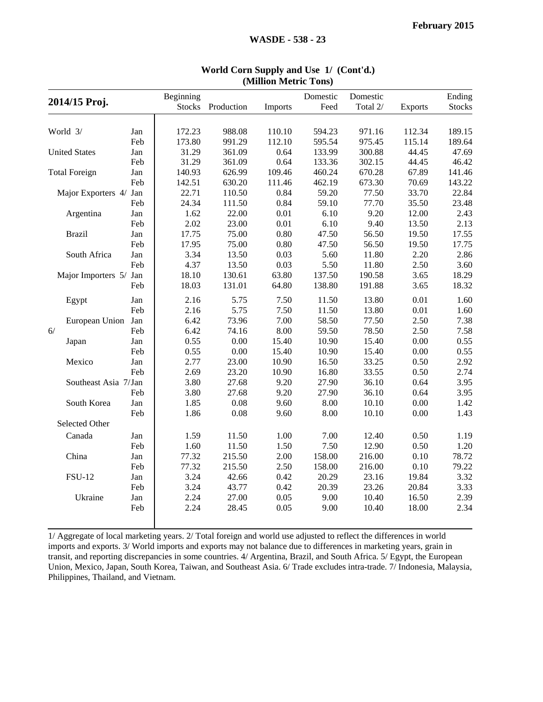| 2014/15 Proj.          |     | Beginning<br><b>Stocks</b> | Production | Imports | Domestic<br>Feed | Domestic<br>Total 2/ | <b>Exports</b> | Ending<br><b>Stocks</b> |
|------------------------|-----|----------------------------|------------|---------|------------------|----------------------|----------------|-------------------------|
|                        |     |                            |            |         |                  |                      |                |                         |
| World 3/               | Jan | 172.23                     | 988.08     | 110.10  | 594.23           | 971.16               | 112.34         | 189.15                  |
|                        | Feb | 173.80                     | 991.29     | 112.10  | 595.54           | 975.45               | 115.14         | 189.64                  |
| <b>United States</b>   | Jan | 31.29                      | 361.09     | 0.64    | 133.99           | 300.88               | 44.45          | 47.69                   |
|                        | Feb | 31.29                      | 361.09     | 0.64    | 133.36           | 302.15               | 44.45          | 46.42                   |
| <b>Total Foreign</b>   | Jan | 140.93                     | 626.99     | 109.46  | 460.24           | 670.28               | 67.89          | 141.46                  |
|                        | Feb | 142.51                     | 630.20     | 111.46  | 462.19           | 673.30               | 70.69          | 143.22                  |
| Major Exporters 4/ Jan |     | 22.71                      | 110.50     | 0.84    | 59.20            | 77.50                | 33.70          | 22.84                   |
|                        | Feb | 24.34                      | 111.50     | 0.84    | 59.10            | 77.70                | 35.50          | 23.48                   |
| Argentina              | Jan | 1.62                       | 22.00      | 0.01    | 6.10             | 9.20                 | 12.00          | 2.43                    |
|                        | Feb | 2.02                       | 23.00      | 0.01    | 6.10             | 9.40                 | 13.50          | 2.13                    |
| <b>Brazil</b>          | Jan | 17.75                      | 75.00      | 0.80    | 47.50            | 56.50                | 19.50          | 17.55                   |
|                        | Feb | 17.95                      | 75.00      | 0.80    | 47.50            | 56.50                | 19.50          | 17.75                   |
| South Africa           | Jan | 3.34                       | 13.50      | 0.03    | 5.60             | 11.80                | 2.20           | 2.86                    |
|                        | Feb | 4.37                       | 13.50      | 0.03    | 5.50             | 11.80                | 2.50           | 3.60                    |
| Major Importers 5/ Jan |     | 18.10                      | 130.61     | 63.80   | 137.50           | 190.58               | 3.65           | 18.29                   |
|                        | Feb | 18.03                      | 131.01     | 64.80   | 138.80           | 191.88               | 3.65           | 18.32                   |
| Egypt                  | Jan | 2.16                       | 5.75       | 7.50    | 11.50            | 13.80                | 0.01           | 1.60                    |
|                        | Feb | 2.16                       | 5.75       | 7.50    | 11.50            | 13.80                | 0.01           | 1.60                    |
| European Union         | Jan | 6.42                       | 73.96      | 7.00    | 58.50            | 77.50                | 2.50           | 7.38                    |
| 6/                     | Feb | 6.42                       | 74.16      | 8.00    | 59.50            | 78.50                | 2.50           | 7.58                    |
| Japan                  | Jan | 0.55                       | 0.00       | 15.40   | 10.90            | 15.40                | 0.00           | 0.55                    |
|                        | Feb | 0.55                       | 0.00       | 15.40   | 10.90            | 15.40                | 0.00           | 0.55                    |
| Mexico                 | Jan | 2.77                       | 23.00      | 10.90   | 16.50            | 33.25                | 0.50           | 2.92                    |
|                        | Feb | 2.69                       | 23.20      | 10.90   | 16.80            | 33.55                | 0.50           | 2.74                    |
| Southeast Asia 7/Jan   |     | 3.80                       | 27.68      | 9.20    | 27.90            | 36.10                | 0.64           | 3.95                    |
|                        | Feb | 3.80                       | 27.68      | 9.20    | 27.90            | 36.10                | 0.64           | 3.95                    |
| South Korea            | Jan | 1.85                       | 0.08       | 9.60    | 8.00             | 10.10                | 0.00           | 1.42                    |
|                        | Feb | 1.86                       | 0.08       | 9.60    | 8.00             | 10.10                | 0.00           | 1.43                    |
| Selected Other         |     |                            |            |         |                  |                      |                |                         |
| Canada                 | Jan | 1.59                       | 11.50      | 1.00    | 7.00             | 12.40                | 0.50           | 1.19                    |
|                        | Feb | 1.60                       | 11.50      | 1.50    | 7.50             | 12.90                | 0.50           | 1.20                    |
| China                  | Jan | 77.32                      | 215.50     | 2.00    | 158.00           | 216.00               | 0.10           | 78.72                   |
|                        | Feb | 77.32                      | 215.50     | 2.50    | 158.00           | 216.00               | 0.10           | 79.22                   |
| <b>FSU-12</b>          | Jan | 3.24                       | 42.66      | 0.42    | 20.29            | 23.16                | 19.84          | 3.32                    |
|                        | Feb | 3.24                       | 43.77      | 0.42    | 20.39            | 23.26                | 20.84          | 3.33                    |
| Ukraine                | Jan | 2.24                       | 27.00      | 0.05    | 9.00             | 10.40                | 16.50          | 2.39                    |
|                        | Feb | 2.24                       | 28.45      | 0.05    | 9.00             | 10.40                | 18.00          | 2.34                    |

#### **World Corn Supply and Use 1/ (Cont'd.)(Million Metric Tons)**

1/ Aggregate of local marketing years. 2/ Total foreign and world use adjusted to reflect the differences in world imports and exports. 3/ World imports and exports may not balance due to differences in marketing years, grain in transit, and reporting discrepancies in some countries. 4/ Argentina, Brazil, and South Africa. 5/ Egypt, the European Union, Mexico, Japan, South Korea, Taiwan, and Southeast Asia. 6/ Trade excludes intra-trade. 7/ Indonesia, Malaysia, Philippines, Thailand, and Vietnam.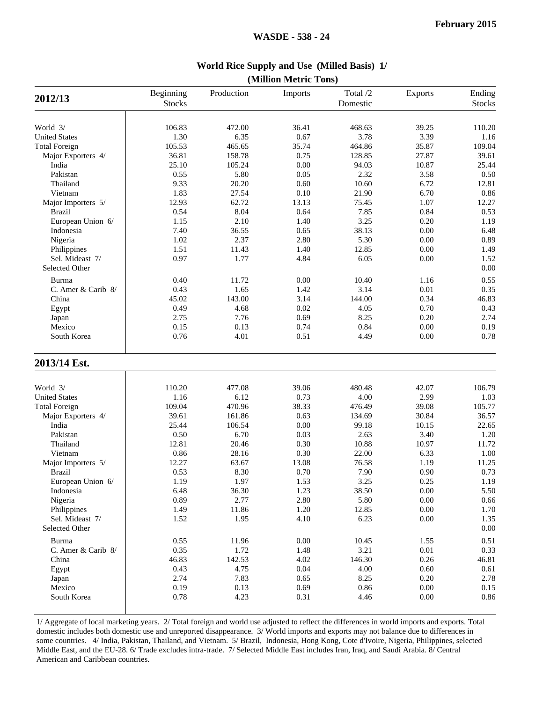|                                   |                            |            | (1)      |                      |          |                         |
|-----------------------------------|----------------------------|------------|----------|----------------------|----------|-------------------------|
| 2012/13                           | Beginning<br><b>Stocks</b> | Production | Imports  | Total /2<br>Domestic | Exports  | Ending<br><b>Stocks</b> |
| World 3/                          | 106.83                     | 472.00     | 36.41    | 468.63               | 39.25    |                         |
| <b>United States</b>              |                            |            |          |                      | 3.39     | 110.20                  |
|                                   | 1.30                       | 6.35       | 0.67     | 3.78                 |          | 1.16                    |
| <b>Total Foreign</b>              | 105.53                     | 465.65     | 35.74    | 464.86               | 35.87    | 109.04                  |
| Major Exporters 4/                | 36.81                      | 158.78     | 0.75     | 128.85               | 27.87    | 39.61                   |
| India                             | 25.10                      | 105.24     | 0.00     | 94.03                | 10.87    | 25.44                   |
| Pakistan                          | 0.55                       | 5.80       | 0.05     | 2.32                 | 3.58     | 0.50                    |
| Thailand                          | 9.33                       | 20.20      | 0.60     | 10.60                | 6.72     | 12.81                   |
| Vietnam                           | 1.83                       | 27.54      | 0.10     | 21.90                | 6.70     | 0.86                    |
| Major Importers 5/                | 12.93                      | 62.72      | 13.13    | 75.45                | 1.07     | 12.27                   |
| <b>Brazil</b>                     | 0.54                       | 8.04       | 0.64     | 7.85                 | 0.84     | 0.53                    |
| European Union 6/                 | 1.15                       | 2.10       | 1.40     | 3.25                 | 0.20     | 1.19                    |
| Indonesia                         | 7.40                       | 36.55      | 0.65     | 38.13                | 0.00     | 6.48                    |
| Nigeria                           | 1.02                       | 2.37       | 2.80     | 5.30                 | 0.00     | 0.89                    |
| Philippines                       | 1.51                       | 11.43      | 1.40     | 12.85                | 0.00     | 1.49                    |
| Sel. Mideast 7/                   | 0.97                       | 1.77       | 4.84     | 6.05                 | 0.00     | 1.52                    |
| Selected Other                    |                            |            |          |                      |          | 0.00                    |
| Burma                             | 0.40                       | 11.72      | 0.00     | 10.40                | 1.16     | 0.55                    |
| C. Amer & Carib 8/                | 0.43                       | 1.65       | 1.42     | 3.14                 | $0.01\,$ | 0.35                    |
| China                             | 45.02                      | 143.00     | 3.14     | 144.00               | 0.34     | 46.83                   |
| Egypt                             | 0.49                       | 4.68       | 0.02     | 4.05                 | 0.70     | 0.43                    |
| Japan                             | 2.75                       | 7.76       | 0.69     | 8.25                 | 0.20     | 2.74                    |
| Mexico                            | 0.15                       | 0.13       | 0.74     | 0.84                 | 0.00     | 0.19                    |
| South Korea                       | 0.76                       | 4.01       | 0.51     | 4.49                 | 0.00     | 0.78                    |
| 2013/14 Est.                      |                            |            |          |                      |          |                         |
| World 3/                          | 110.20                     | 477.08     | 39.06    | 480.48               | 42.07    | 106.79                  |
|                                   |                            |            | 0.73     |                      | 2.99     |                         |
| <b>United States</b>              | 1.16                       | 6.12       |          | 4.00                 |          | 1.03                    |
| <b>Total Foreign</b>              | 109.04                     | 470.96     | 38.33    | 476.49               | 39.08    | 105.77                  |
| Major Exporters 4/                | 39.61                      | 161.86     | 0.63     | 134.69               | 30.84    | 36.57<br>22.65          |
| India                             | 25.44                      | 106.54     | 0.00     | 99.18                | 10.15    |                         |
| Pakistan                          | 0.50                       | 6.70       | 0.03     | 2.63                 | 3.40     | 1.20                    |
| Thailand                          | 12.81                      | 20.46      | 0.30     | 10.88                | 10.97    | 11.72                   |
| Vietnam                           | 0.86                       | 28.16      | 0.30     | 22.00                | 6.33     | 1.00                    |
| Major Importers 5/                | 12.27                      | 63.67      | 13.08    | 76.58                | 1.19     | 11.25                   |
| <b>Brazil</b>                     | 0.53                       | 8.30       | 0.70     | 7.90                 | 0.90     | 0.73                    |
| European Union 6/                 | 1.19                       | 1.97       | 1.53     | 3.25                 | 0.25     | 1.19                    |
| Indonesia                         | 6.48                       | 36.30      | 1.23     | 38.50                | $0.00\,$ | 5.50                    |
| Nigeria                           | 0.89                       | 2.77       | 2.80     | 5.80                 | $0.00\,$ | 0.66                    |
| Philippines                       | 1.49                       | 11.86      | 1.20     | 12.85                | $0.00\,$ | 1.70                    |
| Sel. Mideast 7/<br>Selected Other | 1.52                       | 1.95       | 4.10     | 6.23                 | $0.00\,$ | 1.35<br>0.00            |
| Burma                             | 0.55                       | 11.96      | $0.00\,$ | 10.45                | 1.55     | 0.51                    |
| C. Amer & Carib 8/                | 0.35                       | 1.72       | 1.48     | 3.21                 | $0.01\,$ | 0.33                    |
| China                             | 46.83                      | 142.53     | 4.02     | 146.30               | 0.26     | 46.81                   |
| Egypt                             | 0.43                       | 4.75       | 0.04     | 4.00                 | 0.60     | 0.61                    |
| Japan                             | 2.74                       | 7.83       | 0.65     | 8.25                 | 0.20     | 2.78                    |
| Mexico                            | 0.19                       | 0.13       | 0.69     | $0.86\,$             | $0.00\,$ | 0.15                    |
|                                   |                            |            |          |                      |          |                         |

**World Rice Supply and Use (Milled Basis) 1/ (Million Metric Tons)**

1/ Aggregate of local marketing years. 2/ Total foreign and world use adjusted to reflect the differences in world imports and exports. Total domestic includes both domestic use and unreported disappearance. 3/ World imports and exports may not balance due to differences in some countries. 4/ India, Pakistan, Thailand, and Vietnam. 5/ Brazil, Indonesia, Hong Kong, Cote d'Ivoire, Nigeria, Philippines, selected Middle East, and the EU-28. 6/ Trade excludes intra-trade. 7/ Selected Middle East includes Iran, Iraq, and Saudi Arabia. 8/ Central American and Caribbean countries.

South Korea 1 0.78 4.23 0.31 4.46 0.00 0.86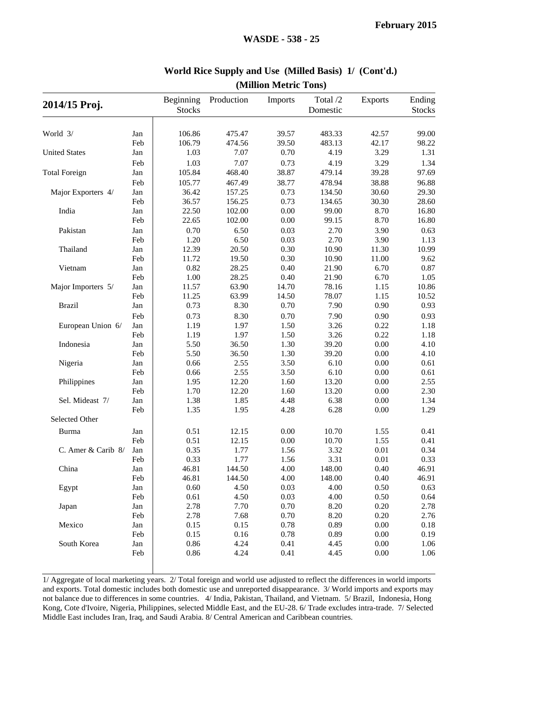| 2014/15 Proj.        |     | Beginning     | Production | Imports  | Total /2 | <b>Exports</b> | Ending        |
|----------------------|-----|---------------|------------|----------|----------|----------------|---------------|
|                      |     | <b>Stocks</b> |            |          | Domestic |                | <b>Stocks</b> |
|                      |     |               |            |          |          |                |               |
| World 3/             | Jan | 106.86        | 475.47     | 39.57    | 483.33   | 42.57          | 99.00         |
|                      | Feb | 106.79        | 474.56     | 39.50    | 483.13   | 42.17          | 98.22         |
| <b>United States</b> | Jan | 1.03          | 7.07       | 0.70     | 4.19     | 3.29           | 1.31          |
|                      | Feb | 1.03          | 7.07       | 0.73     | 4.19     | 3.29           | 1.34          |
| <b>Total Foreign</b> | Jan | 105.84        | 468.40     | 38.87    | 479.14   | 39.28          | 97.69         |
|                      | Feb | 105.77        | 467.49     | 38.77    | 478.94   | 38.88          | 96.88         |
| Major Exporters 4/   | Jan | 36.42         | 157.25     | 0.73     | 134.50   | 30.60          | 29.30         |
|                      | Feb | 36.57         | 156.25     | 0.73     | 134.65   | 30.30          | 28.60         |
| India                | Jan | 22.50         | 102.00     | $0.00\,$ | 99.00    | 8.70           | 16.80         |
|                      | Feb | 22.65         | 102.00     | 0.00     | 99.15    | 8.70           | 16.80         |
| Pakistan             | Jan | 0.70          | 6.50       | 0.03     | 2.70     | 3.90           | 0.63          |
|                      | Feb | 1.20          | 6.50       | 0.03     | 2.70     | 3.90           | 1.13          |
| Thailand             | Jan | 12.39         | 20.50      | 0.30     | 10.90    | 11.30          | 10.99         |
|                      | Feb | 11.72         | 19.50      | 0.30     | 10.90    | 11.00          | 9.62          |
| Vietnam              | Jan | 0.82          | 28.25      | 0.40     | 21.90    | 6.70           | 0.87          |
|                      | Feb | 1.00          | 28.25      | 0.40     | 21.90    | 6.70           | 1.05          |
| Major Importers 5/   | Jan | 11.57         | 63.90      | 14.70    | 78.16    | 1.15           | 10.86         |
|                      | Feb | 11.25         | 63.99      | 14.50    | 78.07    | 1.15           | 10.52         |
| <b>Brazil</b>        | Jan | 0.73          | 8.30       | 0.70     | 7.90     | 0.90           | 0.93          |
|                      | Feb | 0.73          | 8.30       | 0.70     | 7.90     | 0.90           | 0.93          |
| European Union 6/    | Jan | 1.19          | 1.97       | 1.50     | 3.26     | 0.22           | 1.18          |
|                      | Feb | 1.19          | 1.97       | 1.50     | 3.26     | 0.22           | 1.18          |
| Indonesia            | Jan | 5.50          | 36.50      | 1.30     | 39.20    | 0.00           | 4.10          |
|                      | Feb | 5.50          | 36.50      | 1.30     | 39.20    | 0.00           | 4.10          |
| Nigeria              | Jan | 0.66          | 2.55       | 3.50     | 6.10     | 0.00           | 0.61          |
|                      | Feb | 0.66          | 2.55       | 3.50     | 6.10     | 0.00           | 0.61          |
| Philippines          | Jan | 1.95          | 12.20      | 1.60     | 13.20    | 0.00           | 2.55          |
|                      | Feb | 1.70          | 12.20      | 1.60     | 13.20    | 0.00           | 2.30          |
| Sel. Mideast 7/      | Jan | 1.38          | 1.85       | 4.48     | 6.38     | $0.00\,$       | 1.34          |
|                      | Feb | 1.35          | 1.95       | 4.28     | 6.28     | 0.00           | 1.29          |
| Selected Other       |     |               |            |          |          |                |               |
| Burma                | Jan | 0.51          | 12.15      | 0.00     | 10.70    | 1.55           | 0.41          |
|                      | Feb | 0.51          | 12.15      | 0.00     | 10.70    | 1.55           | 0.41          |
| C. Amer & Carib 8/   | Jan | 0.35          | 1.77       | 1.56     | 3.32     | 0.01           | 0.34          |
|                      | Feb | 0.33          | 1.77       | 1.56     | 3.31     | 0.01           | 0.33          |
| China                | Jan | 46.81         | 144.50     | 4.00     | 148.00   | 0.40           | 46.91         |
|                      | Feb | 46.81         | 144.50     | 4.00     | 148.00   | 0.40           | 46.91         |
| Egypt                | Jan | 0.60          | 4.50       | 0.03     | 4.00     | 0.50           | 0.63          |
|                      | Feb | 0.61          | 4.50       | 0.03     | 4.00     | 0.50           | 0.64          |
| Japan                | Jan | 2.78          | 7.70       | 0.70     | 8.20     | 0.20           | 2.78          |
|                      | Feb | 2.78          | 7.68       | 0.70     | 8.20     | 0.20           | 2.76          |
| Mexico               | Jan | 0.15          | 0.15       | 0.78     | 0.89     | $0.00\,$       | 0.18          |
|                      | Feb | 0.15          | 0.16       | 0.78     | 0.89     | $0.00\,$       | 0.19          |
| South Korea          | Jan | 0.86          | 4.24       | 0.41     | 4.45     | $0.00\,$       | 1.06          |
|                      | Feb | 0.86          | 4.24       | 0.41     | 4.45     | 0.00           | 1.06          |
|                      |     |               |            |          |          |                |               |

#### **World Rice Supply and Use (Milled Basis) 1/ (Cont'd.)(Million Metric Tons)**

1/ Aggregate of local marketing years. 2/ Total foreign and world use adjusted to reflect the differences in world imports and exports. Total domestic includes both domestic use and unreported disappearance. 3/ World imports and exports may not balance due to differences in some countries. 4/ India, Pakistan, Thailand, and Vietnam. 5/ Brazil, Indonesia, Hong Kong, Cote d'Ivoire, Nigeria, Philippines, selected Middle East, and the EU-28. 6/ Trade excludes intra-trade. 7/ Selected Middle East includes Iran, Iraq, and Saudi Arabia. 8/ Central American and Caribbean countries.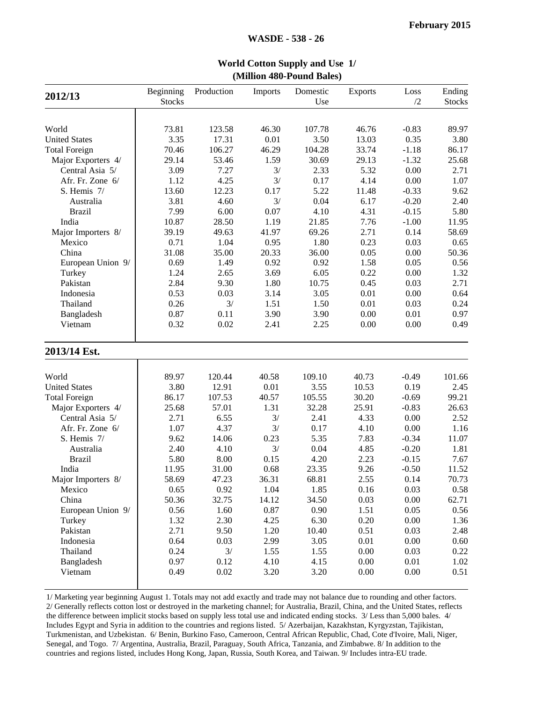|                      | (MHHON 480-POUND Bales) |            |         |          |                |          |               |  |  |  |  |  |
|----------------------|-------------------------|------------|---------|----------|----------------|----------|---------------|--|--|--|--|--|
|                      | Beginning               | Production | Imports | Domestic | <b>Exports</b> | Loss     | Ending        |  |  |  |  |  |
| 2012/13              | <b>Stocks</b>           |            |         | Use      |                | /2       | <b>Stocks</b> |  |  |  |  |  |
|                      |                         |            |         |          |                |          |               |  |  |  |  |  |
| World                | 73.81                   | 123.58     | 46.30   | 107.78   | 46.76          | $-0.83$  | 89.97         |  |  |  |  |  |
| <b>United States</b> | 3.35                    | 17.31      | 0.01    | 3.50     | 13.03          | 0.35     | 3.80          |  |  |  |  |  |
| <b>Total Foreign</b> | 70.46                   | 106.27     | 46.29   | 104.28   | 33.74          | $-1.18$  | 86.17         |  |  |  |  |  |
| Major Exporters 4/   | 29.14                   | 53.46      | 1.59    | 30.69    | 29.13          | $-1.32$  | 25.68         |  |  |  |  |  |
| Central Asia 5/      | 3.09                    | 7.27       | 3/      | 2.33     | 5.32           | 0.00     | 2.71          |  |  |  |  |  |
| Afr. Fr. Zone 6/     | 1.12                    | 4.25       | 3/      | 0.17     | 4.14           | 0.00     | 1.07          |  |  |  |  |  |
| S. Hemis 7/          | 13.60                   | 12.23      | 0.17    | 5.22     | 11.48          | $-0.33$  | 9.62          |  |  |  |  |  |
| Australia            | 3.81                    | 4.60       | 3/      | 0.04     | 6.17           | $-0.20$  | 2.40          |  |  |  |  |  |
| <b>Brazil</b>        | 7.99                    | 6.00       | 0.07    | 4.10     | 4.31           | $-0.15$  | 5.80          |  |  |  |  |  |
| India                | 10.87                   | 28.50      | 1.19    | 21.85    | 7.76           | $-1.00$  | 11.95         |  |  |  |  |  |
| Major Importers 8/   | 39.19                   | 49.63      | 41.97   | 69.26    | 2.71           | 0.14     | 58.69         |  |  |  |  |  |
| Mexico               | 0.71                    | 1.04       | 0.95    | 1.80     | 0.23           | 0.03     | 0.65          |  |  |  |  |  |
| China                | 31.08                   | 35.00      | 20.33   | 36.00    | 0.05           | 0.00     | 50.36         |  |  |  |  |  |
| European Union 9/    | 0.69                    | 1.49       | 0.92    | 0.92     | 1.58           | 0.05     | 0.56          |  |  |  |  |  |
| Turkey               | 1.24                    | 2.65       | 3.69    | 6.05     | 0.22           | 0.00     | 1.32          |  |  |  |  |  |
| Pakistan             | 2.84                    | 9.30       | 1.80    | 10.75    | 0.45           | 0.03     | 2.71          |  |  |  |  |  |
| Indonesia            | 0.53                    | 0.03       | 3.14    | 3.05     | 0.01           | 0.00     | 0.64          |  |  |  |  |  |
| Thailand             | 0.26                    | 3/         | 1.51    | 1.50     | 0.01           | 0.03     | 0.24          |  |  |  |  |  |
| Bangladesh           | 0.87                    | 0.11       | 3.90    | 3.90     | 0.00           | 0.01     | 0.97          |  |  |  |  |  |
| Vietnam              | 0.32                    | 0.02       | 2.41    | 2.25     | 0.00           | 0.00     | 0.49          |  |  |  |  |  |
| 2013/14 Est.         |                         |            |         |          |                |          |               |  |  |  |  |  |
| World                | 89.97                   | 120.44     | 40.58   | 109.10   | 40.73          | $-0.49$  | 101.66        |  |  |  |  |  |
| <b>United States</b> | 3.80                    | 12.91      | 0.01    | 3.55     | 10.53          | 0.19     | 2.45          |  |  |  |  |  |
| <b>Total Foreign</b> | 86.17                   | 107.53     | 40.57   | 105.55   | 30.20          | $-0.69$  | 99.21         |  |  |  |  |  |
| Major Exporters 4/   | 25.68                   | 57.01      | 1.31    | 32.28    | 25.91          | $-0.83$  | 26.63         |  |  |  |  |  |
| Central Asia 5/      | 2.71                    | 6.55       | 3/      | 2.41     | 4.33           | 0.00     | 2.52          |  |  |  |  |  |
| Afr. Fr. Zone 6/     | 1.07                    | 4.37       | 3/      | 0.17     | 4.10           | 0.00     | 1.16          |  |  |  |  |  |
| S. Hemis 7/          | 9.62                    | 14.06      | 0.23    | 5.35     | 7.83           | $-0.34$  | 11.07         |  |  |  |  |  |
| Australia            | 2.40                    | 4.10       | 3/      | 0.04     | 4.85           | $-0.20$  | 1.81          |  |  |  |  |  |
| <b>Brazil</b>        | 5.80                    | 8.00       | 0.15    | 4.20     | 2.23           | $-0.15$  | 7.67          |  |  |  |  |  |
| India                | 11.95                   | 31.00      | 0.68    | 23.35    | 9.26           | $-0.50$  | 11.52         |  |  |  |  |  |
| Major Importers 8/   | 58.69                   | 47.23      | 36.31   | 68.81    | 2.55           | 0.14     | 70.73         |  |  |  |  |  |
| Mexico               | 0.65                    | 0.92       | 1.04    | 1.85     | 0.16           | 0.03     | 0.58          |  |  |  |  |  |
| China                | 50.36                   | 32.75      | 14.12   | 34.50    | 0.03           | $0.00\,$ | 62.71         |  |  |  |  |  |
| European Union 9/    | 0.56                    | 1.60       | 0.87    | 0.90     | 1.51           | 0.05     | 0.56          |  |  |  |  |  |
| Turkey               | 1.32                    | 2.30       | 4.25    | 6.30     | 0.20           | 0.00     | 1.36          |  |  |  |  |  |
| Pakistan             | 2.71                    | 9.50       | 1.20    | 10.40    | 0.51           | 0.03     | 2.48          |  |  |  |  |  |
| Indonesia            | 0.64                    | 0.03       | 2.99    | 3.05     | 0.01           | 0.00     | 0.60          |  |  |  |  |  |
| Thailand             | 0.24                    | 3/         | 1.55    | 1.55     | 0.00           | 0.03     | 0.22          |  |  |  |  |  |
| Bangladesh           | 0.97                    | 0.12       | 4.10    | 4.15     | 0.00           | 0.01     | 1.02          |  |  |  |  |  |
| Vietnam              | 0.49                    | 0.02       | 3.20    | 3.20     | 0.00           | 0.00     | 0.51          |  |  |  |  |  |
|                      |                         |            |         |          |                |          |               |  |  |  |  |  |

**World Cotton Supply and Use 1/(Million 480-Pound Bales)**

1/ Marketing year beginning August 1. Totals may not add exactly and trade may not balance due to rounding and other factors. 2/ Generally reflects cotton lost or destroyed in the marketing channel; for Australia, Brazil, China, and the United States, reflects the difference between implicit stocks based on supply less total use and indicated ending stocks. 3/ Less than 5,000 bales. 4/ Includes Egypt and Syria in addition to the countries and regions listed. 5/ Azerbaijan, Kazakhstan, Kyrgyzstan, Tajikistan, Turkmenistan, and Uzbekistan. 6/ Benin, Burkino Faso, Cameroon, Central African Republic, Chad, Cote d'Ivoire, Mali, Niger, Senegal, and Togo. 7/ Argentina, Australia, Brazil, Paraguay, South Africa, Tanzania, and Zimbabwe. 8/ In addition to the countries and regions listed, includes Hong Kong, Japan, Russia, South Korea, and Taiwan. 9/ Includes intra-EU trade.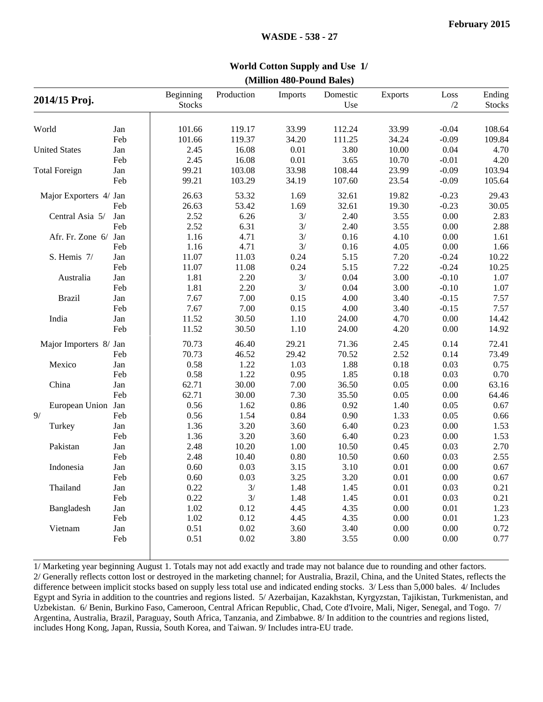| <b>World Cotton Supply and Use 1/</b> |  |
|---------------------------------------|--|
| (Million 480-Pound Bales)             |  |

| 2014/15 Proj.          |     | Beginning<br><b>Stocks</b> | Production | Imports  | Domestic<br>Use | <b>Exports</b> | Loss<br>/2 | Ending<br><b>Stocks</b> |
|------------------------|-----|----------------------------|------------|----------|-----------------|----------------|------------|-------------------------|
| World                  | Jan | 101.66                     | 119.17     | 33.99    | 112.24          | 33.99          | $-0.04$    | 108.64                  |
|                        | Feb | 101.66                     | 119.37     | 34.20    | 111.25          | 34.24          | $-0.09$    | 109.84                  |
| <b>United States</b>   | Jan | 2.45                       | 16.08      | 0.01     | 3.80            | 10.00          | 0.04       | 4.70                    |
|                        | Feb | 2.45                       | 16.08      | $0.01\,$ | 3.65            | 10.70          | $-0.01$    | 4.20                    |
| <b>Total Foreign</b>   | Jan | 99.21                      | 103.08     | 33.98    | 108.44          | 23.99          | $-0.09$    | 103.94                  |
|                        | Feb | 99.21                      | 103.29     | 34.19    | 107.60          | 23.54          | $-0.09$    | 105.64                  |
| Major Exporters 4/ Jan |     | 26.63                      | 53.32      | 1.69     | 32.61           | 19.82          | $-0.23$    | 29.43                   |
|                        | Feb | 26.63                      | 53.42      | 1.69     | 32.61           | 19.30          | $-0.23$    | 30.05                   |
| Central Asia 5/        | Jan | 2.52                       | 6.26       | 3/       | 2.40            | 3.55           | $0.00\,$   | 2.83                    |
|                        | Feb | 2.52                       | 6.31       | 3/       | 2.40            | 3.55           | 0.00       | 2.88                    |
| Afr. Fr. Zone 6/       | Jan | 1.16                       | 4.71       | 3/       | 0.16            | 4.10           | 0.00       | 1.61                    |
|                        | Feb | 1.16                       | 4.71       | 3/       | 0.16            | 4.05           | 0.00       | 1.66                    |
| S. Hemis 7/            | Jan | 11.07                      | 11.03      | 0.24     | 5.15            | 7.20           | $-0.24$    | 10.22                   |
|                        | Feb | 11.07                      | 11.08      | 0.24     | 5.15            | 7.22           | $-0.24$    | 10.25                   |
| Australia              | Jan | 1.81                       | 2.20       | 3/       | 0.04            | 3.00           | $-0.10$    | 1.07                    |
|                        | Feb | 1.81                       | 2.20       | 3/       | 0.04            | 3.00           | $-0.10$    | 1.07                    |
| <b>Brazil</b>          | Jan | 7.67                       | 7.00       | 0.15     | 4.00            | 3.40           | $-0.15$    | 7.57                    |
|                        | Feb | 7.67                       | 7.00       | 0.15     | 4.00            | 3.40           | $-0.15$    | 7.57                    |
| India                  | Jan | 11.52                      | 30.50      | 1.10     | 24.00           | 4.70           | 0.00       | 14.42                   |
|                        | Feb | 11.52                      | 30.50      | 1.10     | 24.00           | 4.20           | 0.00       | 14.92                   |
| Major Importers 8/ Jan |     | 70.73                      | 46.40      | 29.21    | 71.36           | 2.45           | 0.14       | 72.41                   |
|                        | Feb | 70.73                      | 46.52      | 29.42    | 70.52           | 2.52           | 0.14       | 73.49                   |
| Mexico                 | Jan | 0.58                       | 1.22       | 1.03     | 1.88            | 0.18           | 0.03       | 0.75                    |
|                        | Feb | 0.58                       | 1.22       | 0.95     | 1.85            | 0.18           | 0.03       | 0.70                    |
| China                  | Jan | 62.71                      | 30.00      | 7.00     | 36.50           | 0.05           | 0.00       | 63.16                   |
|                        | Feb | 62.71                      | 30.00      | 7.30     | 35.50           | 0.05           | 0.00       | 64.46                   |
| European Union Jan     |     | 0.56                       | 1.62       | 0.86     | 0.92            | 1.40           | 0.05       | 0.67                    |
| 9/                     | Feb | 0.56                       | 1.54       | 0.84     | 0.90            | 1.33           | 0.05       | 0.66                    |
| Turkey                 | Jan | 1.36                       | 3.20       | 3.60     | 6.40            | 0.23           | 0.00       | 1.53                    |
|                        | Feb | 1.36                       | 3.20       | 3.60     | 6.40            | 0.23           | 0.00       | 1.53                    |
| Pakistan               | Jan | 2.48                       | 10.20      | 1.00     | 10.50           | 0.45           | 0.03       | 2.70                    |
|                        | Feb | 2.48                       | 10.40      | $0.80\,$ | 10.50           | 0.60           | 0.03       | 2.55                    |
| Indonesia              | Jan | 0.60                       | 0.03       | 3.15     | 3.10            | $0.01\,$       | 0.00       | 0.67                    |
|                        | Feb | 0.60                       | 0.03       | 3.25     | 3.20            | 0.01           | 0.00       | 0.67                    |
| Thailand               | Jan | 0.22                       | 3/         | 1.48     | 1.45            | 0.01           | $0.03\,$   | 0.21                    |
|                        | Feb | 0.22                       | 3/         | 1.48     | 1.45            | 0.01           | 0.03       | 0.21                    |
| Bangladesh             | Jan | 1.02                       | 0.12       | 4.45     | 4.35            | 0.00           | 0.01       | 1.23                    |
|                        | Feb | 1.02                       | 0.12       | 4.45     | 4.35            | 0.00           | 0.01       | 1.23                    |
| Vietnam                | Jan | 0.51                       | 0.02       | 3.60     | 3.40            | 0.00           | 0.00       | 0.72                    |
|                        | Feb | 0.51                       | 0.02       | 3.80     | 3.55            | 0.00           | 0.00       | 0.77                    |

 1/ Marketing year beginning August 1. Totals may not add exactly and trade may not balance due to rounding and other factors. 2/ Generally reflects cotton lost or destroyed in the marketing channel; for Australia, Brazil, China, and the United States, reflects the difference between implicit stocks based on supply less total use and indicated ending stocks. 3/ Less than 5,000 bales. 4/ Includes Egypt and Syria in addition to the countries and regions listed. 5/ Azerbaijan, Kazakhstan, Kyrgyzstan, Tajikistan, Turkmenistan, and Uzbekistan. 6/ Benin, Burkino Faso, Cameroon, Central African Republic, Chad, Cote d'Ivoire, Mali, Niger, Senegal, and Togo. 7/ Argentina, Australia, Brazil, Paraguay, South Africa, Tanzania, and Zimbabwe. 8/ In addition to the countries and regions listed, includes Hong Kong, Japan, Russia, South Korea, and Taiwan. 9/ Includes intra-EU trade.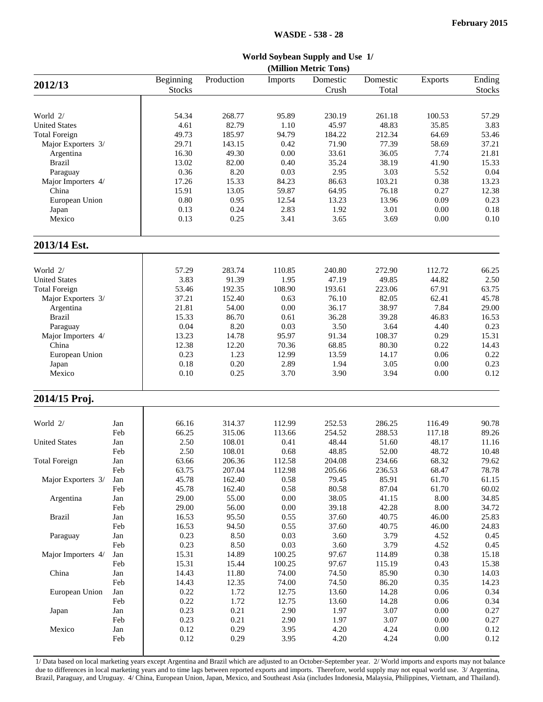**World Soybean Supply and Use 1/**

|                      | (Million Metric Tons) |               |              |                |              |               |                |               |  |  |  |
|----------------------|-----------------------|---------------|--------------|----------------|--------------|---------------|----------------|---------------|--|--|--|
| 2012/13              |                       | Beginning     | Production   | Imports        | Domestic     | Domestic      | <b>Exports</b> | Ending        |  |  |  |
|                      |                       | <b>Stocks</b> |              |                | Crush        | Total         |                | <b>Stocks</b> |  |  |  |
|                      |                       |               |              |                |              |               |                |               |  |  |  |
| World 2/             |                       | 54.34         | 268.77       | 95.89          | 230.19       | 261.18        | 100.53         | 57.29         |  |  |  |
| <b>United States</b> |                       | 4.61          | 82.79        | 1.10           | 45.97        | 48.83         | 35.85          | 3.83          |  |  |  |
| <b>Total Foreign</b> |                       | 49.73         | 185.97       | 94.79          | 184.22       | 212.34        | 64.69          | 53.46         |  |  |  |
| Major Exporters 3/   |                       | 29.71         | 143.15       | 0.42           | 71.90        | 77.39         | 58.69          | 37.21         |  |  |  |
| Argentina            |                       | 16.30         | 49.30        | 0.00           | 33.61        | 36.05         | 7.74           | 21.81         |  |  |  |
| <b>Brazil</b>        |                       | 13.02         | 82.00        | 0.40           | 35.24        | 38.19         | 41.90          | 15.33         |  |  |  |
| Paraguay             |                       | 0.36          | 8.20         | 0.03           | 2.95         | 3.03          | 5.52           | 0.04          |  |  |  |
| Major Importers 4/   |                       | 17.26         | 15.33        | 84.23          | 86.63        | 103.21        | 0.38           | 13.23         |  |  |  |
| China                |                       | 15.91         | 13.05        | 59.87          | 64.95        | 76.18         | 0.27           | 12.38         |  |  |  |
| European Union       |                       | 0.80          | 0.95         | 12.54          | 13.23        | 13.96         | 0.09           | 0.23          |  |  |  |
| Japan                |                       | 0.13          | 0.24         | 2.83           | 1.92         | 3.01          | 0.00           | 0.18          |  |  |  |
| Mexico               |                       | 0.13          | 0.25         | 3.41           | 3.65         | 3.69          | 0.00           | 0.10          |  |  |  |
| 2013/14 Est.         |                       |               |              |                |              |               |                |               |  |  |  |
|                      |                       |               |              |                |              |               |                |               |  |  |  |
| World 2/             |                       | 57.29         | 283.74       | 110.85         | 240.80       | 272.90        | 112.72         | 66.25         |  |  |  |
| <b>United States</b> |                       | 3.83          | 91.39        | 1.95           | 47.19        | 49.85         | 44.82          | 2.50          |  |  |  |
| <b>Total Foreign</b> |                       | 53.46         | 192.35       | 108.90         | 193.61       | 223.06        | 67.91          | 63.75         |  |  |  |
| Major Exporters 3/   |                       | 37.21         | 152.40       | 0.63           | 76.10        | 82.05         | 62.41          | 45.78         |  |  |  |
| Argentina            |                       | 21.81         | 54.00        | 0.00           | 36.17        | 38.97         | 7.84           | 29.00         |  |  |  |
| <b>Brazil</b>        |                       | 15.33         | 86.70        | 0.61           | 36.28        | 39.28         | 46.83          | 16.53         |  |  |  |
| Paraguay             |                       | 0.04          | 8.20         | 0.03           | 3.50         | 3.64          | 4.40           | 0.23          |  |  |  |
| Major Importers 4/   |                       | 13.23         | 14.78        | 95.97          | 91.34        | 108.37        | 0.29           | 15.31         |  |  |  |
| China                |                       | 12.38         | 12.20        | 70.36          | 68.85        | 80.30         | 0.22           | 14.43         |  |  |  |
| European Union       |                       | 0.23          | 1.23         | 12.99          | 13.59        | 14.17         | 0.06           | 0.22          |  |  |  |
| Japan                |                       | 0.18          | 0.20         | 2.89           | 1.94         | 3.05          | 0.00           | 0.23          |  |  |  |
| Mexico               |                       | 0.10          | 0.25         | 3.70           | 3.90         | 3.94          | 0.00           | 0.12          |  |  |  |
| 2014/15 Proj.        |                       |               |              |                |              |               |                |               |  |  |  |
|                      |                       |               |              |                |              |               |                |               |  |  |  |
| World 2/             | Jan                   | 66.16         | 314.37       | 112.99         | 252.53       | 286.25        | 116.49         | 90.78         |  |  |  |
|                      | Feb                   | 66.25         | 315.06       | 113.66         | 254.52       | 288.53        | 117.18         | 89.26         |  |  |  |
| <b>United States</b> | Jan                   | 2.50          | 108.01       | 0.41           | 48.44        | 51.60         | 48.17          | 11.16         |  |  |  |
|                      | Feb                   | 2.50          | 108.01       | 0.68           | 48.85        | 52.00         | 48.72          | 10.48         |  |  |  |
| <b>Total Foreign</b> | Jan                   | 63.66         | 206.36       | 112.58         | 204.08       | 234.66        | 68.32          | 79.62         |  |  |  |
|                      | Feb                   | 63.75         | 207.04       | 112.98         | 205.66       | 236.53        | 68.47          | 78.78         |  |  |  |
| Major Exporters 3/   | Jan                   | 45.78         | 162.40       | $0.58\,$       | 79.45        | 85.91         | 61.70          | 61.15         |  |  |  |
|                      | Feb                   | 45.78         | 162.40       | 0.58           | 80.58        | 87.04         | 61.70          | 60.02         |  |  |  |
| Argentina            | Jan                   | 29.00         | 55.00        | $0.00\,$       | 38.05        | 41.15         | 8.00           | 34.85         |  |  |  |
|                      | Feb                   | 29.00         | 56.00        | $0.00\,$       | 39.18        | 42.28         | 8.00           | 34.72         |  |  |  |
| <b>Brazil</b>        | Jan                   | 16.53         | 95.50        | 0.55           | 37.60        | 40.75         | 46.00          | 25.83         |  |  |  |
|                      | Feb                   | 16.53         | 94.50        | 0.55           | 37.60        | 40.75         | 46.00          | 24.83         |  |  |  |
| Paraguay             | Jan                   | 0.23          | 8.50         | 0.03           | 3.60         | 3.79          | 4.52           | 0.45          |  |  |  |
|                      | Feb                   | 0.23          | 8.50         | 0.03           | 3.60         | 3.79          | 4.52           | 0.45          |  |  |  |
| Major Importers 4/   | Jan                   | 15.31         | 14.89        | 100.25         | 97.67        | 114.89        | 0.38           | 15.18         |  |  |  |
|                      | Feb                   | 15.31         | 15.44        | 100.25         | 97.67        | 115.19        | 0.43           | 15.38         |  |  |  |
| China                | Jan                   | 14.43         | 11.80        | 74.00<br>74.00 | 74.50        | 85.90         | 0.30<br>0.35   | 14.03         |  |  |  |
|                      | Feb                   | 14.43         | 12.35        |                | 74.50        | 86.20         |                | 14.23         |  |  |  |
| European Union       | Jan                   | 0.22          | 1.72         | 12.75<br>12.75 | 13.60        | 14.28         | 0.06           | 0.34          |  |  |  |
|                      | Feb                   | 0.22          | 1.72         | 2.90           | 13.60        | 14.28<br>3.07 | 0.06<br>0.00   | 0.34          |  |  |  |
| Japan                | Jan<br>Feb            | 0.23<br>0.23  | 0.21<br>0.21 | 2.90           | 1.97<br>1.97 | 3.07          | 0.00           | 0.27<br>0.27  |  |  |  |
| Mexico               | Jan                   | 0.12          | 0.29         | 3.95           | 4.20         | 4.24          | 0.00           | 0.12          |  |  |  |
|                      | Feb                   | 0.12          | 0.29         | 3.95           | 4.20         | 4.24          | $0.00\,$       | 0.12          |  |  |  |
|                      |                       |               |              |                |              |               |                |               |  |  |  |

 1/ Data based on local marketing years except Argentina and Brazil which are adjusted to an October-September year. 2/ World imports and exports may not balance due to differences in local marketing years and to time lags between reported exports and imports. Therefore, world supply may not equal world use. 3/ Argentina, Brazil, Paraguay, and Uruguay. 4/ China, European Union, Japan, Mexico, and Southeast Asia (includes Indonesia, Malaysia, Philippines, Vietnam, and Thailand).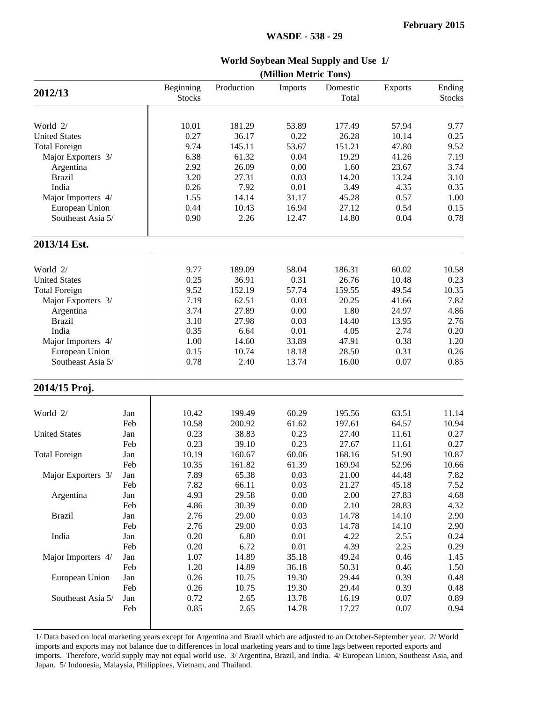#### **World Soybean Meal Supply and Use 1/(Million Metric Tons)2012/13** Beginning **Stocks** Production Imports Domestic Total Exports Ending Stocks World 2/ **10.01** 181.29 53.89 177.49 57.94 9.77 United States **0.27** 36.17 0.22 26.28 10.14 0.25 Total Foreign **12.11** 145.11 53.67 151.21 47.80 9.52 Major Exporters 3/ 6.38 61.32 0.04 19.29 41.26 7.19 Argentina 2.92 26.09 0.00 1.60 23.67 3.74 Brazil 3.20 27.31 0.03 14.20 13.24 3.10 India 0.26 7.92 0.01 3.49 4.35 0.35 Major Importers 4/ 1.55 14.14 31.17 45.28 0.57 1.00 European Union 0.44 10.43 16.94 27.12 0.54 0.15 Southeast Asia 5/ 0.90 2.26 12.47 14.80 0.04 0.78 **2013/14 Est.** World 2/ **9.77 189.09 58.04 186.31 60.02** 10.58 United States 10.48 10.25 36.91 0.31 26.76 10.48 0.23 Total Foreign 9.52 152.19 57.74 159.55 49.54 10.35 Major Exporters 3/ (20.25 41.66 7.82 Major Exporters 3/ Argentina 3.74 27.89 0.00 1.80 24.97 4.86 Brazil 3.10 27.98 0.03 14.40 13.95 2.76 India 10.35 6.64 0.01 4.05 2.74 0.20 Major Importers 4/ 1.00 14.60 33.89 47.91 0.38 1.20 European Union 0.15 10.74 18.18 28.50 0.31 0.26 Southeast Asia 5/ 10.78 2.40 13.74 16.00 0.07 0.85 2014/15 Proj. World 2/ Jan 10.42 199.49 60.29 195.56 63.51 11.14 Feb 10.58 200.92 61.62 197.61 64.57 10.94 United States Jan 10.23 38.83 0.23 27.40 11.61 0.27 Feb 0.23 39.10 0.23 27.67 11.61 0.27 Total Foreign Jan 10.19 160.67 60.06 168.16 51.90 10.87 Feb 10.35 161.82 61.39 169.94 52.96 10.66 Major Exporters 3/ Jan | 7.89 65.38 0.03 21.00 44.48 7.82 Feb 7.82 66.11 0.03 21.27 45.18 7.52 Argentina Jan 4.93 29.58 0.00 2.00 27.83 4.68 Feb 4.86 30.39 0.00 2.10 28.83 4.32 Brazil Jan 2.76 29.00 0.03 14.78 14.10 2.90 Feb 2.76 29.00 0.03 14.78 14.10 2.90 India Jan 0.20 6.80 0.01 4.22 2.55 0.24 Feb 0.20 6.72 0.01 4.39 2.25 0.29 Major Importers 4/ Jan 1.07 14.89 35.18 49.24 0.46 1.45 Feb 1.20 14.89 36.18 50.31 0.46 1.50 European Union Jan 0.26 10.75 19.30 29.44 0.39 0.48 Feb 0.26 10.75 19.30 29.44 0.39 0.48 Southeast Asia 5/ Jan  $\begin{array}{|l} 0.72 & 2.65 & 13.78 & 16.19 & 0.07 & 0.89 \end{array}$ Feb 0.85 2.65 14.78 17.27 0.07 0.94

1/ Data based on local marketing years except for Argentina and Brazil which are adjusted to an October-September year. 2/ World imports and exports may not balance due to differences in local marketing years and to time lags between reported exports and imports. Therefore, world supply may not equal world use. 3/ Argentina, Brazil, and India. 4/ European Union, Southeast Asia, and Japan. 5/ Indonesia, Malaysia, Philippines, Vietnam, and Thailand.

#### **WASDE - 538 - 29**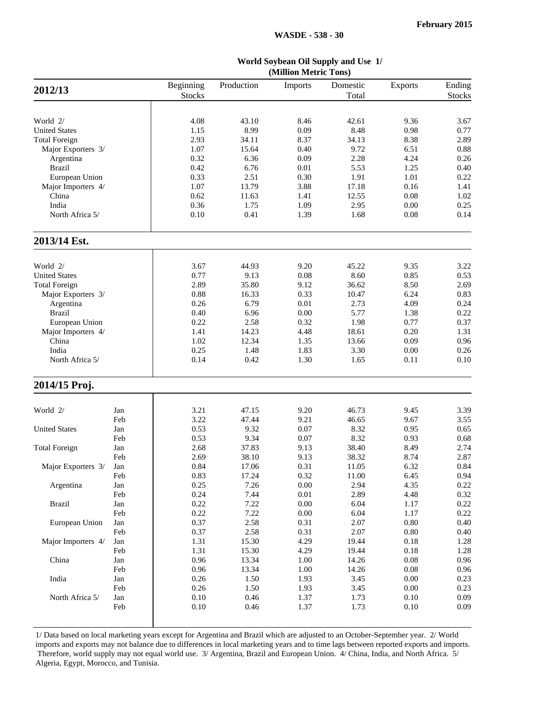| World Soybean Oil Supply and Use 1/ |  |
|-------------------------------------|--|
| (Million Metric Tons)               |  |

|                      | (TATHITOH TATUTTE T OHP) |                            |            |          |                   |                |                         |  |  |  |
|----------------------|--------------------------|----------------------------|------------|----------|-------------------|----------------|-------------------------|--|--|--|
| 2012/13              |                          | Beginning<br><b>Stocks</b> | Production | Imports  | Domestic<br>Total | <b>Exports</b> | Ending<br><b>Stocks</b> |  |  |  |
|                      |                          |                            |            |          |                   |                |                         |  |  |  |
| World 2/             |                          | 4.08                       | 43.10      | 8.46     | 42.61             | 9.36           | 3.67                    |  |  |  |
| <b>United States</b> |                          | 1.15                       | 8.99       | 0.09     | 8.48              | 0.98           | 0.77                    |  |  |  |
| <b>Total Foreign</b> |                          | 2.93                       | 34.11      | 8.37     | 34.13             | 8.38           | 2.89                    |  |  |  |
| Major Exporters 3/   |                          | 1.07                       | 15.64      | 0.40     | 9.72              | 6.51           | 0.88                    |  |  |  |
| Argentina            |                          | 0.32                       | 6.36       | 0.09     | 2.28              | 4.24           | 0.26                    |  |  |  |
| <b>Brazil</b>        |                          | 0.42                       | 6.76       | 0.01     | 5.53              | 1.25           | 0.40                    |  |  |  |
| European Union       |                          | 0.33                       | 2.51       | 0.30     | 1.91              | 1.01           | 0.22                    |  |  |  |
| Major Importers 4/   |                          | 1.07                       | 13.79      | 3.88     | 17.18             | 0.16           | 1.41                    |  |  |  |
| China                |                          | 0.62                       | 11.63      | 1.41     | 12.55             | 0.08           | 1.02                    |  |  |  |
| India                |                          | 0.36                       | 1.75       | 1.09     | 2.95              | 0.00           | 0.25                    |  |  |  |
| North Africa 5/      |                          | 0.10                       | 0.41       | 1.39     | 1.68              | 0.08           | 0.14                    |  |  |  |
| 2013/14 Est.         |                          |                            |            |          |                   |                |                         |  |  |  |
|                      |                          |                            |            |          |                   |                |                         |  |  |  |
| World 2/             |                          | 3.67                       | 44.93      | 9.20     | 45.22             | 9.35           | 3.22                    |  |  |  |
| <b>United States</b> |                          | 0.77                       | 9.13       | 0.08     | 8.60              | 0.85           | 0.53                    |  |  |  |
| <b>Total Foreign</b> |                          | 2.89                       | 35.80      | 9.12     | 36.62             | 8.50           | 2.69                    |  |  |  |
| Major Exporters 3/   |                          | 0.88                       | 16.33      | 0.33     | 10.47             | 6.24           | 0.83                    |  |  |  |
| Argentina            |                          | 0.26                       | 6.79       | 0.01     | 2.73              | 4.09           | 0.24                    |  |  |  |
| <b>Brazil</b>        |                          | 0.40                       | 6.96       | $0.00\,$ | 5.77              | 1.38           | 0.22                    |  |  |  |
| European Union       |                          | 0.22                       | 2.58       | 0.32     | 1.98              | 0.77           | 0.37                    |  |  |  |
| Major Importers 4/   |                          | 1.41                       | 14.23      | 4.48     | 18.61             | 0.20           | 1.31                    |  |  |  |
| China                |                          | 1.02                       | 12.34      | 1.35     | 13.66             | 0.09           | 0.96                    |  |  |  |
| India                |                          | 0.25                       | 1.48       | 1.83     | 3.30              | 0.00           | 0.26                    |  |  |  |
| North Africa 5/      |                          | 0.14                       | 0.42       | 1.30     | 1.65              | 0.11           | 0.10                    |  |  |  |
| 2014/15 Proj.        |                          |                            |            |          |                   |                |                         |  |  |  |
| World 2/             | Jan                      | 3.21                       | 47.15      | 9.20     | 46.73             | 9.45           | 3.39                    |  |  |  |
|                      | Feb                      | 3.22                       | 47.44      | 9.21     | 46.65             | 9.67           | 3.55                    |  |  |  |
| <b>United States</b> | Jan                      | 0.53                       | 9.32       | 0.07     | 8.32              | 0.95           | 0.65                    |  |  |  |
|                      | Feb                      | 0.53                       | 9.34       | 0.07     | 8.32              | 0.93           | 0.68                    |  |  |  |
| <b>Total Foreign</b> | Jan                      | 2.68                       | 37.83      | 9.13     | 38.40             | 8.49           | 2.74                    |  |  |  |
|                      | Feb                      | 2.69                       | 38.10      | 9.13     | 38.32             | 8.74           | 2.87                    |  |  |  |
| Major Exporters 3/   | Jan                      | 0.84                       | 17.06      | 0.31     | 11.05             | 6.32           | 0.84                    |  |  |  |
|                      | Feb                      | 0.83                       | 17.24      | 0.32     | 11.00             | 6.45           | 0.94                    |  |  |  |
| Argentina            | Jan                      | 0.25                       | 7.26       | $0.00\,$ | 2.94              | 4.35           | 0.22                    |  |  |  |
|                      | Feb                      | 0.24                       | 7.44       | 0.01     | 2.89              | 4.48           | 0.32                    |  |  |  |
| <b>Brazil</b>        | Jan                      | 0.22                       | 7.22       | $0.00\,$ | 6.04              | 1.17           | 0.22                    |  |  |  |
|                      | Feb                      | 0.22                       | 7.22       | 0.00     | 6.04              | 1.17           | 0.22                    |  |  |  |
| European Union       | Jan                      | 0.37                       | 2.58       | 0.31     | 2.07              | 0.80           | 0.40                    |  |  |  |
|                      | Feb                      | 0.37                       | 2.58       | 0.31     | 2.07              | 0.80           | 0.40                    |  |  |  |
| Major Importers 4/   | Jan                      | 1.31                       | 15.30      | 4.29     | 19.44             | 0.18           | 1.28                    |  |  |  |
|                      | Feb                      | 1.31                       | 15.30      | 4.29     | 19.44             | 0.18           | 1.28                    |  |  |  |
| China                | Jan                      | 0.96                       | 13.34      | 1.00     | 14.26             | 0.08           | 0.96                    |  |  |  |
|                      |                          |                            |            |          |                   |                |                         |  |  |  |
|                      | Feb                      | 0.96                       | 13.34      | 1.00     | 14.26             | 0.08           | 0.96                    |  |  |  |
| India                | Jan                      | 0.26                       | 1.50       | 1.93     | 3.45              | 0.00           | 0.23                    |  |  |  |
|                      | Feb                      | 0.26                       | 1.50       | 1.93     | 3.45              | 0.00           | 0.23                    |  |  |  |
| North Africa 5/      | Jan                      | 0.10                       | 0.46       | 1.37     | 1.73              | 0.10           | 0.09                    |  |  |  |
|                      | Feb                      | 0.10                       | 0.46       | 1.37     | 1.73              | 0.10           | 0.09                    |  |  |  |
|                      |                          |                            |            |          |                   |                |                         |  |  |  |

1/ Data based on local marketing years except for Argentina and Brazil which are adjusted to an October-September year. 2/ World imports and exports may not balance due to differences in local marketing years and to time lags between reported exports and imports. Therefore, world supply may not equal world use. 3/ Argentina, Brazil and European Union. 4/ China, India, and North Africa. 5/ Algeria, Egypt, Morocco, and Tunisia.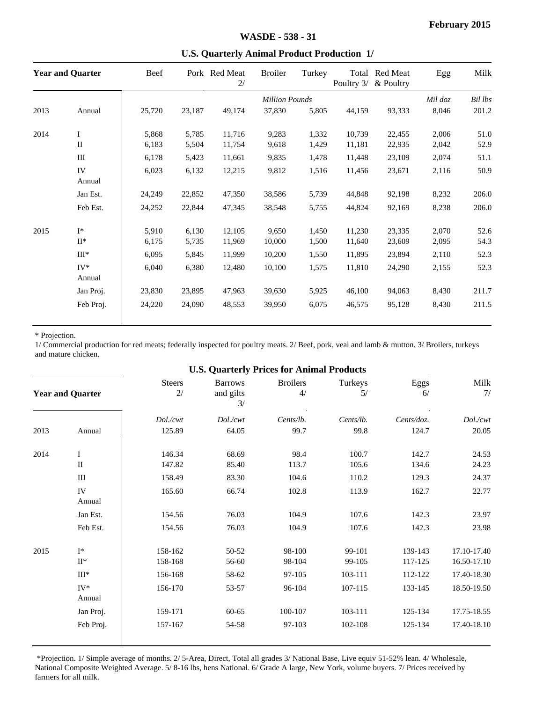|      | <b>Year and Quarter</b> | Beef           |                | Pork Red Meat<br>2/ | <b>Broiler</b>        | Turkey         | Poultry 3/       | Total Red Meat<br>& Poultry | Egg            | Milk         |
|------|-------------------------|----------------|----------------|---------------------|-----------------------|----------------|------------------|-----------------------------|----------------|--------------|
|      |                         |                |                |                     | <b>Million Pounds</b> |                |                  |                             | Mil doz        | Bil lbs      |
| 2013 | Annual                  | 25,720         | 23,187         | 49,174              | 37,830                | 5,805          | 44,159           | 93,333                      | 8,046          | 201.2        |
| 2014 | $\mathbf I$             | 5,868          | 5,785          | 11,716              | 9,283                 | 1,332          | 10,739           | 22.455                      | 2,006          | 51.0         |
|      | $\mathbf{I}$            | 6,183          | 5,504          | 11,754              | 9,618                 | 1,429          | 11,181           | 22,935                      | 2,042          | 52.9         |
|      | III                     | 6,178          | 5,423          | 11,661              | 9,835                 | 1,478          | 11,448           | 23,109                      | 2,074          | 51.1         |
|      | IV<br>Annual            | 6,023          | 6,132          | 12,215              | 9,812                 | 1,516          | 11,456           | 23,671                      | 2,116          | 50.9         |
|      | Jan Est.                | 24,249         | 22,852         | 47,350              | 38,586                | 5,739          | 44,848           | 92,198                      | 8,232          | 206.0        |
|      | Feb Est.                | 24,252         | 22,844         | 47,345              | 38,548                | 5,755          | 44,824           | 92.169                      | 8,238          | 206.0        |
| 2015 | $I^*$<br>$II^*$         | 5,910<br>6,175 | 6,130<br>5,735 | 12,105<br>11,969    | 9.650<br>10,000       | 1,450<br>1,500 | 11,230<br>11,640 | 23.335<br>23,609            | 2,070<br>2,095 | 52.6<br>54.3 |
|      | $III*$                  | 6,095          | 5,845          | 11,999              | 10,200                | 1,550          | 11,895           | 23,894                      | 2,110          | 52.3         |
|      | $IV^*$<br>Annual        | 6,040          | 6,380          | 12,480              | 10,100                | 1,575          | 11,810           | 24,290                      | 2,155          | 52.3         |
|      | Jan Proj.               | 23,830         | 23,895         | 47,963              | 39,630                | 5,925          | 46,100           | 94,063                      | 8,430          | 211.7        |
|      | Feb Proj.               | 24,220         | 24,090         | 48,553              | 39,950                | 6,075          | 46,575           | 95,128                      | 8,430          | 211.5        |

#### **U.S. Quarterly Animal Product Production 1/**

#### \* Projection.

1/ Commercial production for red meats; federally inspected for poultry meats. 2/ Beef, pork, veal and lamb & mutton. 3/ Broilers, turkeys and mature chicken.

#### **U.S. Quarterly Prices for Animal Products**

|      | <b>Year and Quarter</b> | <b>Steers</b><br>2/ | <b>Barrows</b><br>and gilts<br>3/ | <b>Broilers</b><br>4/ | Turkeys<br>5/    | Eggs<br>6/         | Milk<br>7/                 |
|------|-------------------------|---------------------|-----------------------------------|-----------------------|------------------|--------------------|----------------------------|
|      |                         | Dol./cwt            | Dol./cwt                          | Cents/lb.             | Cents/lb.        | Cents/doz.         | Dol./cwt                   |
| 2013 | Annual                  | 125.89              | 64.05                             | 99.7                  | 99.8             | 124.7              | 20.05                      |
| 2014 | $\mathbf I$             | 146.34              | 68.69                             | 98.4                  | 100.7            | 142.7              | 24.53                      |
|      | $\mathbf{I}$            | 147.82              | 85.40                             | 113.7                 | 105.6            | 134.6              | 24.23                      |
|      | Ш                       | 158.49              | 83.30                             | 104.6                 | 110.2            | 129.3              | 24.37                      |
|      | IV<br>Annual            | 165.60              | 66.74                             | 102.8                 | 113.9            | 162.7              | 22.77                      |
|      | Jan Est.                | 154.56              | 76.03                             | 104.9                 | 107.6            | 142.3              | 23.97                      |
|      | Feb Est.                | 154.56              | 76.03                             | 104.9                 | 107.6            | 142.3              | 23.98                      |
| 2015 | $I^*$<br>$II^*$         | 158-162<br>158-168  | 50-52<br>56-60                    | 98-100<br>98-104      | 99-101<br>99-105 | 139-143<br>117-125 | 17.10-17.40<br>16.50-17.10 |
|      | $III*$                  | 156-168             | 58-62                             | 97-105                | 103-111          | 112-122            | 17.40-18.30                |
|      | $IV^*$<br>Annual        | 156-170             | 53-57                             | 96-104                | 107-115          | 133-145            | 18.50-19.50                |
|      | Jan Proj.               | 159-171             | $60 - 65$                         | 100-107               | 103-111          | 125-134            | 17.75-18.55                |
|      | Feb Proj.               | 157-167             | 54-58                             | 97-103                | 102-108          | 125-134            | 17.40-18.10                |

 \*Projection. 1/ Simple average of months. 2/ 5-Area, Direct, Total all grades 3/ National Base, Live equiv 51-52% lean. 4/ Wholesale, National Composite Weighted Average. 5/ 8-16 lbs, hens National. 6/ Grade A large, New York, volume buyers. 7/ Prices received by farmers for all milk.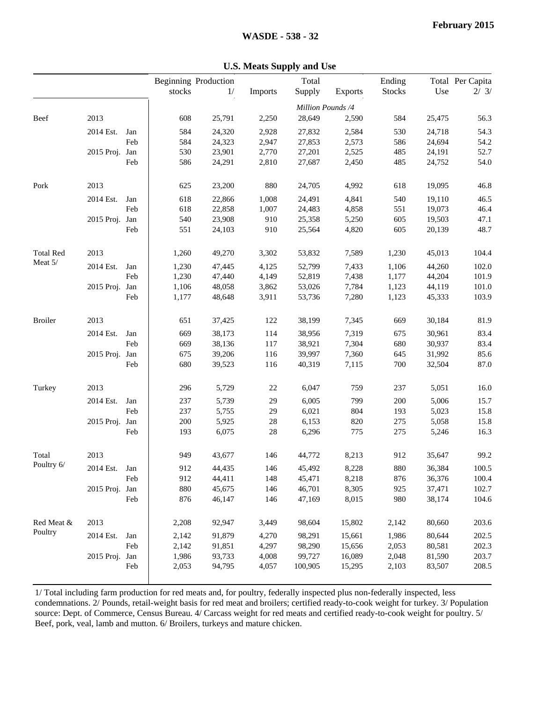|                  |                |     | stocks | <b>Beginning Production</b><br>1/ | Imports | Total<br>Supply             | <b>Exports</b> | Ending<br><b>Stocks</b> | Use    | Total Per Capita<br>2/3/ |
|------------------|----------------|-----|--------|-----------------------------------|---------|-----------------------------|----------------|-------------------------|--------|--------------------------|
|                  |                |     |        |                                   |         |                             |                |                         |        |                          |
| Beef             | 2013           |     | 608    | 25,791                            | 2,250   | Million Pounds /4<br>28,649 | 2,590          | 584                     | 25,475 | 56.3                     |
|                  | 2014 Est.      | Jan | 584    | 24,320                            | 2,928   | 27,832                      | 2,584          | 530                     | 24,718 | 54.3                     |
|                  |                | Feb | 584    | 24,323                            | 2,947   | 27,853                      | 2,573          | 586                     | 24,694 | 54.2                     |
|                  | 2015 Proj. Jan |     | 530    | 23,901                            | 2,770   | 27,201                      | 2,525          | 485                     | 24,191 | 52.7                     |
|                  |                | Feb | 586    | 24,291                            | 2,810   | 27,687                      | 2,450          | 485                     | 24,752 | 54.0                     |
| Pork             | 2013           |     | 625    | 23,200                            | 880     | 24,705                      | 4,992          | 618                     | 19,095 | 46.8                     |
|                  | 2014 Est.      | Jan | 618    | 22,866                            | 1,008   | 24,491                      | 4,841          | 540                     | 19,110 | 46.5                     |
|                  |                | Feb | 618    | 22,858                            | 1,007   | 24,483                      | 4,858          | 551                     | 19,073 | 46.4                     |
|                  | 2015 Proj. Jan |     | 540    | 23,908                            | 910     | 25,358                      | 5,250          | 605                     | 19,503 | 47.1                     |
|                  |                | Feb | 551    | 24,103                            | 910     | 25,564                      | 4,820          | 605                     | 20,139 | 48.7                     |
| <b>Total Red</b> | 2013           |     | 1,260  | 49,270                            | 3,302   | 53,832                      | 7,589          | 1,230                   | 45,013 | 104.4                    |
| Meat 5/          | 2014 Est.      | Jan | 1,230  | 47,445                            | 4,125   | 52,799                      | 7,433          | 1,106                   | 44,260 | 102.0                    |
|                  |                | Feb | 1,230  | 47,440                            | 4,149   | 52,819                      | 7,438          | 1,177                   | 44,204 | 101.9                    |
|                  | 2015 Proj. Jan |     | 1,106  | 48,058                            | 3,862   | 53,026                      | 7,784          | 1,123                   | 44,119 | 101.0                    |
|                  |                | Feb | 1,177  | 48,648                            | 3,911   | 53,736                      | 7,280          | 1,123                   | 45,333 | 103.9                    |
| <b>Broiler</b>   | 2013           |     | 651    | 37,425                            | 122     | 38,199                      | 7,345          | 669                     | 30,184 | 81.9                     |
|                  | 2014 Est.      | Jan | 669    | 38,173                            | 114     | 38,956                      | 7,319          | 675                     | 30,961 | 83.4                     |
|                  |                | Feb | 669    | 38,136                            | 117     | 38,921                      | 7,304          | 680                     | 30,937 | 83.4                     |
|                  | 2015 Proj. Jan |     | 675    | 39,206                            | 116     | 39,997                      | 7,360          | 645                     | 31,992 | 85.6                     |
|                  |                | Feb | 680    | 39,523                            | 116     | 40,319                      | 7,115          | 700                     | 32,504 | 87.0                     |
| Turkey           | 2013           |     | 296    | 5,729                             | $22\,$  | 6,047                       | 759            | 237                     | 5,051  | 16.0                     |
|                  | 2014 Est.      | Jan | 237    | 5,739                             | 29      | 6,005                       | 799            | 200                     | 5,006  | 15.7                     |
|                  |                | Feb | 237    | 5,755                             | 29      | 6,021                       | 804            | 193                     | 5,023  | 15.8                     |
|                  | 2015 Proj. Jan |     | 200    | 5,925                             | $28\,$  | 6,153                       | 820            | 275                     | 5,058  | 15.8                     |
|                  |                | Feb | 193    | 6,075                             | 28      | 6,296                       | 775            | 275                     | 5,246  | 16.3                     |
| Total            | 2013           |     | 949    | 43,677                            | 146     | 44,772                      | 8,213          | 912                     | 35,647 | 99.2                     |
| Poultry 6/       | 2014 Est.      | Jan | 912    | 44,435                            | 146     | 45,492                      | 8,228          | 880                     | 36,384 | 100.5                    |
|                  |                | Feb | 912    | 44,411                            | 148     | 45,471                      | 8,218          | 876                     | 36,376 | 100.4                    |
|                  | 2015 Proj. Jan |     | 880    | 45,675                            | 146     | 46,701                      | 8,305          | 925                     | 37,471 | 102.7                    |
|                  |                | Feb | 876    | 46,147                            | 146     | 47,169                      | 8,015          | 980                     | 38,174 | 104.6                    |
| Red Meat &       | 2013           |     | 2,208  | 92,947                            | 3,449   | 98,604                      | 15,802         | 2,142                   | 80,660 | 203.6                    |
| Poultry          | 2014 Est.      | Jan | 2,142  | 91,879                            | 4,270   | 98,291                      | 15,661         | 1,986                   | 80,644 | 202.5                    |
|                  |                | Feb | 2,142  | 91,851                            | 4,297   | 98,290                      | 15,656         | 2,053                   | 80,581 | 202.3                    |
|                  | 2015 Proj. Jan |     | 1,986  | 93,733                            | 4,008   | 99,727                      | 16,089         | 2,048                   | 81,590 | 203.7                    |
|                  |                | Feb | 2,053  | 94,795                            | 4,057   | 100,905                     | 15,295         | 2,103                   | 83,507 | 208.5                    |

#### **U.S. Meats Supply and Use**

1/ Total including farm production for red meats and, for poultry, federally inspected plus non-federally inspected, less condemnations. 2/ Pounds, retail-weight basis for red meat and broilers; certified ready-to-cook weight for turkey. 3/ Population source: Dept. of Commerce, Census Bureau. 4/ Carcass weight for red meats and certified ready-to-cook weight for poultry. 5/ Beef, pork, veal, lamb and mutton. 6/ Broilers, turkeys and mature chicken.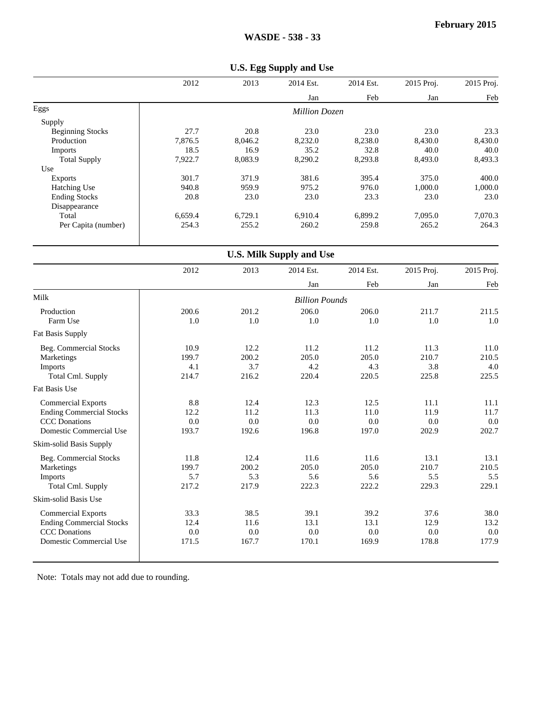|                         | 2012    | 2013    | 2014 Est.            | 2014 Est. | 2015 Proj. | 2015 Proj. |
|-------------------------|---------|---------|----------------------|-----------|------------|------------|
|                         |         |         | Jan                  | Feb       | Jan        | Feb        |
| Eggs                    |         |         | <b>Million Dozen</b> |           |            |            |
| Supply                  |         |         |                      |           |            |            |
| <b>Beginning Stocks</b> | 27.7    | 20.8    | 23.0                 | 23.0      | 23.0       | 23.3       |
| Production              | 7,876.5 | 8,046.2 | 8,232.0              | 8,238.0   | 8,430.0    | 8,430.0    |
| <b>Imports</b>          | 18.5    | 16.9    | 35.2                 | 32.8      | 40.0       | 40.0       |
| <b>Total Supply</b>     | 7,922.7 | 8,083.9 | 8,290.2              | 8,293.8   | 8,493.0    | 8,493.3    |
| Use                     |         |         |                      |           |            |            |
| Exports                 | 301.7   | 371.9   | 381.6                | 395.4     | 375.0      | 400.0      |
| <b>Hatching Use</b>     | 940.8   | 959.9   | 975.2                | 976.0     | 1,000.0    | 1,000.0    |
| <b>Ending Stocks</b>    | 20.8    | 23.0    | 23.0                 | 23.3      | 23.0       | 23.0       |
| Disappearance           |         |         |                      |           |            |            |
| Total                   | 6,659.4 | 6,729.1 | 6,910.4              | 6,899.2   | 7,095.0    | 7,070.3    |
| Per Capita (number)     | 254.3   | 255.2   | 260.2                | 259.8     | 265.2      | 264.3      |
|                         |         |         |                      |           |            |            |

|                                 | <b>U.S. Milk Supply and Use</b> |       |                       |           |            |            |  |  |  |
|---------------------------------|---------------------------------|-------|-----------------------|-----------|------------|------------|--|--|--|
|                                 | 2012                            | 2013  | 2014 Est.             | 2014 Est. | 2015 Proj. | 2015 Proj. |  |  |  |
|                                 |                                 |       | Jan                   | Feb       | Jan        | Feb        |  |  |  |
| Milk                            |                                 |       | <b>Billion Pounds</b> |           |            |            |  |  |  |
| Production                      | 200.6                           | 201.2 | 206.0                 | 206.0     | 211.7      | 211.5      |  |  |  |
| Farm Use                        | 1.0                             | 1.0   | 1.0                   | 1.0       | 1.0        | 1.0        |  |  |  |
| Fat Basis Supply                |                                 |       |                       |           |            |            |  |  |  |
| Beg. Commercial Stocks          | 10.9                            | 12.2  | 11.2                  | 11.2      | 11.3       | 11.0       |  |  |  |
| Marketings                      | 199.7                           | 200.2 | 205.0                 | 205.0     | 210.7      | 210.5      |  |  |  |
| Imports                         | 4.1                             | 3.7   | 4.2                   | 4.3       | 3.8        | 4.0        |  |  |  |
| <b>Total Cml. Supply</b>        | 214.7                           | 216.2 | 220.4                 | 220.5     | 225.8      | 225.5      |  |  |  |
| Fat Basis Use                   |                                 |       |                       |           |            |            |  |  |  |
| <b>Commercial Exports</b>       | 8.8                             | 12.4  | 12.3                  | 12.5      | 11.1       | 11.1       |  |  |  |
| <b>Ending Commercial Stocks</b> | 12.2                            | 11.2  | 11.3                  | 11.0      | 11.9       | 11.7       |  |  |  |
| <b>CCC</b> Donations            | 0.0                             | 0.0   | 0.0                   | 0.0       | 0.0        | 0.0        |  |  |  |
| Domestic Commercial Use         | 193.7                           | 192.6 | 196.8                 | 197.0     | 202.9      | 202.7      |  |  |  |
| Skim-solid Basis Supply         |                                 |       |                       |           |            |            |  |  |  |
| Beg. Commercial Stocks          | 11.8                            | 12.4  | 11.6                  | 11.6      | 13.1       | 13.1       |  |  |  |
| Marketings                      | 199.7                           | 200.2 | 205.0                 | 205.0     | 210.7      | 210.5      |  |  |  |
| Imports                         | 5.7                             | 5.3   | 5.6                   | 5.6       | 5.5        | 5.5        |  |  |  |
| Total Cml. Supply               | 217.2                           | 217.9 | 222.3                 | 222.2     | 229.3      | 229.1      |  |  |  |
| Skim-solid Basis Use            |                                 |       |                       |           |            |            |  |  |  |
| <b>Commercial Exports</b>       | 33.3                            | 38.5  | 39.1                  | 39.2      | 37.6       | 38.0       |  |  |  |
| <b>Ending Commercial Stocks</b> | 12.4                            | 11.6  | 13.1                  | 13.1      | 12.9       | 13.2       |  |  |  |
| <b>CCC</b> Donations            | 0.0                             | 0.0   | 0.0                   | 0.0       | 0.0        | 0.0        |  |  |  |
| Domestic Commercial Use         | 171.5                           | 167.7 | 170.1                 | 169.9     | 178.8      | 177.9      |  |  |  |
|                                 |                                 |       |                       |           |            |            |  |  |  |

## Note: Totals may not add due to rounding.

#### **U.S. Egg Supply and Use**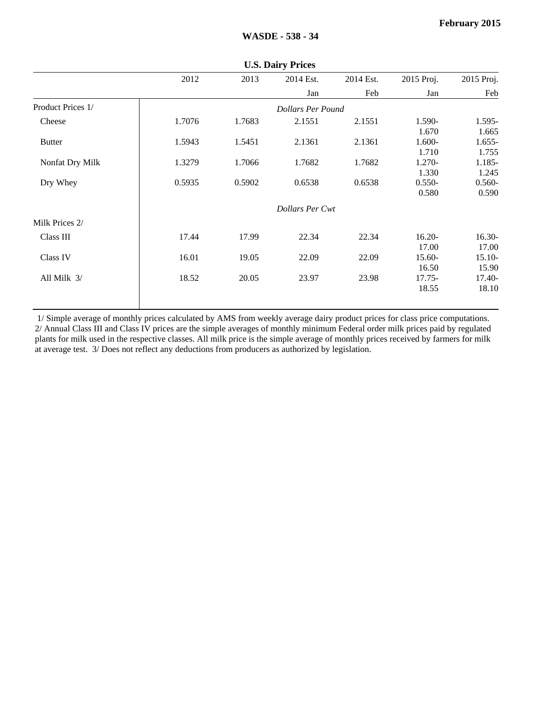|                   |        |        | <b>U.S. Dally Frices</b> |           |            |            |
|-------------------|--------|--------|--------------------------|-----------|------------|------------|
|                   | 2012   | 2013   | 2014 Est.                | 2014 Est. | 2015 Proj. | 2015 Proj. |
|                   |        |        | Jan                      | Feb       | Jan        | Feb        |
| Product Prices 1/ |        |        | Dollars Per Pound        |           |            |            |
| Cheese            | 1.7076 | 1.7683 | 2.1551                   | 2.1551    | 1.590-     | 1.595-     |
|                   |        |        |                          |           | 1.670      | 1.665      |
| <b>Butter</b>     | 1.5943 | 1.5451 | 2.1361                   | 2.1361    | 1.600-     | $1.655 -$  |
|                   |        |        |                          |           | 1.710      | 1.755      |
| Nonfat Dry Milk   | 1.3279 | 1.7066 | 1.7682                   | 1.7682    | 1.270-     | 1.185-     |
|                   |        |        |                          |           | 1.330      | 1.245      |
| Dry Whey          | 0.5935 | 0.5902 | 0.6538                   | 0.6538    | $0.550-$   | $0.560 -$  |
|                   |        |        |                          |           | 0.580      | 0.590      |
|                   |        |        |                          |           |            |            |
| Milk Prices 2/    |        |        |                          |           |            |            |
| Class III         | 17.44  | 17.99  | 22.34                    | 22.34     | $16.20 -$  | $16.30-$   |
|                   |        |        |                          |           | 17.00      | 17.00      |
| Class IV          | 16.01  | 19.05  | 22.09                    | 22.09     | 15.60-     | 15.10-     |
|                   |        |        |                          |           | 16.50      | 15.90      |
| All Milk 3/       | 18.52  | 20.05  | 23.97                    | 23.98     | 17.75-     | 17.40-     |
|                   |        |        |                          |           | 18.55      | 18.10      |
|                   |        |        |                          |           |            |            |

**U.S. Dairy Prices**

 1/ Simple average of monthly prices calculated by AMS from weekly average dairy product prices for class price computations. 2/ Annual Class III and Class IV prices are the simple averages of monthly minimum Federal order milk prices paid by regulated plants for milk used in the respective classes. All milk price is the simple average of monthly prices received by farmers for milk at average test. 3/ Does not reflect any deductions from producers as authorized by legislation.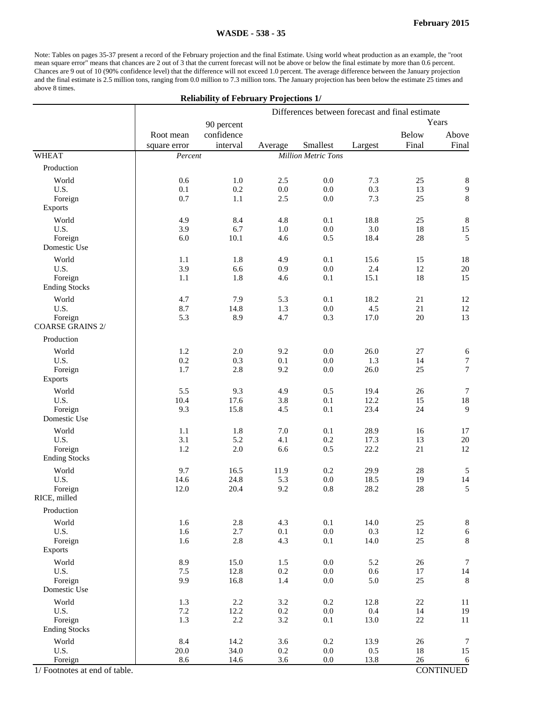Note: Tables on pages 35-37 present a record of the February projection and the final Estimate. Using world wheat production as an example, the "root mean square error" means that chances are 2 out of 3 that the current forecast will not be above or below the final estimate by more than 0.6 percent. Chances are 9 out of 10 (90% confidence level) that the difference will not exceed 1.0 percent. The average difference between the January projection and the final estimate is 2.5 million tons, ranging from 0.0 million to 7.3 million tons. The January projection has been below the estimate 25 times and above 8 times.

#### **Reliability of February Projections 1/**

|                                    | Differences between forecast and final estimate |                        |         |                            |         |                       |                  |
|------------------------------------|-------------------------------------------------|------------------------|---------|----------------------------|---------|-----------------------|------------------|
|                                    |                                                 | 90 percent             |         |                            |         |                       | Years            |
|                                    | Root mean<br>square error                       | confidence<br>interval | Average | Smallest                   | Largest | <b>Below</b><br>Final | Above<br>Final   |
| <b>WHEAT</b>                       | Percent                                         |                        |         | <b>Million Metric Tons</b> |         |                       |                  |
| Production                         |                                                 |                        |         |                            |         |                       |                  |
| World                              | 0.6                                             | 1.0                    | 2.5     | 0.0                        | 7.3     | 25                    | $\,8\,$          |
| U.S.                               | 0.1                                             | 0.2                    | 0.0     | $0.0\,$                    | 0.3     | 13                    | $\boldsymbol{9}$ |
| Foreign                            | 0.7                                             | 1.1                    | 2.5     | 0.0                        | 7.3     | 25                    | $\,8\,$          |
| <b>Exports</b>                     |                                                 |                        |         |                            |         |                       |                  |
| World                              | 4.9                                             | 8.4                    | 4.8     | 0.1                        | 18.8    | $25\,$                | $\,8\,$          |
| U.S.                               | 3.9                                             | 6.7                    | 1.0     | $0.0\,$                    | 3.0     | 18                    | 15               |
| Foreign<br>Domestic Use            | 6.0                                             | $10.1\,$               | 4.6     | 0.5                        | 18.4    | $28\,$                | 5                |
| World                              | 1.1                                             | 1.8                    | 4.9     | 0.1                        | 15.6    | 15                    | 18               |
| U.S.                               | 3.9                                             | 6.6                    | 0.9     | 0.0                        | 2.4     | 12                    | $20\,$           |
| Foreign<br><b>Ending Stocks</b>    | 1.1                                             | 1.8                    | 4.6     | 0.1                        | 15.1    | 18                    | 15               |
| World                              | 4.7                                             | 7.9                    | 5.3     | 0.1                        | 18.2    | 21                    | 12               |
| U.S.                               | 8.7                                             | 14.8                   | 1.3     | $0.0\,$                    | 4.5     | $21\,$                | 12               |
| Foreign<br><b>COARSE GRAINS 2/</b> | 5.3                                             | 8.9                    | 4.7     | 0.3                        | 17.0    | $20\,$                | 13               |
| Production                         |                                                 |                        |         |                            |         |                       |                  |
| World                              | 1.2                                             | $2.0\,$                | 9.2     | $0.0\,$                    | 26.0    | $27\,$                | $\sqrt{6}$       |
| U.S.                               | 0.2                                             | 0.3                    | 0.1     | 0.0                        | 1.3     | 14                    | $\boldsymbol{7}$ |
| Foreign<br><b>Exports</b>          | 1.7                                             | 2.8                    | 9.2     | $0.0\,$                    | 26.0    | 25                    | $\boldsymbol{7}$ |
| World                              | 5.5                                             | 9.3                    | 4.9     | 0.5                        | 19.4    | 26                    | $\boldsymbol{7}$ |
| U.S.                               | 10.4                                            | 17.6                   | 3.8     | 0.1                        | 12.2    | 15                    | $18\,$           |
| Foreign<br>Domestic Use            | 9.3                                             | 15.8                   | 4.5     | 0.1                        | 23.4    | 24                    | 9                |
| World                              | 1.1                                             | 1.8                    | 7.0     | 0.1                        | 28.9    | 16                    | 17               |
| U.S.                               | 3.1                                             | 5.2                    | 4.1     | 0.2                        | 17.3    | 13                    | $20\,$           |
| Foreign<br><b>Ending Stocks</b>    | 1.2                                             | 2.0                    | 6.6     | 0.5                        | 22.2    | 21                    | 12               |
| World                              | 9.7                                             | 16.5                   | 11.9    | 0.2                        | 29.9    | $28\,$                | 5                |
| U.S.                               | 14.6                                            | 24.8                   | 5.3     | $0.0\,$                    | 18.5    | 19                    | 14               |
| Foreign<br>RICE, milled            | 12.0                                            | 20.4                   | 9.2     | 0.8                        | 28.2    | 28                    | 5                |
| Production                         |                                                 |                        |         |                            |         |                       |                  |
| World                              | 1.6                                             | 2.8                    | 4.3     | 0.1                        | 14.0    | $25\,$                | $\,8\,$          |
| U.S.                               | 1.6                                             | 2.7                    | 0.1     | $0.0\,$                    | 0.3     | $12\,$                | $\sqrt{6}$       |
| Foreign<br><b>Exports</b>          | 1.6                                             | 2.8                    | 4.3     | 0.1                        | 14.0    | 25                    | $\,8\,$          |
| World                              | 8.9                                             | 15.0                   | 1.5     | 0.0                        | 5.2     | 26                    | $\boldsymbol{7}$ |
| U.S.                               | 7.5                                             | 12.8                   | 0.2     | 0.0                        | 0.6     | $17\,$                | $14\,$           |
| Foreign<br>Domestic Use            | 9.9                                             | 16.8                   | 1.4     | $0.0\,$                    | 5.0     | 25                    | $\,8\,$          |
| World                              | 1.3                                             | 2.2                    | 3.2     | $0.2\,$                    | 12.8    | $22\,$                | 11               |
| U.S.                               | 7.2                                             | 12.2                   | 0.2     | 0.0                        | 0.4     | 14                    | 19               |
| Foreign<br><b>Ending Stocks</b>    | 1.3                                             | 2.2                    | 3.2     | 0.1                        | 13.0    | $22\,$                | $11\,$           |
| World                              | 8.4                                             | 14.2                   | 3.6     | $0.2\,$                    | 13.9    | 26                    | $\boldsymbol{7}$ |
| U.S.                               | 20.0                                            | 34.0                   | 0.2     | $0.0\,$                    | 0.5     | 18                    | 15               |
| Foreign                            | 8.6                                             | 14.6                   | 3.6     | 0.0                        | 13.8    | $26\,$                | $\sqrt{6}$       |
| 1/ Footnotes at end of table.      |                                                 |                        |         |                            |         |                       | <b>CONTINUED</b> |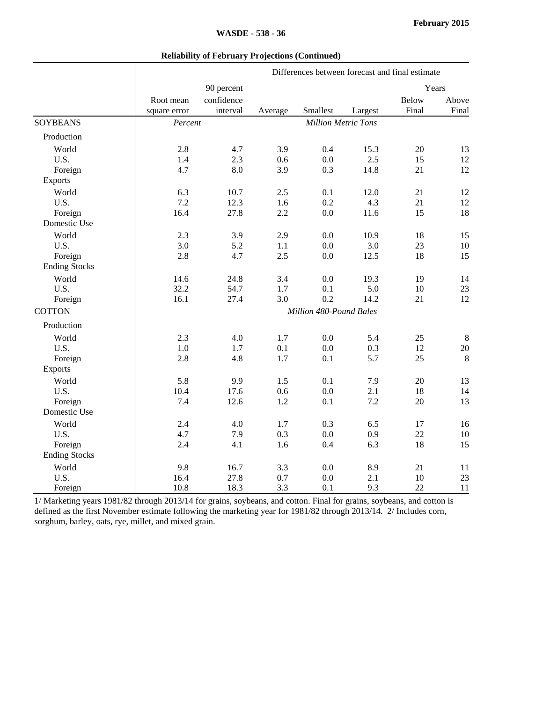#### **Reliability of February Projections (Continued)**

| Differences between forecast and final estimate |  |  |
|-------------------------------------------------|--|--|
|                                                 |  |  |

|                      |              | 90 percent              |         |                            |         |              | Years          |
|----------------------|--------------|-------------------------|---------|----------------------------|---------|--------------|----------------|
|                      | Root mean    | confidence              |         |                            |         | <b>Below</b> | Above          |
|                      | square error | interval                | Average | Smallest                   | Largest | Final        | Final          |
| <b>SOYBEANS</b>      | Percent      |                         |         | <b>Million Metric Tons</b> |         |              |                |
| Production           |              |                         |         |                            |         |              |                |
| World                | 2.8          | 4.7                     | 3.9     | 0.4                        | 15.3    | 20           | 13             |
| U.S.                 | 1.4          | 2.3                     | 0.6     | 0.0                        | 2.5     | 15           | 12             |
| Foreign              | 4.7          | 8.0                     | 3.9     | 0.3                        | 14.8    | 21           | 12             |
| Exports              |              |                         |         |                            |         |              |                |
| World                | 6.3          | 10.7                    | 2.5     | 0.1                        | 12.0    | 21           | 12             |
| U.S.                 | 7.2          | 12.3                    | 1.6     | 0.2                        | 4.3     | 21           | 12             |
| Foreign              | 16.4         | 27.8                    | 2.2     | 0.0                        | 11.6    | 15           | 18             |
| Domestic Use         |              |                         |         |                            |         |              |                |
| World                | 2.3          | 3.9                     | 2.9     | 0.0                        | 10.9    | 18           | 15             |
| U.S.                 | 3.0          | 5.2                     | 1.1     | 0.0                        | 3.0     | 23           | $10\,$         |
| Foreign              | 2.8          | 4.7                     | 2.5     | 0.0                        | 12.5    | 18           | 15             |
| <b>Ending Stocks</b> |              |                         |         |                            |         |              |                |
| World                | 14.6         | 24.8                    | 3.4     | 0.0                        | 19.3    | 19           | 14             |
| U.S.                 | 32.2         | 54.7                    | 1.7     | 0.1                        | 5.0     | 10           | 23             |
| Foreign              | 16.1         | 27.4                    | 3.0     | 0.2                        | 14.2    | 21           | 12             |
| <b>COTTON</b>        |              | Million 480-Pound Bales |         |                            |         |              |                |
| Production           |              |                         |         |                            |         |              |                |
| World                | 2.3          | 4.0                     | 1.7     | 0.0                        | 5.4     | 25           | $\,8\,$        |
| U.S.                 | 1.0          | 1.7                     | 0.1     | 0.0                        | 0.3     | 12           | $20\,$         |
| Foreign              | 2.8          | 4.8                     | 1.7     | 0.1                        | 5.7     | 25           | $8\phantom{.}$ |
| <b>Exports</b>       |              |                         |         |                            |         |              |                |
| World                | 5.8          | 9.9                     | 1.5     | 0.1                        | 7.9     | $20\,$       | 13             |
| U.S.                 | 10.4         | 17.6                    | 0.6     | 0.0                        | 2.1     | 18           | 14             |
| Foreign              | 7.4          | 12.6                    | 1.2     | 0.1                        | 7.2     | 20           | 13             |
| Domestic Use         |              |                         |         |                            |         |              |                |
| World                | 2.4          | 4.0                     | 1.7     | 0.3                        | 6.5     | 17           | 16             |
| U.S.                 | 4.7          | 7.9                     | 0.3     | 0.0                        | 0.9     | 22           | 10             |
| Foreign              | 2.4          | 4.1                     | 1.6     | 0.4                        | 6.3     | 18           | 15             |
| <b>Ending Stocks</b> |              |                         |         |                            |         |              |                |
| World                | 9.8          | 16.7                    | 3.3     | 0.0                        | 8.9     | 21           | 11             |
| U.S.                 | 16.4         | 27.8                    | 0.7     | 0.0                        | 2.1     | 10           | 23             |
| Foreign              | 10.8         | 18.3                    | 3.3     | 0.1                        | 9.3     | 22           | 11             |

1/ Marketing years 1981/82 through 2013/14 for grains, soybeans, and cotton. Final for grains, soybeans, and cotton is defined as the first November estimate following the marketing year for 1981/82 through 2013/14. 2/ Includes corn, sorghum, barley, oats, rye, millet, and mixed grain.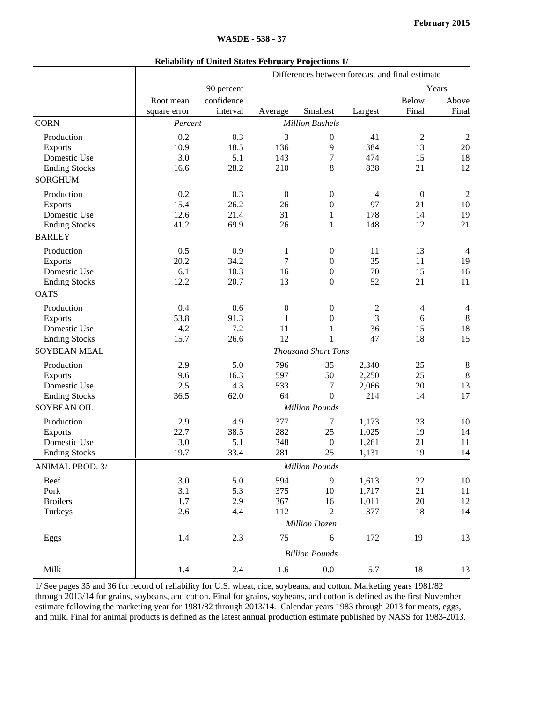| <b>Reliability of United States February Projections 1/</b> |  |
|-------------------------------------------------------------|--|
|-------------------------------------------------------------|--|

| Years<br>90 percent<br>confidence<br><b>Below</b><br>Root mean<br>Smallest<br>Final<br>interval<br>Average<br>Largest<br>square error<br><b>CORN</b><br><b>Million Bushels</b><br>Percent<br>3<br>0.2<br>0.3<br>41<br>$\overline{2}$<br>Production<br>0<br>384<br>10.9<br>18.5<br>136<br>9<br>13<br><b>Exports</b><br>Domestic Use<br>3.0<br>5.1<br>7<br>474<br>143<br>15 | Above<br>Final<br>$\overline{2}$<br>20<br>18<br>12<br>$\overline{2}$<br>10 |
|---------------------------------------------------------------------------------------------------------------------------------------------------------------------------------------------------------------------------------------------------------------------------------------------------------------------------------------------------------------------------|----------------------------------------------------------------------------|
|                                                                                                                                                                                                                                                                                                                                                                           |                                                                            |
|                                                                                                                                                                                                                                                                                                                                                                           |                                                                            |
|                                                                                                                                                                                                                                                                                                                                                                           |                                                                            |
|                                                                                                                                                                                                                                                                                                                                                                           |                                                                            |
|                                                                                                                                                                                                                                                                                                                                                                           |                                                                            |
|                                                                                                                                                                                                                                                                                                                                                                           |                                                                            |
|                                                                                                                                                                                                                                                                                                                                                                           |                                                                            |
| 28.2<br>8<br>838<br>21<br><b>Ending Stocks</b><br>16.6<br>210                                                                                                                                                                                                                                                                                                             |                                                                            |
| <b>SORGHUM</b>                                                                                                                                                                                                                                                                                                                                                            |                                                                            |
| 0.2<br>Production<br>0.3<br>$\boldsymbol{0}$<br>$\boldsymbol{0}$<br>$\boldsymbol{0}$<br>$\overline{4}$                                                                                                                                                                                                                                                                    |                                                                            |
| 15.4<br>21<br>26.2<br>26<br>$\boldsymbol{0}$<br>97<br><b>Exports</b>                                                                                                                                                                                                                                                                                                      |                                                                            |
| Domestic Use<br>12.6<br>31<br>21.4<br>178<br>14<br>1                                                                                                                                                                                                                                                                                                                      | 19                                                                         |
| 26<br><b>Ending Stocks</b><br>41.2<br>69.9<br>$\mathbf{1}$<br>148<br>12                                                                                                                                                                                                                                                                                                   | 21                                                                         |
| <b>BARLEY</b>                                                                                                                                                                                                                                                                                                                                                             |                                                                            |
| 0.5<br>Production<br>0.9<br>13<br>1<br>$\boldsymbol{0}$<br>11                                                                                                                                                                                                                                                                                                             | $\overline{4}$                                                             |
| $\tau$<br>20.2<br>34.2<br>35<br>11<br>$\boldsymbol{0}$<br><b>Exports</b>                                                                                                                                                                                                                                                                                                  | 19                                                                         |
| 6.1<br>10.3<br>$\boldsymbol{0}$<br>70<br>15<br>Domestic Use<br>16                                                                                                                                                                                                                                                                                                         | 16                                                                         |
| 12.2<br>52<br>20.7<br>13<br>$\boldsymbol{0}$<br>21<br><b>Ending Stocks</b>                                                                                                                                                                                                                                                                                                | 11                                                                         |
| <b>OATS</b>                                                                                                                                                                                                                                                                                                                                                               |                                                                            |
| Production<br>0.4<br>0.6<br>$\boldsymbol{0}$<br>$\boldsymbol{0}$<br>$\overline{c}$<br>4                                                                                                                                                                                                                                                                                   | 4                                                                          |
| $\overline{3}$<br>53.8<br>91.3<br>1<br>$\boldsymbol{0}$<br>6<br><b>Exports</b>                                                                                                                                                                                                                                                                                            | 8                                                                          |
| Domestic Use<br>4.2<br>7.2<br>11<br>36<br>15<br>$\mathbf{1}$                                                                                                                                                                                                                                                                                                              | 18                                                                         |
| 12<br>15.7<br>26.6<br>47<br>18<br><b>Ending Stocks</b><br>1                                                                                                                                                                                                                                                                                                               | 15                                                                         |
| <b>SOYBEAN MEAL</b><br><b>Thousand Short Tons</b>                                                                                                                                                                                                                                                                                                                         |                                                                            |
| Production<br>2.9<br>5.0<br>796<br>35<br>2,340<br>25                                                                                                                                                                                                                                                                                                                      | 8                                                                          |
| 9.6<br>16.3<br>597<br>50<br>25<br><b>Exports</b><br>2,250                                                                                                                                                                                                                                                                                                                 | $\,8\,$                                                                    |
| Domestic Use<br>2.5<br>4.3<br>533<br>20<br>7<br>2,066                                                                                                                                                                                                                                                                                                                     | 13                                                                         |
| $\theta$<br>214<br>14<br><b>Ending Stocks</b><br>36.5<br>62.0<br>64                                                                                                                                                                                                                                                                                                       | 17                                                                         |
| <b>SOYBEAN OIL</b><br><b>Million Pounds</b>                                                                                                                                                                                                                                                                                                                               |                                                                            |
| 377<br>Production<br>2.9<br>4.9<br>1,173<br>23<br>7                                                                                                                                                                                                                                                                                                                       | 10                                                                         |
| 38.5<br>282<br>25<br>19<br>22.7<br>1,025<br><b>Exports</b>                                                                                                                                                                                                                                                                                                                | 14                                                                         |
| Domestic Use<br>3.0<br>5.1<br>348<br>1,261<br>21<br>$\boldsymbol{0}$                                                                                                                                                                                                                                                                                                      | 11                                                                         |
| 281<br>25<br>19<br><b>Ending Stocks</b><br>19.7<br>33.4<br>1,131                                                                                                                                                                                                                                                                                                          | 14                                                                         |
| ANIMAL PROD. 3/<br><b>Million Pounds</b>                                                                                                                                                                                                                                                                                                                                  |                                                                            |
| 3.0<br>5.0<br>594<br>1,613<br>Beef<br>9<br>22                                                                                                                                                                                                                                                                                                                             | 10                                                                         |
| 375<br>Pork<br>3.1<br>5.3<br>1,717<br>21<br>10                                                                                                                                                                                                                                                                                                                            | 11                                                                         |
| <b>Broilers</b><br>1.7<br>2.9<br>367<br>1,011<br>$20\,$<br>16                                                                                                                                                                                                                                                                                                             | 12                                                                         |
| 2.6<br>112<br>$\overline{2}$<br>377<br>18<br>Turkeys<br>4.4                                                                                                                                                                                                                                                                                                               | 14                                                                         |
| <b>Million Dozen</b>                                                                                                                                                                                                                                                                                                                                                      |                                                                            |
| Eggs<br>1.4<br>2.3<br>75<br>172<br>19<br>6                                                                                                                                                                                                                                                                                                                                | 13                                                                         |
| <b>Billion Pounds</b>                                                                                                                                                                                                                                                                                                                                                     |                                                                            |
| Milk<br>1.4<br>2.4<br>1.6<br>0.0<br>5.7<br>18                                                                                                                                                                                                                                                                                                                             | 13                                                                         |

1/ See pages 35 and 36 for record of reliability for U.S. wheat, rice, soybeans, and cotton. Marketing years 1981/82 through 2013/14 for grains, soybeans, and cotton. Final for grains, soybeans, and cotton is defined as the first November estimate following the marketing year for 1981/82 through 2013/14. Calendar years 1983 through 2013 for meats, eggs, and milk. Final for animal products is defined as the latest annual production estimate published by NASS for 1983-2013.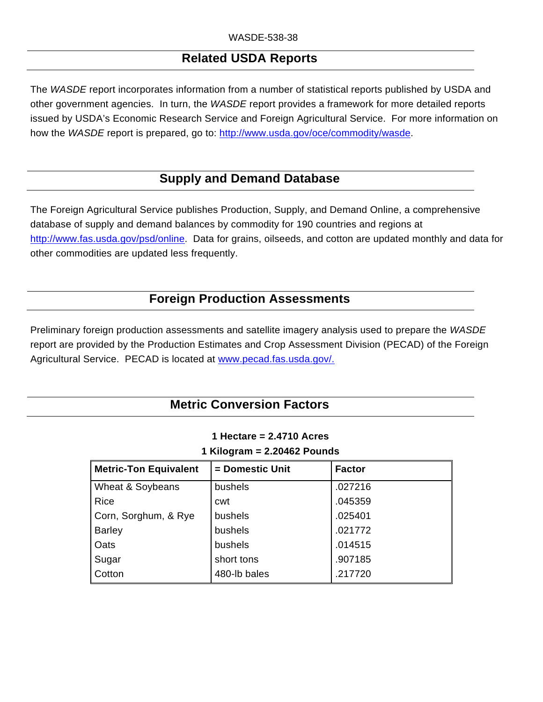## **Related USDA Reports**

The *WASDE* report incorporates information from a number of statistical reports published by USDA and other government agencies. In turn, the *WASDE* report provides a framework for more detailed reports issued by USDA's Economic Research Service and Foreign Agricultural Service. For more information on how the *WASDE* report is prepared, go to: http://www.usda.gov/oce/commodity/wasde.

## **Supply and Demand Database**

The Foreign Agricultural Service publishes Production, Supply, and Demand Online, a comprehensive database of supply and demand balances by commodity for 190 countries and regions at http://www.fas.usda.gov/psd/online. Data for grains, oilseeds, and cotton are updated monthly and data for other commodities are updated less frequently.

## **Foreign Production Assessments**

Preliminary foreign production assessments and satellite imagery analysis used to prepare the *WASDE* report are provided by the Production Estimates and Crop Assessment Division (PECAD) of the Foreign Agricultural Service. PECAD is located at www.pecad.fas.usda.gov/.

## **Metric Conversion Factors**

| 1 Hectare = $2.4710$ Acres    |
|-------------------------------|
| 1 Kilogram = $2.20462$ Pounds |

| <b>Metric-Ton Equivalent</b> | = Domestic Unit | <b>Factor</b> |
|------------------------------|-----------------|---------------|
| Wheat & Soybeans             | bushels         | .027216       |
| <b>Rice</b>                  | cwt             | .045359       |
| Corn, Sorghum, & Rye         | bushels         | .025401       |
| <b>Barley</b>                | bushels         | .021772       |
| Oats                         | bushels         | .014515       |
| Sugar                        | short tons      | .907185       |
| Cotton                       | 480-lb bales    | .217720       |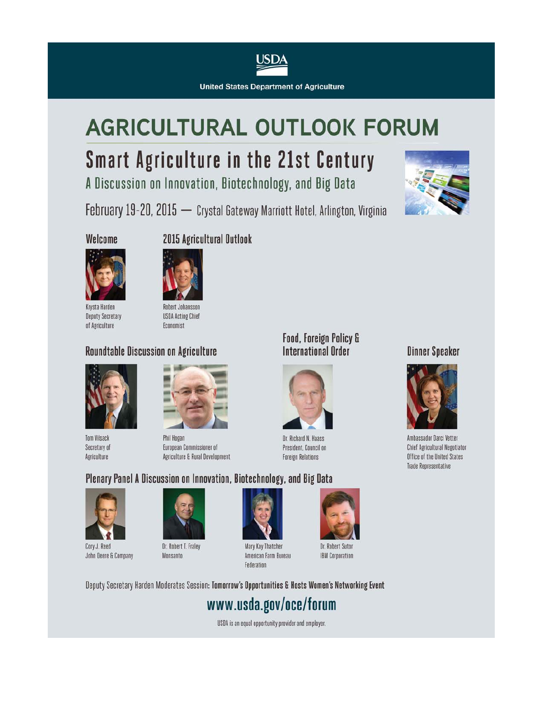

**United States Department of Agriculture** 

# **AGRICULTURAL OUTLOOK FORUM**

## **Smart Agriculture in the 21st Century**

A Discussion on Innovation, Biotechnology, and Big Data

February 19-20, 2015 - Crystal Gateway Marriott Hotel, Arlington, Virginia



#### Welcome



Krysta Harden **Deputy Secretary** of Agriculture

## 2015 Agricultural Outlook



**USDA Acting Chief** Economist

## Roundtable Discussion on Agriculture



**Tom Vilsack** Secretary of Agriculture



Phil Hogan European Commissioner of Agriculture & Rural Development

### **Food, Foreign Policy &** International Order



Dr. Richard N. Haass President, Council on **Foreign Relations** 

## **Dinner Speaker**



Ambassador Darci Vetter Chief Agricultural Negotiator Office of the United States **Trade Representative** 

### Plenary Panel A Discussion on Innovation, Biotechnology, and Big Data



Cory J. Reed John Deere & Company



Monsanto



Mary Kay Thatcher American Farm Bureau Federation



Dr. Robert Sutor **IBM Corporation** 

Deputy Secretary Harden Moderates Session: Tomorrow's Opportunities & Hosts Women's Networking Event

## www.usda.gov/oce/forum

USDA is an equal opportunity provider and employer.